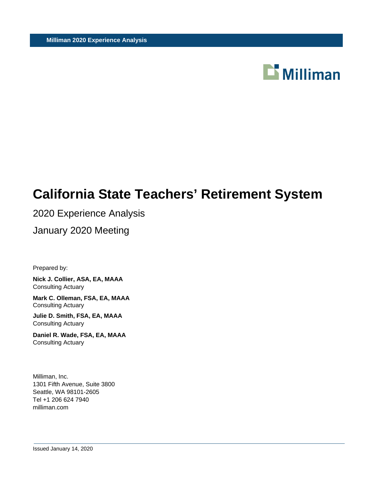

# **California State Teachers' Retirement System**

# 2020 Experience Analysis

January 2020 Meeting

Prepared by:

**Nick J. Collier, ASA, EA, MAAA** Consulting Actuary

**Mark C. Olleman, FSA, EA, MAAA** Consulting Actuary

**Julie D. Smith, FSA, EA, MAAA** Consulting Actuary

**Daniel R. Wade, FSA, EA, MAAA** Consulting Actuary

Milliman, Inc. 1301 Fifth Avenue, Suite 3800 Seattle, WA 98101-2605 Tel +1 206 624 7940 milliman.com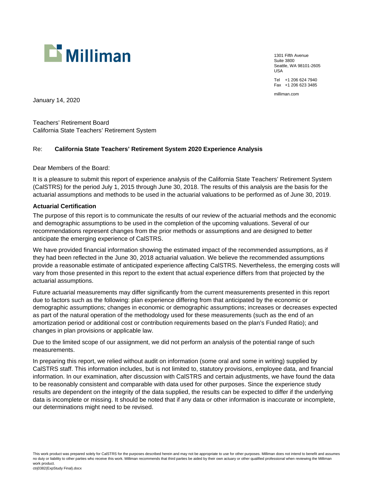

1301 Fifth Avenue Suite 3800 Seattle, WA 98101-2605 USA Tel +1 206 624 7940 Fax +1 206 623 3485

milliman.com

January 14, 2020

Teachers' Retirement Board California State Teachers' Retirement System

#### Re: **California State Teachers' Retirement System 2020 Experience Analysis**

Dear Members of the Board:

It is a pleasure to submit this report of experience analysis of the California State Teachers' Retirement System (CalSTRS) for the period July 1, 2015 through June 30, 2018. The results of this analysis are the basis for the actuarial assumptions and methods to be used in the actuarial valuations to be performed as of June 30, 2019.

#### **Actuarial Certification**

The purpose of this report is to communicate the results of our review of the actuarial methods and the economic and demographic assumptions to be used in the completion of the upcoming valuations. Several of our recommendations represent changes from the prior methods or assumptions and are designed to better anticipate the emerging experience of CalSTRS.

We have provided financial information showing the estimated impact of the recommended assumptions, as if they had been reflected in the June 30, 2018 actuarial valuation. We believe the recommended assumptions provide a reasonable estimate of anticipated experience affecting CalSTRS. Nevertheless, the emerging costs will vary from those presented in this report to the extent that actual experience differs from that projected by the actuarial assumptions.

Future actuarial measurements may differ significantly from the current measurements presented in this report due to factors such as the following: plan experience differing from that anticipated by the economic or demographic assumptions; changes in economic or demographic assumptions; increases or decreases expected as part of the natural operation of the methodology used for these measurements (such as the end of an amortization period or additional cost or contribution requirements based on the plan's Funded Ratio); and changes in plan provisions or applicable law.

Due to the limited scope of our assignment, we did not perform an analysis of the potential range of such measurements.

In preparing this report, we relied without audit on information (some oral and some in writing) supplied by CalSTRS staff. This information includes, but is not limited to, statutory provisions, employee data, and financial information. In our examination, after discussion with CalSTRS and certain adjustments, we have found the data to be reasonably consistent and comparable with data used for other purposes. Since the experience study results are dependent on the integrity of the data supplied, the results can be expected to differ if the underlying data is incomplete or missing. It should be noted that if any data or other information is inaccurate or incomplete, our determinations might need to be revised.

This work product was prepared solely for CalSTRS for the purposes described herein and may not be appropriate to use for other purposes. Milliman does not intend to benefit and assumes no duty or liability to other parties who receive this work. Milliman recommends that third parties be aided by their own actuary or other qualified professional when reviewing the Milliman work product. ctrj0382(ExpStudy Final).docx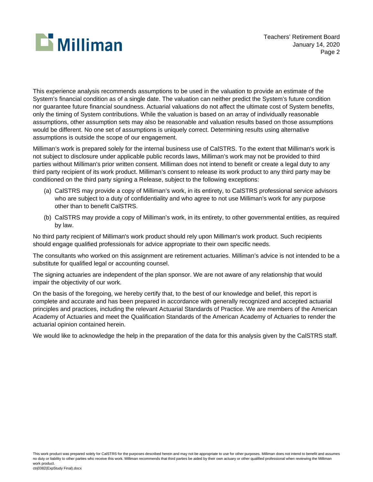

This experience analysis recommends assumptions to be used in the valuation to provide an estimate of the System's financial condition as of a single date. The valuation can neither predict the System's future condition nor guarantee future financial soundness. Actuarial valuations do not affect the ultimate cost of System benefits, only the timing of System contributions. While the valuation is based on an array of individually reasonable assumptions, other assumption sets may also be reasonable and valuation results based on those assumptions would be different. No one set of assumptions is uniquely correct. Determining results using alternative assumptions is outside the scope of our engagement.

Milliman's work is prepared solely for the internal business use of CalSTRS. To the extent that Milliman's work is not subject to disclosure under applicable public records laws, Milliman's work may not be provided to third parties without Milliman's prior written consent. Milliman does not intend to benefit or create a legal duty to any third party recipient of its work product. Milliman's consent to release its work product to any third party may be conditioned on the third party signing a Release, subject to the following exceptions:

- (a) CalSTRS may provide a copy of Milliman's work, in its entirety, to CalSTRS professional service advisors who are subject to a duty of confidentiality and who agree to not use Milliman's work for any purpose other than to benefit CalSTRS.
- (b) CalSTRS may provide a copy of Milliman's work, in its entirety, to other governmental entities, as required by law.

No third party recipient of Milliman's work product should rely upon Milliman's work product. Such recipients should engage qualified professionals for advice appropriate to their own specific needs.

The consultants who worked on this assignment are retirement actuaries. Milliman's advice is not intended to be a substitute for qualified legal or accounting counsel.

The signing actuaries are independent of the plan sponsor. We are not aware of any relationship that would impair the objectivity of our work.

On the basis of the foregoing, we hereby certify that, to the best of our knowledge and belief, this report is complete and accurate and has been prepared in accordance with generally recognized and accepted actuarial principles and practices, including the relevant Actuarial Standards of Practice. We are members of the American Academy of Actuaries and meet the Qualification Standards of the American Academy of Actuaries to render the actuarial opinion contained herein.

We would like to acknowledge the help in the preparation of the data for this analysis given by the CalSTRS staff.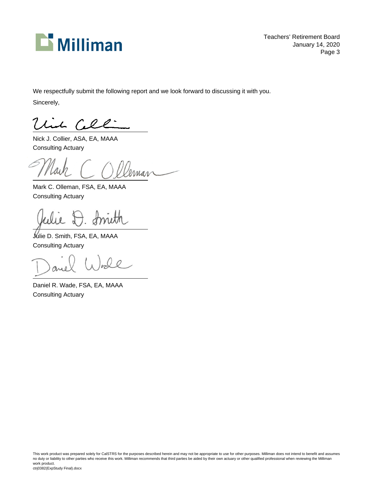

Teachers' Retirement Board January 14, 2020 Page 3

We respectfully submit the following report and we look forward to discussing it with you.

Sincerely,

Uil Celli

Nick J. Collier, ASA, EA, MAAA Consulting Actuary

Mark C. Olleman, FSA, EA, MAAA Consulting Actuary

t. fruth

Julie D. Smith, FSA, EA, MAAA Consulting Actuary

 $00$ 

Daniel R. Wade, FSA, EA, MAAA Consulting Actuary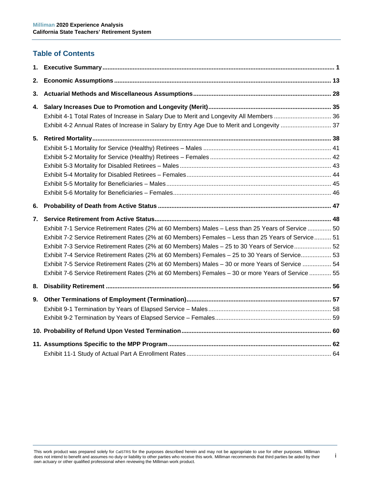# **Table of Contents**

| 1. |                                                                                                    |  |
|----|----------------------------------------------------------------------------------------------------|--|
| 2. |                                                                                                    |  |
| 3. |                                                                                                    |  |
| 4. |                                                                                                    |  |
|    |                                                                                                    |  |
|    | Exhibit 4-2 Annual Rates of Increase in Salary by Entry Age Due to Merit and Longevity  37         |  |
| 5. |                                                                                                    |  |
|    |                                                                                                    |  |
|    |                                                                                                    |  |
|    |                                                                                                    |  |
|    |                                                                                                    |  |
|    |                                                                                                    |  |
|    |                                                                                                    |  |
| 6. |                                                                                                    |  |
| 7. |                                                                                                    |  |
|    | Exhibit 7-1 Service Retirement Rates (2% at 60 Members) Males - Less than 25 Years of Service  50  |  |
|    | Exhibit 7-2 Service Retirement Rates (2% at 60 Members) Females - Less than 25 Years of Service 51 |  |
|    | Exhibit 7-3 Service Retirement Rates (2% at 60 Members) Males - 25 to 30 Years of Service 52       |  |
|    | Exhibit 7-4 Service Retirement Rates (2% at 60 Members) Females - 25 to 30 Years of Service 53     |  |
|    | Exhibit 7-5 Service Retirement Rates (2% at 60 Members) Males - 30 or more Years of Service  54    |  |
|    | Exhibit 7-6 Service Retirement Rates (2% at 60 Members) Females - 30 or more Years of Service  55  |  |
| 8. |                                                                                                    |  |
| 9. |                                                                                                    |  |
|    |                                                                                                    |  |
|    |                                                                                                    |  |
|    |                                                                                                    |  |
|    |                                                                                                    |  |
|    |                                                                                                    |  |

i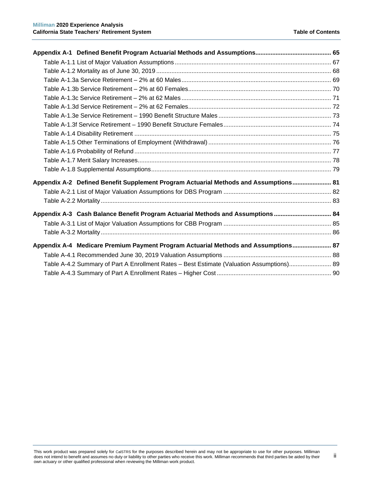ii

| Appendix A-2 Defined Benefit Supplement Program Actuarial Methods and Assumptions 81      |  |
|-------------------------------------------------------------------------------------------|--|
|                                                                                           |  |
|                                                                                           |  |
| Appendix A-3 Cash Balance Benefit Program Actuarial Methods and Assumptions  84           |  |
|                                                                                           |  |
|                                                                                           |  |
| Appendix A-4 Medicare Premium Payment Program Actuarial Methods and Assumptions 87        |  |
|                                                                                           |  |
| Table A-4.2 Summary of Part A Enrollment Rates - Best Estimate (Valuation Assumptions) 89 |  |
|                                                                                           |  |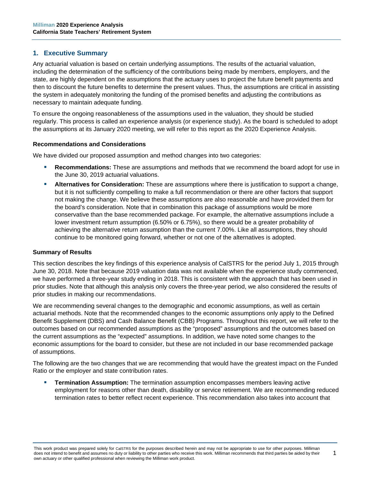# <span id="page-6-0"></span>**1. Executive Summary**

Any actuarial valuation is based on certain underlying assumptions. The results of the actuarial valuation, including the determination of the sufficiency of the contributions being made by members, employers, and the state, are highly dependent on the assumptions that the actuary uses to project the future benefit payments and then to discount the future benefits to determine the present values. Thus, the assumptions are critical in assisting the system in adequately monitoring the funding of the promised benefits and adjusting the contributions as necessary to maintain adequate funding.

To ensure the ongoing reasonableness of the assumptions used in the valuation, they should be studied regularly. This process is called an experience analysis (or experience study). As the board is scheduled to adopt the assumptions at its January 2020 meeting, we will refer to this report as the 2020 Experience Analysis.

# **Recommendations and Considerations**

We have divided our proposed assumption and method changes into two categories:

- **Recommendations:** These are assumptions and methods that we recommend the board adopt for use in the June 30, 2019 actuarial valuations.
- **Alternatives for Consideration:** These are assumptions where there is justification to support a change, but it is not sufficiently compelling to make a full recommendation or there are other factors that support not making the change. We believe these assumptions are also reasonable and have provided them for the board's consideration. Note that in combination this package of assumptions would be more conservative than the base recommended package. For example, the alternative assumptions include a lower investment return assumption (6.50% or 6.75%), so there would be a greater probability of achieving the alternative return assumption than the current 7.00%. Like all assumptions, they should continue to be monitored going forward, whether or not one of the alternatives is adopted.

#### **Summary of Results**

This section describes the key findings of this experience analysis of CalSTRS for the period July 1, 2015 through June 30, 2018. Note that because 2019 valuation data was not available when the experience study commenced, we have performed a three-year study ending in 2018. This is consistent with the approach that has been used in prior studies. Note that although this analysis only covers the three-year period, we also considered the results of prior studies in making our recommendations.

We are recommending several changes to the demographic and economic assumptions, as well as certain actuarial methods. Note that the recommended changes to the economic assumptions only apply to the Defined Benefit Supplement (DBS) and Cash Balance Benefit (CBB) Programs. Throughout this report, we will refer to the outcomes based on our recommended assumptions as the "proposed" assumptions and the outcomes based on the current assumptions as the "expected" assumptions. In addition, we have noted some changes to the economic assumptions for the board to consider, but these are not included in our base recommended package of assumptions.

The following are the two changes that we are recommending that would have the greatest impact on the Funded Ratio or the employer and state contribution rates.

 **Termination Assumption:** The termination assumption encompasses members leaving active employment for reasons other than death, disability or service retirement. We are recommending reduced termination rates to better reflect recent experience. This recommendation also takes into account that

1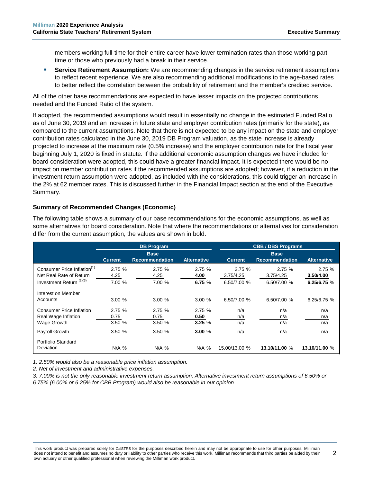members working full-time for their entire career have lower termination rates than those working parttime or those who previously had a break in their service.

 **Service Retirement Assumption:** We are recommending changes in the service retirement assumptions to reflect recent experience. We are also recommending additional modifications to the age-based rates to better reflect the correlation between the probability of retirement and the member's credited service.

All of the other base recommendations are expected to have lesser impacts on the projected contributions needed and the Funded Ratio of the system.

If adopted, the recommended assumptions would result in essentially no change in the estimated Funded Ratio as of June 30, 2019 and an increase in future state and employer contribution rates (primarily for the state), as compared to the current assumptions. Note that there is not expected to be any impact on the state and employer contribution rates calculated in the June 30, 2019 DB Program valuation, as the state increase is already projected to increase at the maximum rate (0.5% increase) and the employer contribution rate for the fiscal year beginning July 1, 2020 is fixed in statute. If the additional economic assumption changes we have included for board consideration were adopted, this could have a greater financial impact. It is expected there would be no impact on member contribution rates if the recommended assumptions are adopted; however, if a reduction in the investment return assumption were adopted, as included with the considerations, this could trigger an increase in the 2% at 62 member rates. This is discussed further in the Financial Impact section at the end of the Executive Summary.

# **Summary of Recommended Changes (Economic)**

The following table shows a summary of our base recommendations for the economic assumptions, as well as some alternatives for board consideration. Note that where the recommendations or alternatives for consideration differ from the current assumption, the values are shown in bold.

|                                                                                                           | <b>DB Program</b>       |                                      |                           | <b>CBB / DBS Programs</b>         |                                      |                                   |
|-----------------------------------------------------------------------------------------------------------|-------------------------|--------------------------------------|---------------------------|-----------------------------------|--------------------------------------|-----------------------------------|
|                                                                                                           | <b>Current</b>          | <b>Base</b><br><b>Recommendation</b> | <b>Alternative</b>        | <b>Current</b>                    | <b>Base</b><br><b>Recommendation</b> | <b>Alternative</b>                |
| Consumer Price Inflation <sup>(1)</sup><br>Net Real Rate of Return<br>Investment Return <sup>(2)(3)</sup> | 2.75%<br>4.25<br>7.00 % | 2.75%<br>4.25<br>7.00 %              | 2.75%<br>4.00<br>6.75 $%$ | 2.75%<br>3.75/4.25<br>6.50/7.00 % | 2.75%<br>3.75/4.25<br>6.50/7.00 %    | 2.75%<br>3.50/4.00<br>6.25/6.75 % |
| Interest on Member<br>Accounts                                                                            | 3.00%                   | 3.00%                                | 3.00%                     | 6.50/7.00 %                       | 6.50/7.00 %                          | 6.25/6.75 %                       |
| <b>Consumer Price Inflation</b><br>Real Wage Inflation<br>Wage Growth                                     | 2.75%<br>0.75<br>3.50 % | 2.75%<br>0.75<br>3.50 %              | 2.75%<br>0.50<br>3.25%    | n/a<br>n/a<br>n/a                 | n/a<br>n/a<br>n/a                    | n/a<br>n/a<br>n/a                 |
| Payroll Growth                                                                                            | 3.50%                   | 3.50%                                | 3.00%                     | n/a                               | n/a                                  | n/a                               |
| Portfolio Standard<br><b>Deviation</b>                                                                    | N/A %                   | $N/A$ %                              | $N/A$ %                   | 15.00/13.00 %                     | 13.10/11.00 %                        | 13.10/11.00 %                     |

*1. 2.50% would also be a reasonable price inflation assumption.*

*2. Net of investment and administrative expenses.*

*3. 7.00% is not the only reasonable investment return assumption. Alternative investment return assumptions of 6.50% or* 

*6.75% (6.00% or 6.25% for CBB Program) would also be reasonable in our opinion.*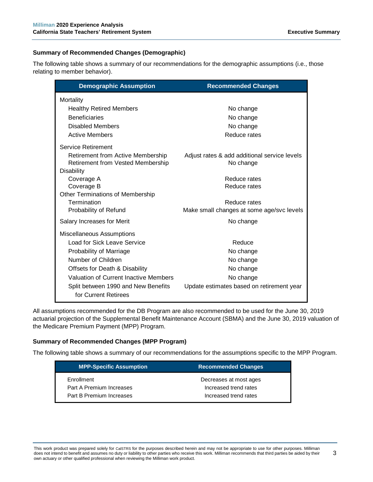# **Summary of Recommended Changes (Demographic)**

The following table shows a summary of our recommendations for the demographic assumptions (i.e., those relating to member behavior).

| <b>Demographic Assumption</b>                                          | <b>Recommended Changes</b>                                |
|------------------------------------------------------------------------|-----------------------------------------------------------|
| Mortality                                                              |                                                           |
| <b>Healthy Retired Members</b>                                         | No change                                                 |
| <b>Beneficiaries</b>                                                   | No change                                                 |
| Disabled Members                                                       | No change                                                 |
| <b>Active Members</b>                                                  | Reduce rates                                              |
| <b>Service Retirement</b>                                              |                                                           |
| Retirement from Active Membership<br>Retirement from Vested Membership | Adjust rates & add additional service levels<br>No change |
| <b>Disability</b><br>Coverage A                                        | Reduce rates                                              |
| Coverage B                                                             | Reduce rates                                              |
| <b>Other Terminations of Membership</b>                                |                                                           |
| Termination                                                            | Reduce rates                                              |
| Probability of Refund                                                  | Make small changes at some age/svc levels                 |
| Salary Increases for Merit                                             | No change                                                 |
| Miscellaneous Assumptions                                              |                                                           |
| <b>Load for Sick Leave Service</b>                                     | Reduce                                                    |
| Probability of Marriage                                                | No change                                                 |
| Number of Children                                                     | No change                                                 |
| Offsets for Death & Disability                                         | No change                                                 |
| <b>Valuation of Current Inactive Members</b>                           | No change                                                 |
| Split between 1990 and New Benefits<br>for Current Retirees            | Update estimates based on retirement year                 |

All assumptions recommended for the DB Program are also recommended to be used for the June 30, 2019 actuarial projection of the Supplemental Benefit Maintenance Account (SBMA) and the June 30, 2019 valuation of the Medicare Premium Payment (MPP) Program.

# **Summary of Recommended Changes (MPP Program)**

The following table shows a summary of our recommendations for the assumptions specific to the MPP Program.

| <b>MPP-Specific Assumption</b> | <b>Recommended Changes</b> |
|--------------------------------|----------------------------|
| Enrollment                     | Decreases at most ages     |
| Part A Premium Increases       | Increased trend rates      |
| Part B Premium Increases       | Increased trend rates      |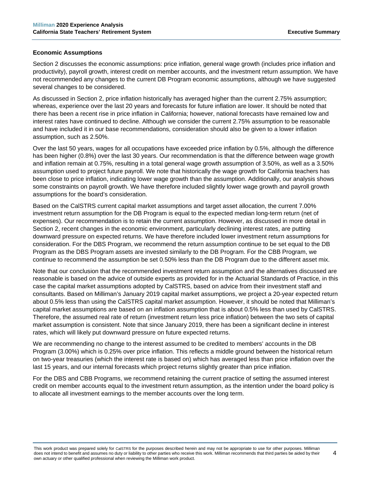# **Economic Assumptions**

Section 2 discusses the economic assumptions: price inflation, general wage growth (includes price inflation and productivity), payroll growth, interest credit on member accounts, and the investment return assumption. We have not recommended any changes to the current DB Program economic assumptions, although we have suggested several changes to be considered.

As discussed in Section 2, price inflation historically has averaged higher than the current 2.75% assumption; whereas, experience over the last 20 years and forecasts for future inflation are lower. It should be noted that there has been a recent rise in price inflation in California; however, national forecasts have remained low and interest rates have continued to decline. Although we consider the current 2.75% assumption to be reasonable and have included it in our base recommendations, consideration should also be given to a lower inflation assumption, such as 2.50%.

Over the last 50 years, wages for all occupations have exceeded price inflation by 0.5%, although the difference has been higher (0.8%) over the last 30 years. Our recommendation is that the difference between wage growth and inflation remain at 0.75%, resulting in a total general wage growth assumption of 3.50%, as well as a 3.50% assumption used to project future payroll. We note that historically the wage growth for California teachers has been close to price inflation, indicating lower wage growth than the assumption. Additionally, our analysis shows some constraints on payroll growth. We have therefore included slightly lower wage growth and payroll growth assumptions for the board's consideration.

Based on the CalSTRS current capital market assumptions and target asset allocation, the current 7.00% investment return assumption for the DB Program is equal to the expected median long-term return (net of expenses). Our recommendation is to retain the current assumption. However, as discussed in more detail in Section 2, recent changes in the economic environment, particularly declining interest rates, are putting downward pressure on expected returns. We have therefore included lower investment return assumptions for consideration. For the DBS Program, we recommend the return assumption continue to be set equal to the DB Program as the DBS Program assets are invested similarly to the DB Program. For the CBB Program, we continue to recommend the assumption be set 0.50% less than the DB Program due to the different asset mix.

Note that our conclusion that the recommended investment return assumption and the alternatives discussed are reasonable is based on the advice of outside experts as provided for in the Actuarial Standards of Practice, in this case the capital market assumptions adopted by CalSTRS, based on advice from their investment staff and consultants. Based on Milliman's January 2019 capital market assumptions, we project a 20-year expected return about 0.5% less than using the CalSTRS capital market assumption. However, it should be noted that Milliman's capital market assumptions are based on an inflation assumption that is about 0.5% less than used by CalSTRS. Therefore, the assumed real rate of return (investment return less price inflation) between the two sets of capital market assumption is consistent. Note that since January 2019, there has been a significant decline in interest rates, which will likely put downward pressure on future expected returns.

We are recommending no change to the interest assumed to be credited to members' accounts in the DB Program (3.00%) which is 0.25% over price inflation. This reflects a middle ground between the historical return on two-year treasuries (which the interest rate is based on) which has averaged less than price inflation over the last 15 years, and our internal forecasts which project returns slightly greater than price inflation.

For the DBS and CBB Programs, we recommend retaining the current practice of setting the assumed interest credit on member accounts equal to the investment return assumption, as the intention under the board policy is to allocate all investment earnings to the member accounts over the long term.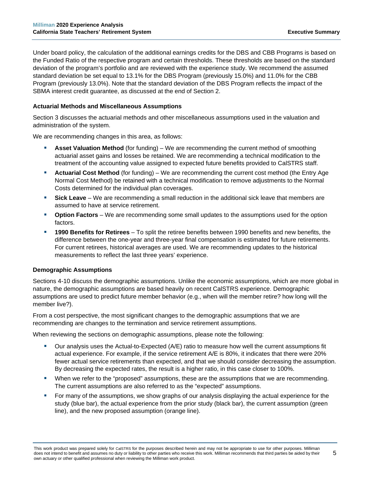Under board policy, the calculation of the additional earnings credits for the DBS and CBB Programs is based on the Funded Ratio of the respective program and certain thresholds. These thresholds are based on the standard deviation of the program's portfolio and are reviewed with the experience study. We recommend the assumed standard deviation be set equal to 13.1% for the DBS Program (previously 15.0%) and 11.0% for the CBB Program (previously 13.0%). Note that the standard deviation of the DBS Program reflects the impact of the SBMA interest credit guarantee, as discussed at the end of Section 2.

# **Actuarial Methods and Miscellaneous Assumptions**

Section 3 discusses the actuarial methods and other miscellaneous assumptions used in the valuation and administration of the system.

We are recommending changes in this area, as follows:

- **Asset Valuation Method** (for funding) We are recommending the current method of smoothing actuarial asset gains and losses be retained. We are recommending a technical modification to the treatment of the accounting value assigned to expected future benefits provided to CalSTRS staff.
- **Actuarial Cost Method** (for funding) We are recommending the current cost method (the Entry Age Normal Cost Method) be retained with a technical modification to remove adjustments to the Normal Costs determined for the individual plan coverages.
- **Sick Leave** We are recommending a small reduction in the additional sick leave that members are assumed to have at service retirement.
- **Option Factors** We are recommending some small updates to the assumptions used for the option factors.
- **1990 Benefits for Retirees**  To split the retiree benefits between 1990 benefits and new benefits, the difference between the one-year and three-year final compensation is estimated for future retirements. For current retirees, historical averages are used. We are recommending updates to the historical measurements to reflect the last three years' experience.

#### **Demographic Assumptions**

Sections 4-10 discuss the demographic assumptions. Unlike the economic assumptions, which are more global in nature, the demographic assumptions are based heavily on recent CalSTRS experience. Demographic assumptions are used to predict future member behavior (e.g., when will the member retire? how long will the member live?).

From a cost perspective, the most significant changes to the demographic assumptions that we are recommending are changes to the termination and service retirement assumptions.

When reviewing the sections on demographic assumptions, please note the following:

- Our analysis uses the Actual-to-Expected (A/E) ratio to measure how well the current assumptions fit actual experience. For example, if the service retirement A/E is 80%, it indicates that there were 20% fewer actual service retirements than expected, and that we should consider decreasing the assumption. By decreasing the expected rates, the result is a higher ratio, in this case closer to 100%.
- When we refer to the "proposed" assumptions, these are the assumptions that we are recommending. The current assumptions are also referred to as the "expected" assumptions.
- For many of the assumptions, we show graphs of our analysis displaying the actual experience for the study (blue bar), the actual experience from the prior study (black bar), the current assumption (green line), and the new proposed assumption (orange line).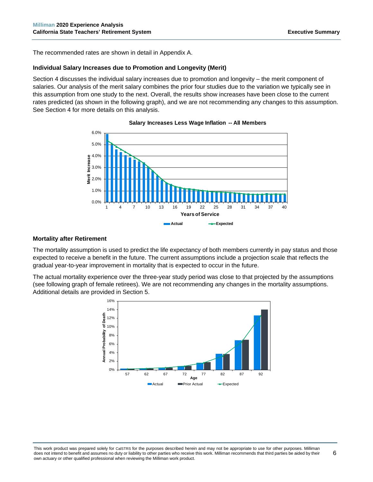The recommended rates are shown in detail in Appendix A.

# **Individual Salary Increases due to Promotion and Longevity (Merit)**

Section 4 discusses the individual salary increases due to promotion and longevity – the merit component of salaries. Our analysis of the merit salary combines the prior four studies due to the variation we typically see in this assumption from one study to the next. Overall, the results show increases have been close to the current rates predicted (as shown in the following graph), and we are not recommending any changes to this assumption. See Section 4 for more details on this analysis.



#### **Salary Increases Less Wage Inflation -- All Members**

# **Mortality after Retirement**

The mortality assumption is used to predict the life expectancy of both members currently in pay status and those expected to receive a benefit in the future. The current assumptions include a projection scale that reflects the gradual year-to-year improvement in mortality that is expected to occur in the future.

The actual mortality experience over the three-year study period was close to that projected by the assumptions (see following graph of female retirees). We are not recommending any changes in the mortality assumptions. Additional details are provided in Section 5.

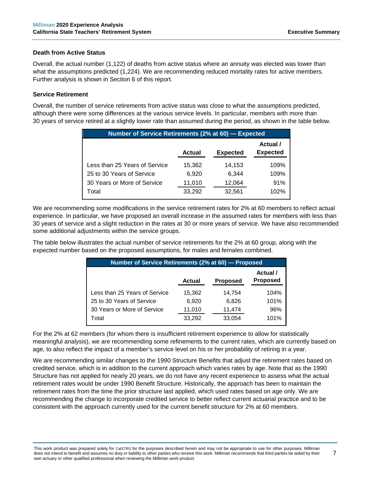# **Death from Active Status**

Overall, the actual number (1,122) of deaths from active status where an annuity was elected was lower than what the assumptions predicted (1,224). We are recommending reduced mortality rates for active members. Further analysis is shown in Section 6 of this report.

# **Service Retirement**

Overall, the number of service retirements from active status was close to what the assumptions predicted, although there were some differences at the various service levels. In particular, members with more than 30 years of service retired at a slightly lower rate than assumed during the period, as shown in the table below.

| Number of Service Retirements (2% at 60) - Expected |        |                 |                             |  |  |  |  |
|-----------------------------------------------------|--------|-----------------|-----------------------------|--|--|--|--|
|                                                     | Actual | <b>Expected</b> | Actual /<br><b>Expected</b> |  |  |  |  |
| Less than 25 Years of Service                       | 15,362 | 14,153          | 109%                        |  |  |  |  |
| 25 to 30 Years of Service                           | 6.920  | 6.344           | 109%                        |  |  |  |  |
| 30 Years or More of Service                         | 11,010 | 12,064          | 91%                         |  |  |  |  |
| Total                                               | 33,292 | 32,561          | 102%                        |  |  |  |  |

We are recommending some modifications in the service retirement rates for 2% at 60 members to reflect actual experience. In particular, we have proposed an overall increase in the assumed rates for members with less than 30 years of service and a slight reduction in the rates at 30 or more years of service. We have also recommended some additional adjustments within the service groups.

The table below illustrates the actual number of service retirements for the 2% at 60 group, along with the expected number based on the proposed assumptions, for males and females combined.

| Number of Service Retirements (2% at 60) - Proposed |               |                 |                             |  |  |  |  |
|-----------------------------------------------------|---------------|-----------------|-----------------------------|--|--|--|--|
|                                                     | <b>Actual</b> | <b>Proposed</b> | Actual /<br><b>Proposed</b> |  |  |  |  |
| Less than 25 Years of Service                       | 15,362        | 14.754          | 104%                        |  |  |  |  |
| 25 to 30 Years of Service                           | 6,920         | 6.826           | 101%                        |  |  |  |  |
| 30 Years or More of Service                         | 11,010        | 11,474          | 96%                         |  |  |  |  |
| Total                                               | 33,292        | 33,054          | 101%                        |  |  |  |  |

For the 2% at 62 members (for whom there is insufficient retirement experience to allow for statistically meaningful analysis), we are recommending some refinements to the current rates, which are currently based on age, to also reflect the impact of a member's service level on his or her probability of retiring in a year.

We are recommending similar changes to the 1990 Structure Benefits that adjust the retirement rates based on credited service, which is in addition to the current approach which varies rates by age. Note that as the 1990 Structure has not applied for nearly 20 years, we do not have any recent experience to assess what the actual retirement rates would be under 1990 Benefit Structure. Historically, the approach has been to maintain the retirement rates from the time the prior structure last applied, which used rates based on age only. We are recommending the change to incorporate credited service to better reflect current actuarial practice and to be consistent with the approach currently used for the current benefit structure for 2% at 60 members.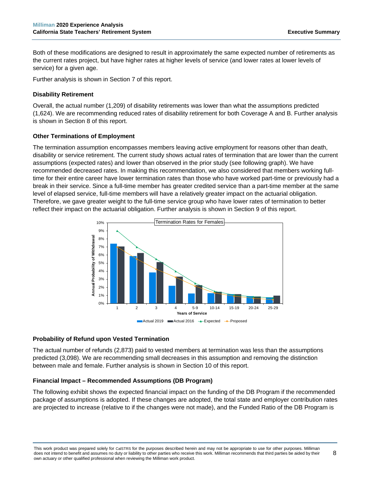Both of these modifications are designed to result in approximately the same expected number of retirements as the current rates project, but have higher rates at higher levels of service (and lower rates at lower levels of service) for a given age.

Further analysis is shown in Section 7 of this report.

# **Disability Retirement**

Overall, the actual number (1,209) of disability retirements was lower than what the assumptions predicted (1,624). We are recommending reduced rates of disability retirement for both Coverage A and B. Further analysis is shown in Section 8 of this report.

# **Other Terminations of Employment**

The termination assumption encompasses members leaving active employment for reasons other than death, disability or service retirement. The current study shows actual rates of termination that are lower than the current assumptions (expected rates) and lower than observed in the prior study (see following graph). We have recommended decreased rates. In making this recommendation, we also considered that members working fulltime for their entire career have lower termination rates than those who have worked part-time or previously had a break in their service. Since a full-time member has greater credited service than a part-time member at the same level of elapsed service, full-time members will have a relatively greater impact on the actuarial obligation. Therefore, we gave greater weight to the full-time service group who have lower rates of termination to better reflect their impact on the actuarial obligation. Further analysis is shown in Section 9 of this report.



#### **Probability of Refund upon Vested Termination**

The actual number of refunds (2,873) paid to vested members at termination was less than the assumptions predicted (3,098). We are recommending small decreases in this assumption and removing the distinction between male and female. Further analysis is shown in Section 10 of this report.

# **Financial Impact – Recommended Assumptions (DB Program)**

The following exhibit shows the expected financial impact on the funding of the DB Program if the recommended package of assumptions is adopted. If these changes are adopted, the total state and employer contribution rates are projected to increase (relative to if the changes were not made), and the Funded Ratio of the DB Program is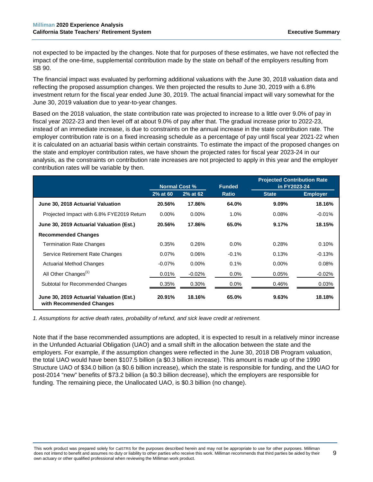not expected to be impacted by the changes. Note that for purposes of these estimates, we have not reflected the impact of the one-time, supplemental contribution made by the state on behalf of the employers resulting from SB 90.

The financial impact was evaluated by performing additional valuations with the June 30, 2018 valuation data and reflecting the proposed assumption changes. We then projected the results to June 30, 2019 with a 6.8% investment return for the fiscal year ended June 30, 2019. The actual financial impact will vary somewhat for the June 30, 2019 valuation due to year-to-year changes.

Based on the 2018 valuation, the state contribution rate was projected to increase to a little over 9.0% of pay in fiscal year 2022-23 and then level off at about 9.0% of pay after that. The gradual increase prior to 2022-23, instead of an immediate increase, is due to constraints on the annual increase in the state contribution rate. The employer contribution rate is on a fixed increasing schedule as a percentage of pay until fiscal year 2021-22 when it is calculated on an actuarial basis within certain constraints. To estimate the impact of the proposed changes on the state and employer contribution rates, we have shown the projected rates for fiscal year 2023-24 in our analysis, as the constraints on contribution rate increases are not projected to apply in this year and the employer contribution rates will be variable by then.

|                                                                      | <b>Normal Cost %</b> |           | <b>Funded</b> | <b>Projected Contribution Rate</b><br>in FY2023-24 |                 |
|----------------------------------------------------------------------|----------------------|-----------|---------------|----------------------------------------------------|-----------------|
|                                                                      | 2% at 60             | 2% at 62  | <b>Ratio</b>  | <b>State</b>                                       | <b>Employer</b> |
| June 30, 2018 Actuarial Valuation                                    | 20.56%               | 17.86%    | 64.0%         | $9.09\%$                                           | 18.16%          |
| Projected Impact with 6.8% FYE2019 Return                            | $0.00\%$             | $0.00\%$  | 1.0%          | 0.08%                                              | $-0.01%$        |
| June 30, 2019 Actuarial Valuation (Est.)                             | 20.56%               | 17.86%    | 65.0%         | 9.17%                                              | 18.15%          |
| <b>Recommended Changes</b>                                           |                      |           |               |                                                    |                 |
| <b>Termination Rate Changes</b>                                      | 0.35%                | 0.26%     | $0.0\%$       | 0.28%                                              | 0.10%           |
| Service Retirement Rate Changes                                      | 0.07%                | 0.06%     | $-0.1%$       | 0.13%                                              | $-0.13%$        |
| <b>Actuarial Method Changes</b>                                      | $-0.07\%$            | $0.00\%$  | 0.1%          | $0.00\%$                                           | 0.08%           |
| All Other Changes <sup>(1)</sup>                                     | $0.01\%$             | $-0.02\%$ | $0.0\%$       | 0.05%                                              | $-0.02\%$       |
| Subtotal for Recommended Changes                                     | 0.35%                | 0.30%     | $0.0\%$       | 0.46%                                              | 0.03%           |
| June 30, 2019 Actuarial Valuation (Est.)<br>with Recommended Changes | 20.91%               | 18.16%    | 65.0%         | 9.63%                                              | 18.18%          |

*1. Assumptions for active death rates, probability of refund, and sick leave credit at retirement.*

Note that if the base recommended assumptions are adopted, it is expected to result in a relatively minor increase in the Unfunded Actuarial Obligation (UAO) and a small shift in the allocation between the state and the employers. For example, if the assumption changes were reflected in the June 30, 2018 DB Program valuation, the total UAO would have been \$107.5 billion (a \$0.3 billion increase). This amount is made up of the 1990 Structure UAO of \$34.0 billion (a \$0.6 billion increase), which the state is responsible for funding, and the UAO for post-2014 "new" benefits of \$73.2 billion (a \$0.3 billion decrease), which the employers are responsible for funding. The remaining piece, the Unallocated UAO, is \$0.3 billion (no change).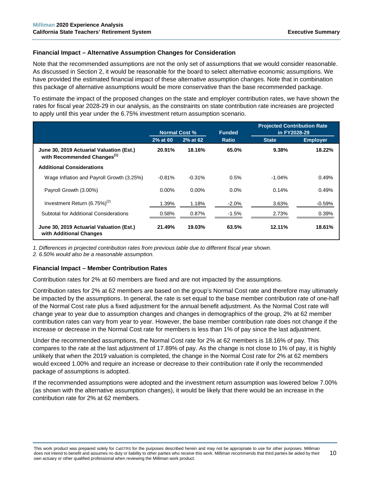# **Financial Impact – Alternative Assumption Changes for Consideration**

Note that the recommended assumptions are not the only set of assumptions that we would consider reasonable. As discussed in Section 2, it would be reasonable for the board to select alternative economic assumptions. We have provided the estimated financial impact of these alternative assumption changes. Note that in combination this package of alternative assumptions would be more conservative than the base recommended package.

To estimate the impact of the proposed changes on the state and employer contribution rates, we have shown the rates for fiscal year 2028-29 in our analysis, as the constraints on state contribution rate increases are projected to apply until this year under the 6.75% investment return assumption scenario.

|                                                                                     | <b>Normal Cost %</b> |          | <b>Funded</b> | <b>Projected Contribution Rate</b><br>in FY2028-29 |                 |
|-------------------------------------------------------------------------------------|----------------------|----------|---------------|----------------------------------------------------|-----------------|
|                                                                                     | 2% at 60             | 2% at 62 | <b>Ratio</b>  | <b>State</b>                                       | <b>Employer</b> |
| June 30, 2019 Actuarial Valuation (Est.)<br>with Recommended Changes <sup>(1)</sup> | 20.91%               | 18.16%   | 65.0%         | 9.38%                                              | 18.22%          |
| <b>Additional Considerations</b>                                                    |                      |          |               |                                                    |                 |
| Wage Inflation and Payroll Growth (3.25%)                                           | $-0.81%$             | $-0.31%$ | 0.5%          | $-1.04%$                                           | 0.49%           |
| Payroll Growth (3.00%)                                                              | $0.00\%$             | $0.00\%$ | $0.0\%$       | 0.14%                                              | 0.49%           |
| Investment Return $(6.75\%)^{(2)}$                                                  | 1.39%                | 1.18%    | $-2.0\%$      | 3.63%                                              | $-0.59%$        |
| Subtotal for Additional Considerations                                              | 0.58%                | 0.87%    | $-1.5%$       | 2.73%                                              | 0.39%           |
| June 30, 2019 Actuarial Valuation (Est.)<br>with Additional Changes                 | 21.49%               | 19.03%   | 63.5%         | 12.11%                                             | 18.61%          |

*1. Differences in projected contribution rates from previous table due to different fiscal year shown.*

*2. 6.50% would also be a reasonable assumption.*

#### **Financial Impact – Member Contribution Rates**

Contribution rates for 2% at 60 members are fixed and are not impacted by the assumptions.

Contribution rates for 2% at 62 members are based on the group's Normal Cost rate and therefore may ultimately be impacted by the assumptions. In general, the rate is set equal to the base member contribution rate of one-half of the Normal Cost rate plus a fixed adjustment for the annual benefit adjustment. As the Normal Cost rate will change year to year due to assumption changes and changes in demographics of the group, 2% at 62 member contribution rates can vary from year to year. However, the base member contribution rate does not change if the increase or decrease in the Normal Cost rate for members is less than 1% of pay since the last adjustment.

Under the recommended assumptions, the Normal Cost rate for 2% at 62 members is 18.16% of pay. This compares to the rate at the last adjustment of 17.89% of pay. As the change is not close to 1% of pay, it is highly unlikely that when the 2019 valuation is completed, the change in the Normal Cost rate for 2% at 62 members would exceed 1.00% and require an increase or decrease to their contribution rate if only the recommended package of assumptions is adopted.

If the recommended assumptions were adopted and the investment return assumption was lowered below 7.00% (as shown with the alternative assumption changes), it would be likely that there would be an increase in the contribution rate for 2% at 62 members.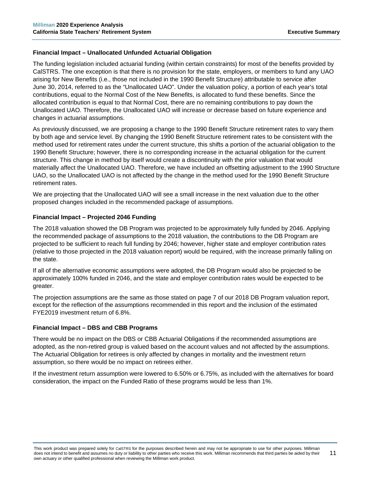# **Financial Impact – Unallocated Unfunded Actuarial Obligation**

The funding legislation included actuarial funding (within certain constraints) for most of the benefits provided by CalSTRS. The one exception is that there is no provision for the state, employers, or members to fund any UAO arising for New Benefits (i.e., those not included in the 1990 Benefit Structure) attributable to service after June 30, 2014, referred to as the "Unallocated UAO". Under the valuation policy, a portion of each year's total contributions, equal to the Normal Cost of the New Benefits, is allocated to fund these benefits. Since the allocated contribution is equal to that Normal Cost, there are no remaining contributions to pay down the Unallocated UAO. Therefore, the Unallocated UAO will increase or decrease based on future experience and changes in actuarial assumptions.

As previously discussed, we are proposing a change to the 1990 Benefit Structure retirement rates to vary them by both age and service level. By changing the 1990 Benefit Structure retirement rates to be consistent with the method used for retirement rates under the current structure, this shifts a portion of the actuarial obligation to the 1990 Benefit Structure; however, there is no corresponding increase in the actuarial obligation for the current structure. This change in method by itself would create a discontinuity with the prior valuation that would materially affect the Unallocated UAO. Therefore, we have included an offsetting adjustment to the 1990 Structure UAO, so the Unallocated UAO is not affected by the change in the method used for the 1990 Benefit Structure retirement rates.

We are projecting that the Unallocated UAO will see a small increase in the next valuation due to the other proposed changes included in the recommended package of assumptions.

# **Financial Impact – Projected 2046 Funding**

The 2018 valuation showed the DB Program was projected to be approximately fully funded by 2046. Applying the recommended package of assumptions to the 2018 valuation, the contributions to the DB Program are projected to be sufficient to reach full funding by 2046; however, higher state and employer contribution rates (relative to those projected in the 2018 valuation report) would be required, with the increase primarily falling on the state.

If all of the alternative economic assumptions were adopted, the DB Program would also be projected to be approximately 100% funded in 2046, and the state and employer contribution rates would be expected to be greater.

The projection assumptions are the same as those stated on page 7 of our 2018 DB Program valuation report, except for the reflection of the assumptions recommended in this report and the inclusion of the estimated FYE2019 investment return of 6.8%.

# **Financial Impact – DBS and CBB Programs**

There would be no impact on the DBS or CBB Actuarial Obligations if the recommended assumptions are adopted, as the non-retired group is valued based on the account values and not affected by the assumptions. The Actuarial Obligation for retirees is only affected by changes in mortality and the investment return assumption, so there would be no impact on retirees either.

If the investment return assumption were lowered to 6.50% or 6.75%, as included with the alternatives for board consideration, the impact on the Funded Ratio of these programs would be less than 1%.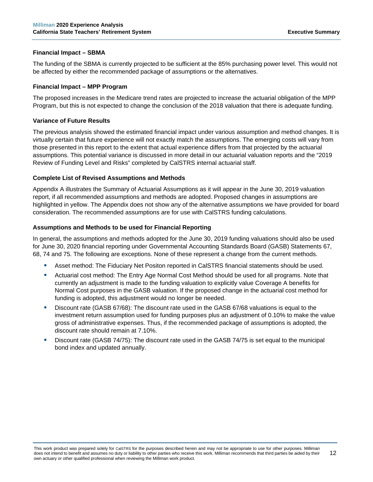# **Financial Impact – SBMA**

The funding of the SBMA is currently projected to be sufficient at the 85% purchasing power level. This would not be affected by either the recommended package of assumptions or the alternatives.

# **Financial Impact – MPP Program**

The proposed increases in the Medicare trend rates are projected to increase the actuarial obligation of the MPP Program, but this is not expected to change the conclusion of the 2018 valuation that there is adequate funding.

# **Variance of Future Results**

The previous analysis showed the estimated financial impact under various assumption and method changes. It is virtually certain that future experience will not exactly match the assumptions. The emerging costs will vary from those presented in this report to the extent that actual experience differs from that projected by the actuarial assumptions. This potential variance is discussed in more detail in our actuarial valuation reports and the "2019 Review of Funding Level and Risks" completed by CalSTRS internal actuarial staff.

# **Complete List of Revised Assumptions and Methods**

Appendix A illustrates the Summary of Actuarial Assumptions as it will appear in the June 30, 2019 valuation report, if all recommended assumptions and methods are adopted. Proposed changes in assumptions are highlighted in yellow. The Appendix does not show any of the alternative assumptions we have provided for board consideration. The recommended assumptions are for use with CalSTRS funding calculations.

# **Assumptions and Methods to be used for Financial Reporting**

In general, the assumptions and methods adopted for the June 30, 2019 funding valuations should also be used for June 30, 2020 financial reporting under Governmental Accounting Standards Board (GASB) Statements 67, 68, 74 and 75. The following are exceptions. None of these represent a change from the current methods.

- Asset method: The Fiduciary Net Positon reported in CalSTRS financial statements should be used.
- Actuarial cost method: The Entry Age Normal Cost Method should be used for all programs. Note that currently an adjustment is made to the funding valuation to explicitly value Coverage A benefits for Normal Cost purposes in the GASB valuation. If the proposed change in the actuarial cost method for funding is adopted, this adjustment would no longer be needed.
- Discount rate (GASB 67/68): The discount rate used in the GASB 67/68 valuations is equal to the investment return assumption used for funding purposes plus an adjustment of 0.10% to make the value gross of administrative expenses. Thus, if the recommended package of assumptions is adopted, the discount rate should remain at 7.10%.
- Discount rate (GASB 74/75): The discount rate used in the GASB 74/75 is set equal to the municipal bond index and updated annually.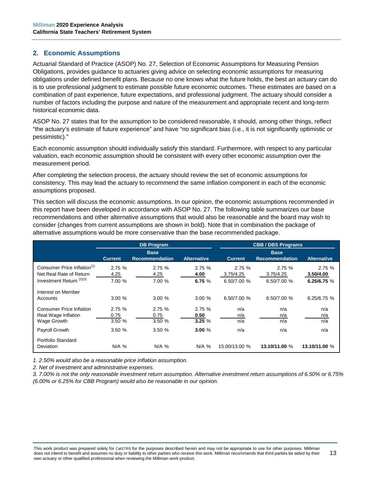# <span id="page-18-0"></span>**2. Economic Assumptions**

Actuarial Standard of Practice (ASOP) No. 27, Selection of Economic Assumptions for Measuring Pension Obligations, provides guidance to actuaries giving advice on selecting economic assumptions for measuring obligations under defined benefit plans. Because no one knows what the future holds, the best an actuary can do is to use professional judgment to estimate possible future economic outcomes. These estimates are based on a combination of past experience, future expectations, and professional judgment. The actuary should consider a number of factors including the purpose and nature of the measurement and appropriate recent and long-term historical economic data.

ASOP No. 27 states that for the assumption to be considered reasonable, it should, among other things, reflect "the actuary's estimate of future experience" and have "no significant bias (i.e., it is not significantly optimistic or pessimistic)."

Each economic assumption should individually satisfy this standard. Furthermore, with respect to any particular valuation, each economic assumption should be consistent with every other economic assumption over the measurement period.

After completing the selection process, the actuary should review the set of economic assumptions for consistency. This may lead the actuary to recommend the same inflation component in each of the economic assumptions proposed.

This section will discuss the economic assumptions. In our opinion, the economic assumptions recommended in this report have been developed in accordance with ASOP No. 27. The following table summarizes our base recommendations and other alternative assumptions that would also be reasonable and the board may wish to consider (changes from current assumptions are shown in bold). Note that in combination the package of alternative assumptions would be more conservative than the base recommended package.

|                                                                       | <b>DB Program</b>        |                                      |                        | <b>CBB/DBS Programs</b> |                                      |                    |
|-----------------------------------------------------------------------|--------------------------|--------------------------------------|------------------------|-------------------------|--------------------------------------|--------------------|
|                                                                       | <b>Current</b>           | <b>Base</b><br><b>Recommendation</b> | <b>Alternative</b>     | <b>Current</b>          | <b>Base</b><br><b>Recommendation</b> | <b>Alternative</b> |
| Consumer Price Inflation <sup>(1)</sup><br>Net Real Rate of Return    | 2.75%<br>4.25            | 2.75%<br>4.25                        | 2.75%<br>4.00          | 2.75%<br>3.75/4.25      | 2.75 %<br>3.75/4.25                  | 2.75%<br>3.50/4.00 |
| Investment Return <sup>(2)(3)</sup>                                   | 7.00 %                   | 7.00 %                               | 6.75 $%$               | 6.50/7.00 %             | 6.50/7.00 %                          | 6.25/6.75 %        |
| Interest on Member<br>Accounts                                        | 3.00%                    | 3.00%                                | 3.00%                  | 6.50/7.00 %             | 6.50/7.00 %                          | 6.25/6.75 %        |
| <b>Consumer Price Inflation</b><br>Real Wage Inflation<br>Wage Growth | 2.75 %<br>0.75<br>3.50 % | 2.75%<br>0.75<br>3.50%               | 2.75%<br>0.50<br>3.25% | n/a<br>n/a<br>n/a       | n/a<br>n/a<br>n/a                    | n/a<br>n/a<br>n/a  |
| Payroll Growth                                                        | 3.50%                    | 3.50%                                | 3.00%                  | n/a                     | n/a                                  | n/a                |
| Portfolio Standard<br><b>Deviation</b>                                | N/A %                    | $N/A$ %                              | $N/A$ %                | 15.00/13.00 %           | 13.10/11.00 %                        | 13.10/11.00 %      |

*1. 2.50% would also be a reasonable price inflation assumption.*

*2. Net of investment and administrative expenses.*

*3. 7.00% is not the only reasonable investment return assumption. Alternative investment return assumptions of 6.50% or 6.75% (6.00% or 6.25% for CBB Program) would also be reasonable in our opinion.*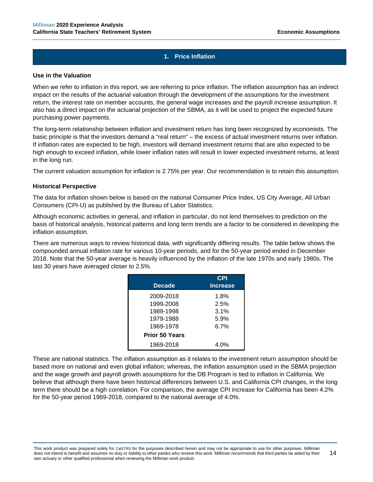# **1. Price Inflation**

#### **Use in the Valuation**

When we refer to inflation in this report, we are referring to price inflation. The inflation assumption has an indirect impact on the results of the actuarial valuation through the development of the assumptions for the investment return, the interest rate on member accounts, the general wage increases and the payroll increase assumption. It also has a direct impact on the actuarial projection of the SBMA, as it will be used to project the expected future purchasing power payments.

The long-term relationship between inflation and investment return has long been recognized by economists. The basic principle is that the investors demand a "real return" – the excess of actual investment returns over inflation. If inflation rates are expected to be high, investors will demand investment returns that are also expected to be high enough to exceed inflation, while lower inflation rates will result in lower expected investment returns, at least in the long run.

The current valuation assumption for inflation is 2.75% per year. Our recommendation is to retain this assumption.

#### **Historical Perspective**

The data for inflation shown below is based on the national Consumer Price Index, US City Average, All Urban Consumers (CPI-U) as published by the Bureau of Labor Statistics.

Although economic activities in general, and inflation in particular, do not lend themselves to prediction on the basis of historical analysis, historical patterns and long term trends are a factor to be considered in developing the inflation assumption.

There are numerous ways to review historical data, with significantly differing results. The table below shows the compounded annual inflation rate for various 10-year periods, and for the 50-year period ended in December 2018. Note that the 50-year average is heavily influenced by the inflation of the late 1970s and early 1980s. The last 30 years have averaged closer to 2.5%.

| <b>Decade</b>         | CPI<br><b>Increase</b> |
|-----------------------|------------------------|
|                       |                        |
| 2009-2018             | 1.8%                   |
| 1999-2008             | 2.5%                   |
| 1989-1998             | 3.1%                   |
| 1979-1988             | 5.9%                   |
| 1969-1978             | 6.7%                   |
| <b>Prior 50 Years</b> |                        |
| 1969-2018             | 4.0%                   |

These are national statistics. The inflation assumption as it relates to the investment return assumption should be based more on national and even global inflation; whereas, the inflation assumption used in the SBMA projection and the wage growth and payroll growth assumptions for the DB Program is tied to inflation in California. We believe that although there have been historical differences between U.S. and California CPI changes, in the long term there should be a high correlation. For comparison, the average CPI increase for California has been 4.2% for the 50-year period 1969-2018, compared to the national average of 4.0%.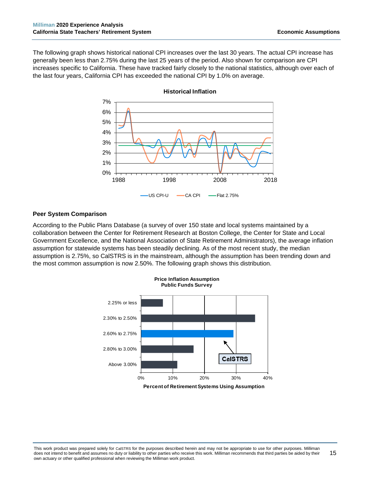The following graph shows historical national CPI increases over the last 30 years. The actual CPI increase has generally been less than 2.75% during the last 25 years of the period. Also shown for comparison are CPI increases specific to California. These have tracked fairly closely to the national statistics, although over each of the last four years, California CPI has exceeded the national CPI by 1.0% on average.



**Historical Inflation**

#### **Peer System Comparison**

According to the Public Plans Database (a survey of over 150 state and local systems maintained by a collaboration between the Center for Retirement Research at Boston College, the Center for State and Local Government Excellence, and the National Association of State Retirement Administrators), the average inflation assumption for statewide systems has been steadily declining. As of the most recent study, the median assumption is 2.75%, so CalSTRS is in the mainstream, although the assumption has been trending down and the most common assumption is now 2.50%. The following graph shows this distribution.

**Price Inflation Assumption**



**Percent of Retirement Systems Using Assumption**

This work product was prepared solely for CalSTRS for the purposes described herein and may not be appropriate to use for other purposes. Milliman does not intend to benefit and assumes no duty or liability to other parties who receive this work. Milliman recommends that third parties be aided by their own actuary or other qualified professional when reviewing the Milliman work product. 15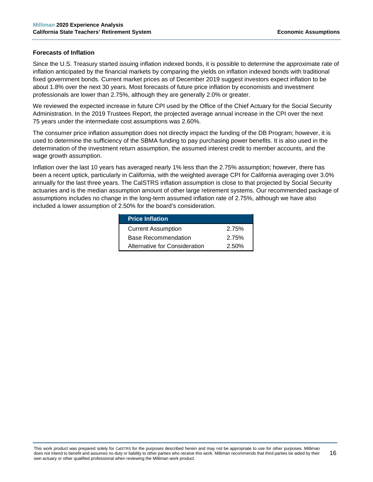#### **Forecasts of Inflation**

Since the U.S. Treasury started issuing inflation indexed bonds, it is possible to determine the approximate rate of inflation anticipated by the financial markets by comparing the yields on inflation indexed bonds with traditional fixed government bonds. Current market prices as of December 2019 suggest investors expect inflation to be about 1.8% over the next 30 years. Most forecasts of future price inflation by economists and investment professionals are lower than 2.75%, although they are generally 2.0% or greater.

We reviewed the expected increase in future CPI used by the Office of the Chief Actuary for the Social Security Administration. In the 2019 Trustees Report, the projected average annual increase in the CPI over the next 75 years under the intermediate cost assumptions was 2.60%.

The consumer price inflation assumption does not directly impact the funding of the DB Program; however, it is used to determine the sufficiency of the SBMA funding to pay purchasing power benefits. It is also used in the determination of the investment return assumption, the assumed interest credit to member accounts, and the wage growth assumption.

Inflation over the last 10 years has averaged nearly 1% less than the 2.75% assumption; however, there has been a recent uptick, particularly in California, with the weighted average CPI for California averaging over 3.0% annually for the last three years. The CalSTRS inflation assumption is close to that projected by Social Security actuaries and is the median assumption amount of other large retirement systems. Our recommended package of assumptions includes no change in the long-term assumed inflation rate of 2.75%, although we have also included a lower assumption of 2.50% for the board's consideration.

| <b>Price Inflation</b>        |       |
|-------------------------------|-------|
| <b>Current Assumption</b>     | 2.75% |
| <b>Base Recommendation</b>    | 2.75% |
| Alternative for Consideration | 2.50% |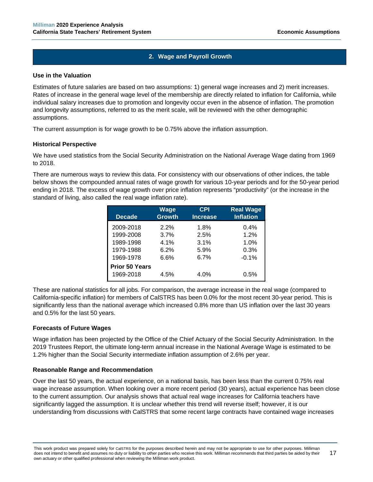# **2. Wage and Payroll Growth**

#### **Use in the Valuation**

Estimates of future salaries are based on two assumptions: 1) general wage increases and 2) merit increases. Rates of increase in the general wage level of the membership are directly related to inflation for California, while individual salary increases due to promotion and longevity occur even in the absence of inflation. The promotion and longevity assumptions, referred to as the merit scale, will be reviewed with the other demographic assumptions.

The current assumption is for wage growth to be 0.75% above the inflation assumption.

# **Historical Perspective**

We have used statistics from the Social Security Administration on the National Average Wage dating from 1969 to 2018.

There are numerous ways to review this data. For consistency with our observations of other indices, the table below shows the compounded annual rates of wage growth for various 10-year periods and for the 50-year period ending in 2018. The excess of wage growth over price inflation represents "productivity" (or the increase in the standard of living, also called the real wage inflation rate).

| <b>Decade</b>         | <b>Wage</b><br><b>Growth</b> | <b>CPI</b><br><b>Increase</b> | <b>Real Wage</b><br><b>Inflation</b> |
|-----------------------|------------------------------|-------------------------------|--------------------------------------|
| 2009-2018             | 2.2%                         | 1.8%                          | 0.4%                                 |
| 1999-2008             | 3.7%                         | 2.5%                          | 1.2%                                 |
| 1989-1998             | 4.1%                         | 3.1%                          | 1.0%                                 |
| 1979-1988             | 6.2%                         | 5.9%                          | 0.3%                                 |
| 1969-1978             | 6.6%                         | 6.7%                          | $-0.1%$                              |
| <b>Prior 50 Years</b> |                              |                               |                                      |
| 1969-2018             | 4.5%                         | 4.0%                          | 0.5%                                 |

These are national statistics for all jobs. For comparison, the average increase in the real wage (compared to California-specific inflation) for members of CalSTRS has been 0.0% for the most recent 30-year period. This is significantly less than the national average which increased 0.8% more than US inflation over the last 30 years and 0.5% for the last 50 years.

#### **Forecasts of Future Wages**

Wage inflation has been projected by the Office of the Chief Actuary of the Social Security Administration. In the 2019 Trustees Report, the ultimate long-term annual increase in the National Average Wage is estimated to be 1.2% higher than the Social Security intermediate inflation assumption of 2.6% per year.

#### **Reasonable Range and Recommendation**

Over the last 50 years, the actual experience, on a national basis, has been less than the current 0.75% real wage increase assumption. When looking over a more recent period (30 years), actual experience has been close to the current assumption. Our analysis shows that actual real wage increases for California teachers have significantly lagged the assumption. It is unclear whether this trend will reverse itself; however, it is our understanding from discussions with CalSTRS that some recent large contracts have contained wage increases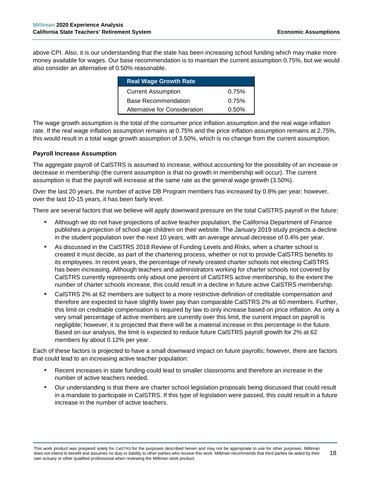above CPI. Also, it is our understanding that the state has been increasing school funding which may make more money available for wages. Our base recommendation is to maintain the current assumption 0.75%, but we would also consider an alternative of 0.50% reasonable.

| <b>Real Wage Growth Rate</b>  |          |
|-------------------------------|----------|
| <b>Current Assumption</b>     | 0.75%    |
| <b>Base Recommendation</b>    | 0.75%    |
| Alternative for Consideration | $0.50\%$ |

The wage growth assumption is the total of the consumer price inflation assumption and the real wage inflation rate. If the real wage inflation assumption remains at 0.75% and the price inflation assumption remains at 2.75%, this would result in a total wage growth assumption of 3.50%, which is no change from the current assumption.

# **Payroll Increase Assumption**

The aggregate payroll of CalSTRS is assumed to increase, without accounting for the possibility of an increase or decrease in membership (the current assumption is that no growth in membership will occur). The current assumption is that the payroll will increase at the same rate as the general wage growth (3.50%).

Over the last 20 years, the number of active DB Program members has increased by 0.8% per year; however, over the last 10-15 years, it has been fairly level.

There are several factors that we believe will apply downward pressure on the total CalSTRS payroll in the future:

- Although we do not have projections of active teacher population, the California Department of Finance publishes a projection of school age children on their website. The January 2019 study projects a decline in the student population over the next 10 years, with an average annual decrease of 0.4% per year.
- As discussed in the CalSTRS 2018 Review of Funding Levels and Risks, when a charter school is created it must decide, as part of the chartering process, whether or not to provide CalSTRS benefits to its employees. In recent years, the percentage of newly created charter schools not electing CalSTRS has been increasing. Although teachers and administrators working for charter schools not covered by CalSTRS currently represents only about one percent of CalSTRS active membership, to the extent the number of charter schools increase, this could result in a decline in future active CalSTRS membership.
- CalSTRS 2% at 62 members are subject to a more restrictive definition of creditable compensation and therefore are expected to have slightly lower pay than comparable CalSTRS 2% at 60 members. Further, this limit on creditable compensation is required by law to only increase based on price inflation. As only a very small percentage of active members are currently over this limit, the current impact on payroll is negligible; however, it is projected that there will be a material increase in this percentage in the future. Based on our analysis, the limit is expected to reduce future CalSTRS payroll growth for 2% at 62 members by about 0.12% per year.

Each of these factors is projected to have a small downward impact on future payrolls; however, there are factors that could lead to an increasing active teacher population:

- Recent increases in state funding could lead to smaller classrooms and therefore an increase in the number of active teachers needed.
- Our understanding is that there are charter school legislation proposals being discussed that could result in a mandate to participate in CalSTRS. If this type of legislation were passed, this could result in a future increase in the number of active teachers.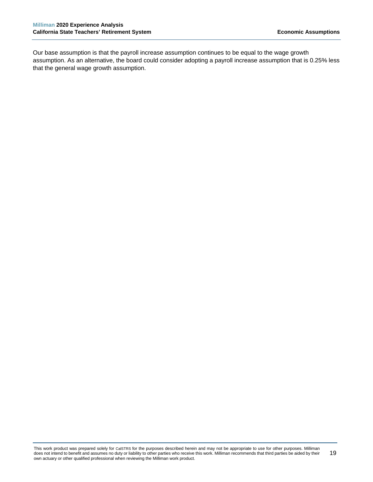Our base assumption is that the payroll increase assumption continues to be equal to the wage growth assumption. As an alternative, the board could consider adopting a payroll increase assumption that is 0.25% less that the general wage growth assumption.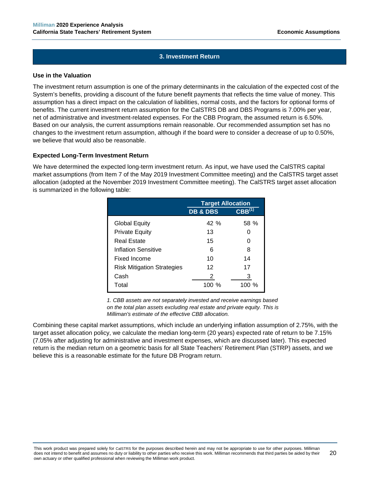# **3. Investment Return**

#### **Use in the Valuation**

The investment return assumption is one of the primary determinants in the calculation of the expected cost of the System's benefits, providing a discount of the future benefit payments that reflects the time value of money. This assumption has a direct impact on the calculation of liabilities, normal costs, and the factors for optional forms of benefits. The current investment return assumption for the CalSTRS DB and DBS Programs is 7.00% per year, net of administrative and investment-related expenses. For the CBB Program, the assumed return is 6.50%. Based on our analysis, the current assumptions remain reasonable. Our recommended assumption set has no changes to the investment return assumption, although if the board were to consider a decrease of up to 0.50%, we believe that would also be reasonable.

#### **Expected Long-Term Investment Return**

We have determined the expected long-term investment return. As input, we have used the CalSTRS capital market assumptions (from Item 7 of the May 2019 Investment Committee meeting) and the CalSTRS target asset allocation (adopted at the November 2019 Investment Committee meeting). The CalSTRS target asset allocation is summarized in the following table:

|                                   | <b>Target Allocation</b> |                   |
|-----------------------------------|--------------------------|-------------------|
|                                   | <b>DB &amp; DBS</b>      | ${\bf CBB}^{(1)}$ |
| Global Equity                     | 42 %                     | 58 %              |
| <b>Private Equity</b>             | 13                       |                   |
| Real Estate                       | 15                       | O                 |
| Inflation Sensitive               | 6                        | 8                 |
| Fixed Income                      | 10                       | 14                |
| <b>Risk Mitigation Strategies</b> | 12                       | 17                |
| Cash                              | 2                        | 3                 |
| Total                             | 100 %                    | 100 %             |

*1. CBB assets are not separately invested and receive earnings based on the total plan assets excluding real estate and private equity. This is Milliman's estimate of the effective CBB allocation.*

Combining these capital market assumptions, which include an underlying inflation assumption of 2.75%, with the target asset allocation policy, we calculate the median long-term (20 years) expected rate of return to be 7.15% (7.05% after adjusting for administrative and investment expenses, which are discussed later). This expected return is the median return on a geometric basis for all State Teachers' Retirement Plan (STRP) assets, and we believe this is a reasonable estimate for the future DB Program return.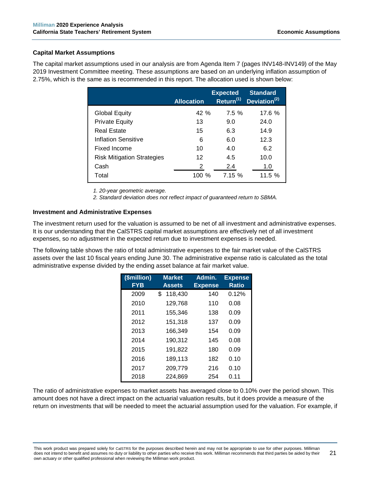# **Capital Market Assumptions**

The capital market assumptions used in our analysis are from Agenda Item 7 (pages INV148-INV149) of the May 2019 Investment Committee meeting. These assumptions are based on an underlying inflation assumption of 2.75%, which is the same as is recommended in this report. The allocation used is shown below:

|                                   | <b>Allocation</b> | <b>Expected</b><br>Return <sup>(1)</sup> | <b>Standard</b><br>Deviation <sup>(2)</sup> |
|-----------------------------------|-------------------|------------------------------------------|---------------------------------------------|
| <b>Global Equity</b>              | 42%               | 7.5%                                     | 17.6%                                       |
| <b>Private Equity</b>             | 13                | 9.0                                      | 24.0                                        |
| <b>Real Estate</b>                | 15                | 6.3                                      | 14.9                                        |
| Inflation Sensitive               | 6                 | 6.0                                      | 12.3                                        |
| Fixed Income                      | 10                | 4.0                                      | 6.2                                         |
| <b>Risk Mitigation Strategies</b> | 12                | 4.5                                      | 10.0                                        |
| Cash                              | 2                 | 2.4                                      | 1.0                                         |
| Total                             | 100 $%$           | 7.15%                                    | 11.5%                                       |

*1. 20-year geometric average.*

*2. Standard deviation does not reflect impact of guaranteed return to SBMA.*

#### **Investment and Administrative Expenses**

The investment return used for the valuation is assumed to be net of all investment and administrative expenses. It is our understanding that the CalSTRS capital market assumptions are effectively net of all investment expenses, so no adjustment in the expected return due to investment expenses is needed.

The following table shows the ratio of total administrative expenses to the fair market value of the CalSTRS assets over the last 10 fiscal years ending June 30. The administrative expense ratio is calculated as the total administrative expense divided by the ending asset balance at fair market value.

| (\$million)<br><b>FYB</b> | <b>Market</b><br><b>Assets</b> | Admin.<br><b>Expense</b> | <b>Expense</b><br><b>Ratio</b> |
|---------------------------|--------------------------------|--------------------------|--------------------------------|
| 2009                      | 118,430<br>\$                  | 140                      | 0.12%                          |
| 2010                      | 129,768                        | 110                      | 0.08                           |
| 2011                      | 155,346                        | 138                      | 0.09                           |
| 2012                      | 151,318                        | 137                      | 0.09                           |
| 2013                      | 166,349                        | 154                      | 0.09                           |
| 2014                      | 190,312                        | 145                      | 0.08                           |
| 2015                      | 191,822                        | 180                      | 0.09                           |
| 2016                      | 189,113                        | 182                      | 0.10                           |
| 2017                      | 209,779                        | 216                      | 0.10                           |
| 2018                      | 224.869                        | 254                      | 0.11                           |

The ratio of administrative expenses to market assets has averaged close to 0.10% over the period shown. This amount does not have a direct impact on the actuarial valuation results, but it does provide a measure of the return on investments that will be needed to meet the actuarial assumption used for the valuation. For example, if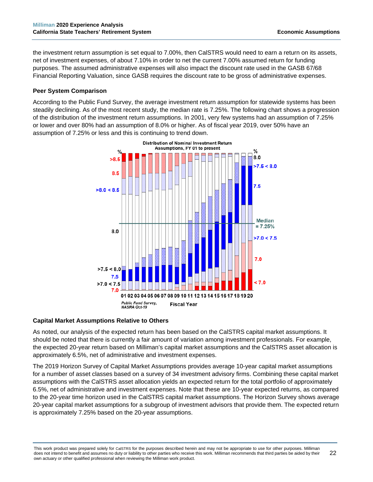the investment return assumption is set equal to 7.00%, then CalSTRS would need to earn a return on its assets, net of investment expenses, of about 7.10% in order to net the current 7.00% assumed return for funding purposes. The assumed administrative expenses will also impact the discount rate used in the GASB 67/68 Financial Reporting Valuation, since GASB requires the discount rate to be gross of administrative expenses.

# **Peer System Comparison**

According to the Public Fund Survey, the average investment return assumption for statewide systems has been steadily declining. As of the most recent study, the median rate is 7.25%. The following chart shows a progression of the distribution of the investment return assumptions. In 2001, very few systems had an assumption of 7.25% or lower and over 80% had an assumption of 8.0% or higher. As of fiscal year 2019, over 50% have an assumption of 7.25% or less and this is continuing to trend down.



# **Capital Market Assumptions Relative to Others**

As noted, our analysis of the expected return has been based on the CalSTRS capital market assumptions. It should be noted that there is currently a fair amount of variation among investment professionals. For example, the expected 20-year return based on Milliman's capital market assumptions and the CalSTRS asset allocation is approximately 6.5%, net of administrative and investment expenses.

The 2019 Horizon Survey of Capital Market Assumptions provides average 10-year capital market assumptions for a number of asset classes based on a survey of 34 investment advisory firms. Combining these capital market assumptions with the CalSTRS asset allocation yields an expected return for the total portfolio of approximately 6.5%, net of administrative and investment expenses. Note that these are 10-year expected returns, as compared to the 20-year time horizon used in the CalSTRS capital market assumptions. The Horizon Survey shows average 20-year capital market assumptions for a subgroup of investment advisors that provide them. The expected return is approximately 7.25% based on the 20-year assumptions.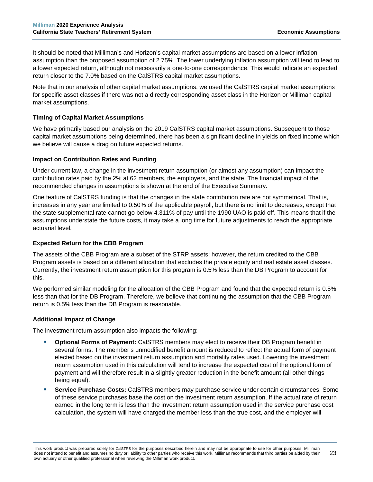It should be noted that Milliman's and Horizon's capital market assumptions are based on a lower inflation assumption than the proposed assumption of 2.75%. The lower underlying inflation assumption will tend to lead to a lower expected return, although not necessarily a one-to-one correspondence. This would indicate an expected return closer to the 7.0% based on the CalSTRS capital market assumptions.

Note that in our analysis of other capital market assumptions, we used the CalSTRS capital market assumptions for specific asset classes if there was not a directly corresponding asset class in the Horizon or Milliman capital market assumptions.

# **Timing of Capital Market Assumptions**

We have primarily based our analysis on the 2019 CalSTRS capital market assumptions. Subsequent to those capital market assumptions being determined, there has been a significant decline in yields on fixed income which we believe will cause a drag on future expected returns.

# **Impact on Contribution Rates and Funding**

Under current law, a change in the investment return assumption (or almost any assumption) can impact the contribution rates paid by the 2% at 62 members, the employers, and the state. The financial impact of the recommended changes in assumptions is shown at the end of the Executive Summary.

One feature of CalSTRS funding is that the changes in the state contribution rate are not symmetrical. That is, increases in any year are limited to 0.50% of the applicable payroll, but there is no limit to decreases, except that the state supplemental rate cannot go below 4.311% of pay until the 1990 UAO is paid off. This means that if the assumptions understate the future costs, it may take a long time for future adjustments to reach the appropriate actuarial level.

# **Expected Return for the CBB Program**

The assets of the CBB Program are a subset of the STRP assets; however, the return credited to the CBB Program assets is based on a different allocation that excludes the private equity and real estate asset classes. Currently, the investment return assumption for this program is 0.5% less than the DB Program to account for this.

We performed similar modeling for the allocation of the CBB Program and found that the expected return is 0.5% less than that for the DB Program. Therefore, we believe that continuing the assumption that the CBB Program return is 0.5% less than the DB Program is reasonable.

#### **Additional Impact of Change**

The investment return assumption also impacts the following:

- **Optional Forms of Payment:** CalSTRS members may elect to receive their DB Program benefit in several forms. The member's unmodified benefit amount is reduced to reflect the actual form of payment elected based on the investment return assumption and mortality rates used. Lowering the investment return assumption used in this calculation will tend to increase the expected cost of the optional form of payment and will therefore result in a slightly greater reduction in the benefit amount (all other things being equal).
- **Service Purchase Costs:** CalSTRS members may purchase service under certain circumstances. Some of these service purchases base the cost on the investment return assumption. If the actual rate of return earned in the long term is less than the investment return assumption used in the service purchase cost calculation, the system will have charged the member less than the true cost, and the employer will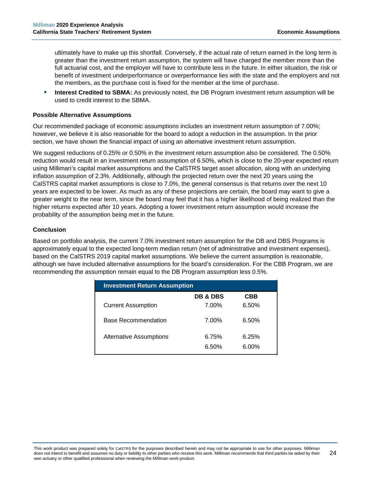ultimately have to make up this shortfall. Conversely, if the actual rate of return earned in the long term is greater than the investment return assumption, the system will have charged the member more than the full actuarial cost, and the employer will have to contribute less in the future. In either situation, the risk or benefit of investment underperformance or overperformance lies with the state and the employers and not the members, as the purchase cost is fixed for the member at the time of purchase.

 **Interest Credited to SBMA:** As previously noted, the DB Program investment return assumption will be used to credit interest to the SBMA.

#### **Possible Alternative Assumptions**

Our recommended package of economic assumptions includes an investment return assumption of 7.00%; however, we believe it is also reasonable for the board to adopt a reduction in the assumption. In the prior section, we have shown the financial impact of using an alternative investment return assumption.

We suggest reductions of 0.25% or 0.50% in the investment return assumption also be considered. The 0.50% reduction would result in an investment return assumption of 6.50%, which is close to the 20-year expected return using Milliman's capital market assumptions and the CalSTRS target asset allocation, along with an underlying inflation assumption of 2.3%. Additionally, although the projected return over the next 20 years using the CalSTRS capital market assumptions is close to 7.0%, the general consensus is that returns over the next 10 years are expected to be lower. As much as any of these projections are certain, the board may want to give a greater weight to the near term, since the board may feel that it has a higher likelihood of being realized than the higher returns expected after 10 years. Adopting a lower investment return assumption would increase the probability of the assumption being met in the future.

# **Conclusion**

Based on portfolio analysis, the current 7.0% investment return assumption for the DB and DBS Programs is approximately equal to the expected long-term median return (net of administrative and investment expenses), based on the CalSTRS 2019 capital market assumptions. We believe the current assumption is reasonable, although we have included alternative assumptions for the board's consideration. For the CBB Program, we are recommending the assumption remain equal to the DB Program assumption less 0.5%.

| <b>Investment Return Assumption</b> |                     |            |  |
|-------------------------------------|---------------------|------------|--|
|                                     | <b>DB &amp; DBS</b> | <b>CBB</b> |  |
| <b>Current Assumption</b>           | 7.00%               | 6.50%      |  |
| <b>Base Recommendation</b>          | 7.00%               | 6.50%      |  |
| <b>Alternative Assumptions</b>      | 6.75%               | 6.25%      |  |
|                                     | 6.50%               | 6.00%      |  |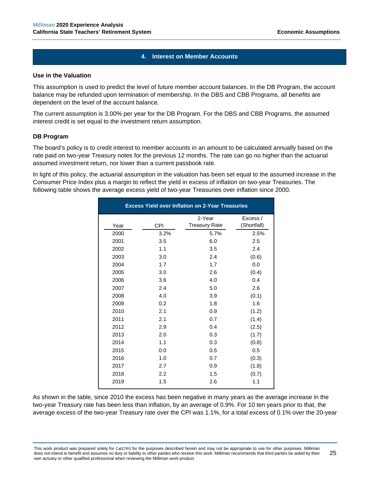# **4. Interest on Member Accounts**

#### **Use in the Valuation**

This assumption is used to predict the level of future member account balances. In the DB Program, the account balance may be refunded upon termination of membership. In the DBS and CBB Programs, all benefits are dependent on the level of the account balance.

The current assumption is 3.00% per year for the DB Program. For the DBS and CBB Programs, the assumed interest credit is set equal to the investment return assumption.

#### **DB Program**

The board's policy is to credit interest to member accounts in an amount to be calculated annually based on the rate paid on two-year Treasury notes for the previous 12 months. The rate can go no higher than the actuarial assumed investment return, nor lower than a current passbook rate.

In light of this policy, the actuarial assumption in the valuation has been set equal to the assumed increase in the Consumer Price Index plus a margin to reflect the yield in excess of inflation on two-year Treasuries. The following table shows the average excess yield of two-year Treasuries over inflation since 2000.

| <b>Excess Yield over Inflation on 2-Year Treasuries</b> |            |                      |             |  |
|---------------------------------------------------------|------------|----------------------|-------------|--|
|                                                         |            | 2-Year               | Excess /    |  |
| Year                                                    | <b>CPI</b> | <b>Treasury Rate</b> | (Shortfall) |  |
| 2000                                                    | 3.2%       | 5.7%                 | 2.5%        |  |
| 2001                                                    | 3.5        | 6.0                  | 2.5         |  |
| 2002                                                    | 1.1        | 3.5                  | 2.4         |  |
| 2003                                                    | 3.0        | 2.4                  | (0.6)       |  |
| 2004                                                    | 1.7        | 1.7                  | 0.0         |  |
| 2005                                                    | 3.0        | 2.6                  | (0.4)       |  |
| 2006                                                    | 3.6        | 4.0                  | 0.4         |  |
| 2007                                                    | 2.4        | 5.0                  | 2.6         |  |
| 2008                                                    | 4.0        | 3.9                  | (0.1)       |  |
| 2009                                                    | 0.2        | 1.8                  | 1.6         |  |
| 2010                                                    | 2.1        | 0.9                  | (1.2)       |  |
| 2011                                                    | 2.1        | 0.7                  | (1.4)       |  |
| 2012                                                    | 2.9        | 0.4                  | (2.5)       |  |
| 2013                                                    | 2.0        | 0.3                  | (1.7)       |  |
| 2014                                                    | 1.1        | 0.3                  | (0.8)       |  |
| 2015                                                    | 0.0        | 0.5                  | 0.5         |  |
| 2016                                                    | 1.0        | 0.7                  | (0.3)       |  |
| 2017                                                    | 2.7        | 0.9                  | (1.8)       |  |
| 2018                                                    | 2.2        | 1.5                  | (0.7)       |  |
| 2019                                                    | 1.5        | 2.6                  | 1.1         |  |
|                                                         |            |                      |             |  |

As shown in the table, since 2010 the excess has been negative in many years as the average increase in the two-year Treasury rate has been less than inflation, by an average of 0.9%. For 10 ten years prior to that, the average excess of the two-year Treasury rate over the CPI was 1.1%, for a total excess of 0.1% over the 20-year

This work product was prepared solely for CalSTRS for the purposes described herein and may not be appropriate to use for other purposes. Milliman does not intend to benefit and assumes no duty or liability to other parties who receive this work. Milliman recommends that third parties be aided by their own actuary or other qualified professional when reviewing the Milliman work product. 25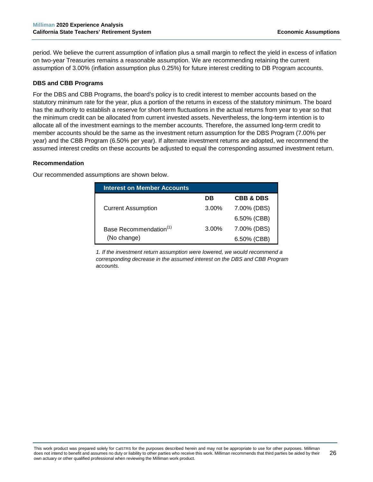period. We believe the current assumption of inflation plus a small margin to reflect the yield in excess of inflation on two-year Treasuries remains a reasonable assumption. We are recommending retaining the current assumption of 3.00% (inflation assumption plus 0.25%) for future interest crediting to DB Program accounts.

# **DBS and CBB Programs**

For the DBS and CBB Programs, the board's policy is to credit interest to member accounts based on the statutory minimum rate for the year, plus a portion of the returns in excess of the statutory minimum. The board has the authority to establish a reserve for short-term fluctuations in the actual returns from year to year so that the minimum credit can be allocated from current invested assets. Nevertheless, the long-term intention is to allocate all of the investment earnings to the member accounts. Therefore, the assumed long-term credit to member accounts should be the same as the investment return assumption for the DBS Program (7.00% per year) and the CBB Program (6.50% per year). If alternate investment returns are adopted, we recommend the assumed interest credits on these accounts be adjusted to equal the corresponding assumed investment return.

#### **Recommendation**

Our recommended assumptions are shown below.

| <b>Interest on Member Accounts</b> |          |                      |
|------------------------------------|----------|----------------------|
|                                    | DВ       | <b>CBB &amp; DBS</b> |
| <b>Current Assumption</b>          | $3.00\%$ | 7.00% (DBS)          |
|                                    |          | 6.50% (CBB)          |
| Base Recommendation <sup>(1)</sup> | $3.00\%$ | 7.00% (DBS)          |
| (No change)                        |          | $6.50\%$ (CBB)       |

*1. If the investment return assumption were lowered, we would recommend a corresponding decrease in the assumed interest on the DBS and CBB Program accounts.*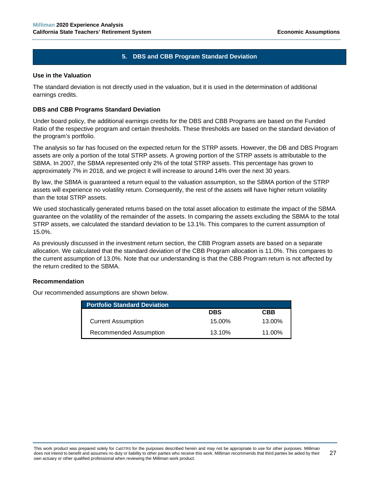# **5. DBS and CBB Program Standard Deviation**

#### **Use in the Valuation**

The standard deviation is not directly used in the valuation, but it is used in the determination of additional earnings credits.

#### **DBS and CBB Programs Standard Deviation**

Under board policy, the additional earnings credits for the DBS and CBB Programs are based on the Funded Ratio of the respective program and certain thresholds. These thresholds are based on the standard deviation of the program's portfolio.

The analysis so far has focused on the expected return for the STRP assets. However, the DB and DBS Program assets are only a portion of the total STRP assets. A growing portion of the STRP assets is attributable to the SBMA. In 2007, the SBMA represented only 2% of the total STRP assets. This percentage has grown to approximately 7% in 2018, and we project it will increase to around 14% over the next 30 years.

By law, the SBMA is guaranteed a return equal to the valuation assumption, so the SBMA portion of the STRP assets will experience no volatility return. Consequently, the rest of the assets will have higher return volatility than the total STRP assets.

We used stochastically generated returns based on the total asset allocation to estimate the impact of the SBMA guarantee on the volatility of the remainder of the assets. In comparing the assets excluding the SBMA to the total STRP assets, we calculated the standard deviation to be 13.1%. This compares to the current assumption of 15.0%.

As previously discussed in the investment return section, the CBB Program assets are based on a separate allocation. We calculated that the standard deviation of the CBB Program allocation is 11.0%. This compares to the current assumption of 13.0%. Note that our understanding is that the CBB Program return is not affected by the return credited to the SBMA.

#### **Recommendation**

Our recommended assumptions are shown below.

| <b>Portfolio Standard Deviation</b> |            |            |
|-------------------------------------|------------|------------|
|                                     | <b>DBS</b> | <b>CBB</b> |
| <b>Current Assumption</b>           | 15.00%     | 13.00%     |
| Recommended Assumption              | 13.10%     | 11.00%     |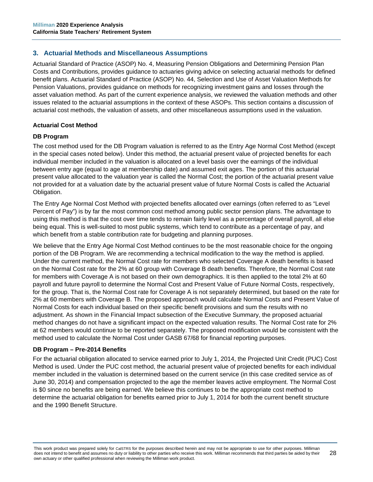# <span id="page-33-0"></span>**3. Actuarial Methods and Miscellaneous Assumptions**

Actuarial Standard of Practice (ASOP) No. 4, Measuring Pension Obligations and Determining Pension Plan Costs and Contributions, provides guidance to actuaries giving advice on selecting actuarial methods for defined benefit plans. Actuarial Standard of Practice (ASOP) No. 44, Selection and Use of Asset Valuation Methods for Pension Valuations, provides guidance on methods for recognizing investment gains and losses through the asset valuation method. As part of the current experience analysis, we reviewed the valuation methods and other issues related to the actuarial assumptions in the context of these ASOPs. This section contains a discussion of actuarial cost methods, the valuation of assets, and other miscellaneous assumptions used in the valuation.

# **Actuarial Cost Method**

#### **DB Program**

The cost method used for the DB Program valuation is referred to as the Entry Age Normal Cost Method (except in the special cases noted below). Under this method, the actuarial present value of projected benefits for each individual member included in the valuation is allocated on a level basis over the earnings of the individual between entry age (equal to age at membership date) and assumed exit ages. The portion of this actuarial present value allocated to the valuation year is called the Normal Cost; the portion of the actuarial present value not provided for at a valuation date by the actuarial present value of future Normal Costs is called the Actuarial Obligation.

The Entry Age Normal Cost Method with projected benefits allocated over earnings (often referred to as "Level Percent of Pay") is by far the most common cost method among public sector pension plans. The advantage to using this method is that the cost over time tends to remain fairly level as a percentage of overall payroll, all else being equal. This is well-suited to most public systems, which tend to contribute as a percentage of pay, and which benefit from a stable contribution rate for budgeting and planning purposes.

We believe that the Entry Age Normal Cost Method continues to be the most reasonable choice for the ongoing portion of the DB Program. We are recommending a technical modification to the way the method is applied. Under the current method, the Normal Cost rate for members who selected Coverage A death benefits is based on the Normal Cost rate for the 2% at 60 group with Coverage B death benefits. Therefore, the Normal Cost rate for members with Coverage A is not based on their own demographics. It is then applied to the total 2% at 60 payroll and future payroll to determine the Normal Cost and Present Value of Future Normal Costs, respectively, for the group. That is, the Normal Cost rate for Coverage A is not separately determined, but based on the rate for 2% at 60 members with Coverage B. The proposed approach would calculate Normal Costs and Present Value of Normal Costs for each individual based on their specific benefit provisions and sum the results with no adjustment. As shown in the Financial Impact subsection of the Executive Summary, the proposed actuarial method changes do not have a significant impact on the expected valuation results. The Normal Cost rate for 2% at 62 members would continue to be reported separately. The proposed modification would be consistent with the method used to calculate the Normal Cost under GASB 67/68 for financial reporting purposes.

#### **DB Program – Pre-2014 Benefits**

For the actuarial obligation allocated to service earned prior to July 1, 2014, the Projected Unit Credit (PUC) Cost Method is used. Under the PUC cost method, the actuarial present value of projected benefits for each individual member included in the valuation is determined based on the current service (in this case credited service as of June 30, 2014) and compensation projected to the age the member leaves active employment. The Normal Cost is \$0 since no benefits are being earned. We believe this continues to be the appropriate cost method to determine the actuarial obligation for benefits earned prior to July 1, 2014 for both the current benefit structure and the 1990 Benefit Structure.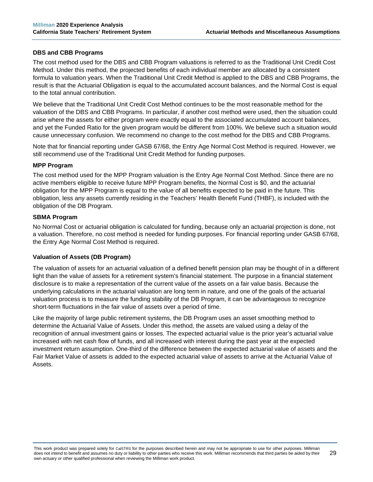#### **DBS and CBB Programs**

The cost method used for the DBS and CBB Program valuations is referred to as the Traditional Unit Credit Cost Method. Under this method, the projected benefits of each individual member are allocated by a consistent formula to valuation years. When the Traditional Unit Credit Method is applied to the DBS and CBB Programs, the result is that the Actuarial Obligation is equal to the accumulated account balances, and the Normal Cost is equal to the total annual contribution.

We believe that the Traditional Unit Credit Cost Method continues to be the most reasonable method for the valuation of the DBS and CBB Programs. In particular, if another cost method were used, then the situation could arise where the assets for either program were exactly equal to the associated accumulated account balances, and yet the Funded Ratio for the given program would be different from 100%. We believe such a situation would cause unnecessary confusion. We recommend no change to the cost method for the DBS and CBB Programs.

Note that for financial reporting under GASB 67/68, the Entry Age Normal Cost Method is required. However, we still recommend use of the Traditional Unit Credit Method for funding purposes.

#### **MPP Program**

The cost method used for the MPP Program valuation is the Entry Age Normal Cost Method. Since there are no active members eligible to receive future MPP Program benefits, the Normal Cost is \$0, and the actuarial obligation for the MPP Program is equal to the value of all benefits expected to be paid in the future. This obligation, less any assets currently residing in the Teachers' Health Benefit Fund (THBF), is included with the obligation of the DB Program.

#### **SBMA Program**

No Normal Cost or actuarial obligation is calculated for funding, because only an actuarial projection is done, not a valuation. Therefore, no cost method is needed for funding purposes. For financial reporting under GASB 67/68, the Entry Age Normal Cost Method is required.

#### **Valuation of Assets (DB Program)**

The valuation of assets for an actuarial valuation of a defined benefit pension plan may be thought of in a different light than the value of assets for a retirement system's financial statement. The purpose in a financial statement disclosure is to make a representation of the current value of the assets on a fair value basis. Because the underlying calculations in the actuarial valuation are long term in nature, and one of the goals of the actuarial valuation process is to measure the funding stability of the DB Program, it can be advantageous to recognize short-term fluctuations in the fair value of assets over a period of time.

Like the majority of large public retirement systems, the DB Program uses an asset smoothing method to determine the Actuarial Value of Assets. Under this method, the assets are valued using a delay of the recognition of annual investment gains or losses. The expected actuarial value is the prior year's actuarial value increased with net cash flow of funds, and all increased with interest during the past year at the expected investment return assumption. One-third of the difference between the expected actuarial value of assets and the Fair Market Value of assets is added to the expected actuarial value of assets to arrive at the Actuarial Value of Assets.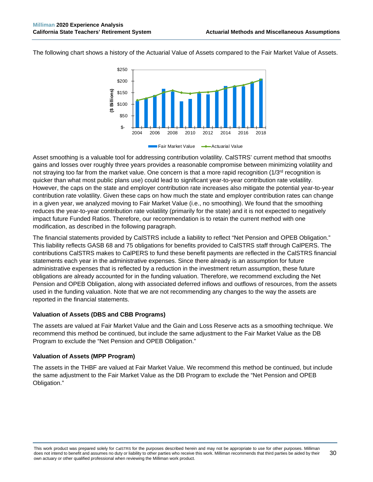The following chart shows a history of the Actuarial Value of Assets compared to the Fair Market Value of Assets.



Asset smoothing is a valuable tool for addressing contribution volatility. CalSTRS' current method that smooths gains and losses over roughly three years provides a reasonable compromise between minimizing volatility and not straying too far from the market value. One concern is that a more rapid recognition (1/3<sup>rd</sup> recognition is quicker than what most public plans use) could lead to significant year-to-year contribution rate volatility. However, the caps on the state and employer contribution rate increases also mitigate the potential year-to-year contribution rate volatility. Given these caps on how much the state and employer contribution rates can change in a given year, we analyzed moving to Fair Market Value (i.e., no smoothing). We found that the smoothing reduces the year-to-year contribution rate volatility (primarily for the state) and it is not expected to negatively impact future Funded Ratios. Therefore, our recommendation is to retain the current method with one modification, as described in the following paragraph.

The financial statements provided by CalSTRS include a liability to reflect "Net Pension and OPEB Obligation." This liability reflects GASB 68 and 75 obligations for benefits provided to CalSTRS staff through CalPERS. The contributions CalSTRS makes to CalPERS to fund these benefit payments are reflected in the CalSTRS financial statements each year in the administrative expenses. Since there already is an assumption for future administrative expenses that is reflected by a reduction in the investment return assumption, these future obligations are already accounted for in the funding valuation. Therefore, we recommend excluding the Net Pension and OPEB Obligation, along with associated deferred inflows and outflows of resources, from the assets used in the funding valuation. Note that we are not recommending any changes to the way the assets are reported in the financial statements.

#### **Valuation of Assets (DBS and CBB Programs)**

The assets are valued at Fair Market Value and the Gain and Loss Reserve acts as a smoothing technique. We recommend this method be continued, but include the same adjustment to the Fair Market Value as the DB Program to exclude the "Net Pension and OPEB Obligation."

#### **Valuation of Assets (MPP Program)**

The assets in the THBF are valued at Fair Market Value. We recommend this method be continued, but include the same adjustment to the Fair Market Value as the DB Program to exclude the "Net Pension and OPEB Obligation."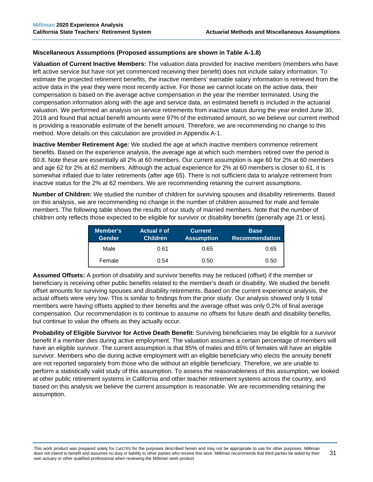#### **Miscellaneous Assumptions (Proposed assumptions are shown in Table A-1.8)**

**Valuation of Current Inactive Members:** The valuation data provided for inactive members (members who have left active service but have not yet commenced receiving their benefit) does not include salary information. To estimate the projected retirement benefits, the inactive members' earnable salary information is retrieved from the active data in the year they were most recently active. For those we cannot locate on the active data, their compensation is based on the average active compensation in the year the member terminated. Using the compensation information along with the age and service data, an estimated benefit is included in the actuarial valuation. We performed an analysis on service retirements from inactive status during the year ended June 30, 2018 and found that actual benefit amounts were 97% of the estimated amount, so we believe our current method is providing a reasonable estimate of the benefit amount. Therefore, we are recommending no change to this method. More details on this calculation are provided in Appendix A-1.

**Inactive Member Retirement Age:** We studied the age at which inactive members commence retirement benefits. Based on the experience analysis, the average age at which such members retired over the period is 60.8. Note these are essentially all 2% at 60 members. Our current assumption is age 60 for 2% at 60 members and age 62 for 2% at 62 members. Although the actual experience for 2% at 60 members is closer to 61, it is somewhat inflated due to later retirements (after age 65). There is not sufficient data to analyze retirement from inactive status for the 2% at 62 members. We are recommending retaining the current assumptions.

**Number of Children:** We studied the number of children for surviving spouses and disability retirements. Based on this analysis, we are recommending no change in the number of children assumed for male and female members. The following table shows the results of our study of married members. Note that the number of children only reflects those expected to be eligible for survivor or disability benefits (generally age 21 or less).

| Member's<br><b>Gender</b> | Actual # of<br><b>Children</b> | <b>Current</b><br><b>Assumption</b> | <b>Base</b><br><b>Recommendation</b> |
|---------------------------|--------------------------------|-------------------------------------|--------------------------------------|
| Male                      | 0.61                           | 0.65                                | 0.65                                 |
| Female                    | 0.54                           | 0.50                                | 0.50                                 |

**Assumed Offsets:** A portion of disability and survivor benefits may be reduced (offset) if the member or beneficiary is receiving other public benefits related to the member's death or disability. We studied the benefit offset amounts for surviving spouses and disability retirements. Based on the current experience analysis, the actual offsets were very low. This is similar to findings from the prior study. Our analysis showed only 9 total members were having offsets applied to their benefits and the average offset was only 0.2% of final average compensation. Our recommendation is to continue to assume no offsets for future death and disability benefits, but continue to value the offsets as they actually occur.

**Probability of Eligible Survivor for Active Death Benefit:** Surviving beneficiaries may be eligible for a survivor benefit if a member dies during active employment. The valuation assumes a certain percentage of members will have an eligible survivor. The current assumption is that 85% of males and 65% of females will have an eligible survivor. Members who die during active employment with an eligible beneficiary who elects the annuity benefit are not reported separately from those who die without an eligible beneficiary. Therefore, we are unable to perform a statistically valid study of this assumption. To assess the reasonableness of this assumption, we looked at other public retirement systems in California and other teacher retirement systems across the country, and based on this analysis we believe the current assumption is reasonable. We are recommending retaining the assumption.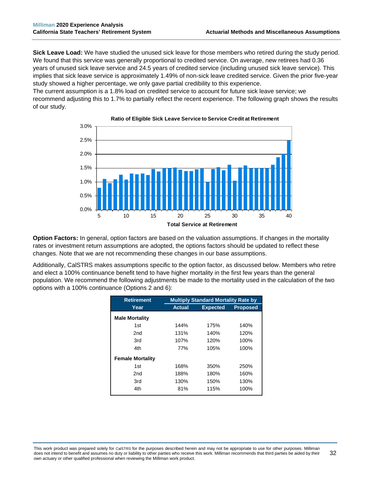**Sick Leave Load:** We have studied the unused sick leave for those members who retired during the study period. We found that this service was generally proportional to credited service. On average, new retirees had 0.36 years of unused sick leave service and 24.5 years of credited service (including unused sick leave service). This implies that sick leave service is approximately 1.49% of non-sick leave credited service. Given the prior five-year study showed a higher percentage, we only gave partial credibility to this experience.

The current assumption is a 1.8% load on credited service to account for future sick leave service; we recommend adjusting this to 1.7% to partially reflect the recent experience. The following graph shows the results of our study.



**Ratio of Eligible Sick Leave Service to Service Credit at Retirement**

**Option Factors:** In general, option factors are based on the valuation assumptions. If changes in the mortality rates or investment return assumptions are adopted, the options factors should be updated to reflect these changes. Note that we are not recommending these changes in our base assumptions.

Additionally, CalSTRS makes assumptions specific to the option factor, as discussed below. Members who retire and elect a 100% continuance benefit tend to have higher mortality in the first few years than the general population. We recommend the following adjustments be made to the mortality used in the calculation of the two options with a 100% continuance (Options 2 and 6):

| <b>Retirement</b>       | <b>Multiply Standard Mortality Rate by</b> |                 |                 |
|-------------------------|--------------------------------------------|-----------------|-----------------|
| Year                    | <b>Actual</b>                              | <b>Expected</b> | <b>Proposed</b> |
| <b>Male Mortality</b>   |                                            |                 |                 |
| 1st                     | 144%                                       | 175%            | 140%            |
| 2nd                     | 131%                                       | 140%            | 120%            |
| 3rd                     | 107%                                       | 120%            | 100%            |
| 4th                     | 77%                                        | 105%            | 100%            |
| <b>Female Mortality</b> |                                            |                 |                 |
| 1st                     | 168%                                       | 350%            | 250%            |
| 2 <sub>nd</sub>         | 188%                                       | 180%            | 160%            |
| 3rd                     | 130%                                       | 150%            | 130%            |
| 4th                     | 81%                                        | 115%            | 100%            |

This work product was prepared solely for CalSTRS for the purposes described herein and may not be appropriate to use for other purposes. Milliman does not intend to benefit and assumes no duty or liability to other parties who receive this work. Milliman recommends that third parties be aided by their own actuary or other qualified professional when reviewing the Milliman work product. 32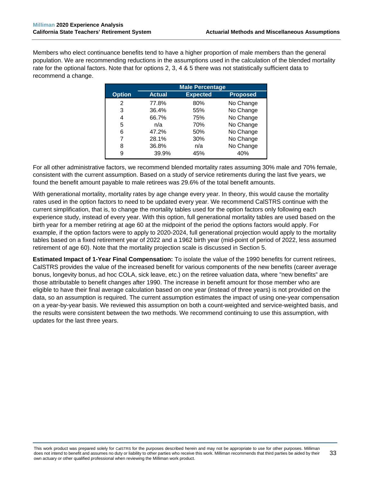Members who elect continuance benefits tend to have a higher proportion of male members than the general population. We are recommending reductions in the assumptions used in the calculation of the blended mortality rate for the optional factors. Note that for options 2, 3, 4 & 5 there was not statistically sufficient data to recommend a change.

|               | <b>Male Percentage</b> |                 |                 |
|---------------|------------------------|-----------------|-----------------|
| <b>Option</b> | <b>Actual</b>          | <b>Expected</b> | <b>Proposed</b> |
| 2             | 77.8%                  | 80%             | No Change       |
| 3             | 36.4%                  | 55%             | No Change       |
| 4             | 66.7%                  | 75%             | No Change       |
| 5             | n/a                    | 70%             | No Change       |
| 6             | 47.2%                  | 50%             | No Change       |
| 7             | 28.1%                  | 30%             | No Change       |
| 8             | 36.8%                  | n/a             | No Change       |
| 9             | 39.9%                  | 45%             | 40%             |

For all other administrative factors, we recommend blended mortality rates assuming 30% male and 70% female, consistent with the current assumption. Based on a study of service retirements during the last five years, we found the benefit amount payable to male retirees was 29.6% of the total benefit amounts.

With generational mortality, mortality rates by age change every year. In theory, this would cause the mortality rates used in the option factors to need to be updated every year. We recommend CalSTRS continue with the current simplification, that is, to change the mortality tables used for the option factors only following each experience study, instead of every year. With this option, full generational mortality tables are used based on the birth year for a member retiring at age 60 at the midpoint of the period the options factors would apply. For example, if the option factors were to apply to 2020-2024, full generational projection would apply to the mortality tables based on a fixed retirement year of 2022 and a 1962 birth year (mid-point of period of 2022, less assumed retirement of age 60). Note that the mortality projection scale is discussed in Section 5.

**Estimated Impact of 1-Year Final Compensation:** To isolate the value of the 1990 benefits for current retirees, CalSTRS provides the value of the increased benefit for various components of the new benefits (career average bonus, longevity bonus, ad hoc COLA, sick leave, etc.) on the retiree valuation data, where "new benefits" are those attributable to benefit changes after 1990. The increase in benefit amount for those member who are eligible to have their final average calculation based on one year (instead of three years) is not provided on the data, so an assumption is required. The current assumption estimates the impact of using one-year compensation on a year-by-year basis. We reviewed this assumption on both a count-weighted and service-weighted basis, and the results were consistent between the two methods. We recommend continuing to use this assumption, with updates for the last three years.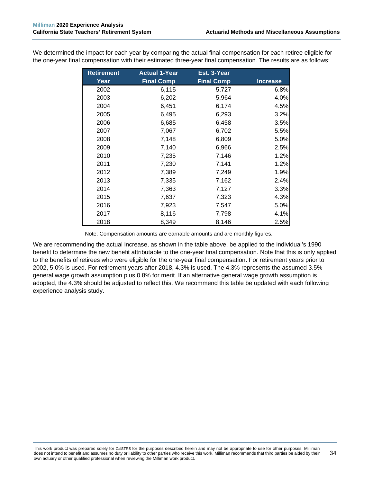| <b>Retirement</b> | <b>Actual 1-Year</b> | Est. 3-Year       |                 |
|-------------------|----------------------|-------------------|-----------------|
| Year              | <b>Final Comp</b>    | <b>Final Comp</b> | <b>Increase</b> |
| 2002              | 6,115                | 5,727             | 6.8%            |
| 2003              | 6,202                | 5,964             | 4.0%            |
| 2004              | 6,451                | 6,174             | 4.5%            |
| 2005              | 6,495                | 6,293             | 3.2%            |
| 2006              | 6,685                | 6,458             | 3.5%            |
| 2007              | 7,067                | 6,702             | 5.5%            |
| 2008              | 7,148                | 6,809             | 5.0%            |
| 2009              | 7,140                | 6,966             | 2.5%            |
| 2010              | 7,235                | 7,146             | 1.2%            |
| 2011              | 7,230                | 7,141             | 1.2%            |
| 2012              | 7,389                | 7,249             | 1.9%            |
| 2013              | 7,335                | 7,162             | 2.4%            |
| 2014              | 7,363                | 7,127             | 3.3%            |
| 2015              | 7,637                | 7,323             | 4.3%            |
| 2016              | 7,923                | 7,547             | 5.0%            |
| 2017              | 8,116                | 7,798             | 4.1%            |
| 2018              | 8,349                | 8,146             | 2.5%            |

We determined the impact for each year by comparing the actual final compensation for each retiree eligible for the one-year final compensation with their estimated three-year final compensation. The results are as follows:

Note: Compensation amounts are earnable amounts and are monthly figures.

We are recommending the actual increase, as shown in the table above, be applied to the individual's 1990 benefit to determine the new benefit attributable to the one-year final compensation. Note that this is only applied to the benefits of retirees who were eligible for the one-year final compensation. For retirement years prior to 2002, 5.0% is used. For retirement years after 2018, 4.3% is used. The 4.3% represents the assumed 3.5% general wage growth assumption plus 0.8% for merit. If an alternative general wage growth assumption is adopted, the 4.3% should be adjusted to reflect this. We recommend this table be updated with each following experience analysis study.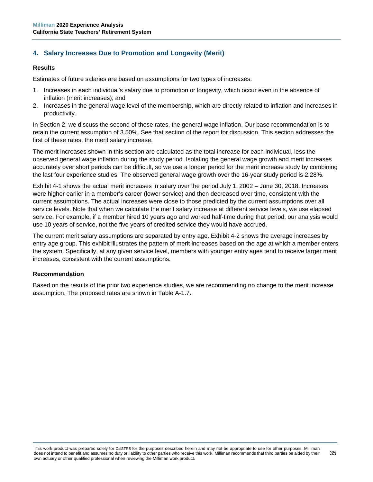# **4. Salary Increases Due to Promotion and Longevity (Merit)**

#### **Results**

Estimates of future salaries are based on assumptions for two types of increases:

- 1. Increases in each individual's salary due to promotion or longevity, which occur even in the absence of inflation (merit increases); and
- 2. Increases in the general wage level of the membership, which are directly related to inflation and increases in productivity.

In Section 2, we discuss the second of these rates, the general wage inflation. Our base recommendation is to retain the current assumption of 3.50%. See that section of the report for discussion. This section addresses the first of these rates, the merit salary increase.

The merit increases shown in this section are calculated as the total increase for each individual, less the observed general wage inflation during the study period. Isolating the general wage growth and merit increases accurately over short periods can be difficult, so we use a longer period for the merit increase study by combining the last four experience studies. The observed general wage growth over the 16-year study period is 2.28%.

Exhibit 4-1 shows the actual merit increases in salary over the period July 1, 2002 – June 30, 2018. Increases were higher earlier in a member's career (lower service) and then decreased over time, consistent with the current assumptions. The actual increases were close to those predicted by the current assumptions over all service levels. Note that when we calculate the merit salary increase at different service levels, we use elapsed service. For example, if a member hired 10 years ago and worked half-time during that period, our analysis would use 10 years of service, not the five years of credited service they would have accrued.

The current merit salary assumptions are separated by entry age. Exhibit 4-2 shows the average increases by entry age group. This exhibit illustrates the pattern of merit increases based on the age at which a member enters the system. Specifically, at any given service level, members with younger entry ages tend to receive larger merit increases, consistent with the current assumptions.

#### **Recommendation**

Based on the results of the prior two experience studies, we are recommending no change to the merit increase assumption. The proposed rates are shown in Table A-1.7.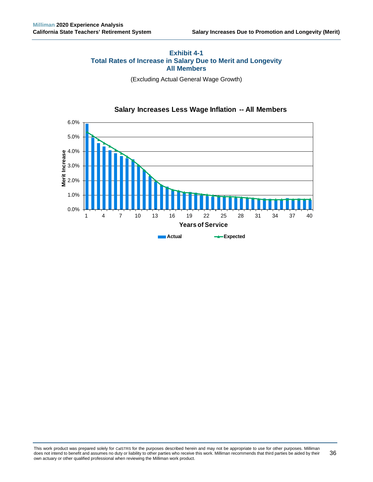# **Exhibit 4-1 Total Rates of Increase in Salary Due to Merit and Longevity All Members**

(Excluding Actual General Wage Growth)



# **Salary Increases Less Wage Inflation -- All Members**

This work product was prepared solely for CalSTRS for the purposes described herein and may not be appropriate to use for other purposes. Milliman does not intend to benefit and assumes no duty or liability to other parties who receive this work. Milliman recommends that third parties be aided by their own actuary or other qualified professional when reviewing the Milliman work product. 36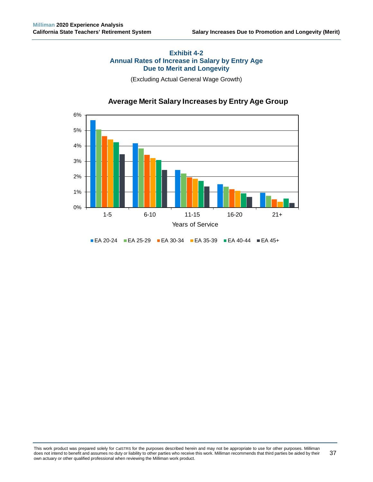# **Exhibit 4-2 Annual Rates of Increase in Salary by Entry Age Due to Merit and Longevity**

(Excluding Actual General Wage Growth)



# **Average Merit Salary Increases by Entry Age Group**

EA 20-24 EA 25-29 EA 30-34 EA 35-39 EA 40-44 EA 45+

This work product was prepared solely for CalSTRS for the purposes described herein and may not be appropriate to use for other purposes. Milliman does not intend to benefit and assumes no duty or liability to other parties who receive this work. Milliman recommends that third parties be aided by their own actuary or other qualified professional when reviewing the Milliman work product. 37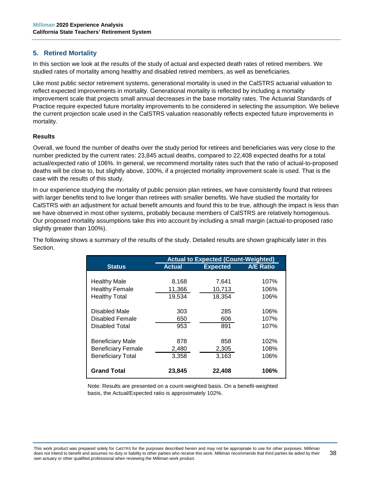# **5. Retired Mortality**

In this section we look at the results of the study of actual and expected death rates of retired members. We studied rates of mortality among healthy and disabled retired members, as well as beneficiaries.

Like most public sector retirement systems, generational mortality is used in the CalSTRS actuarial valuation to reflect expected improvements in mortality. Generational mortality is reflected by including a mortality improvement scale that projects small annual decreases in the base mortality rates. The Actuarial Standards of Practice require expected future mortality improvements to be considered in selecting the assumption. We believe the current projection scale used in the CalSTRS valuation reasonably reflects expected future improvements in mortality.

### **Results**

Overall, we found the number of deaths over the study period for retirees and beneficiaries was very close to the number predicted by the current rates: 23,845 actual deaths, compared to 22,408 expected deaths for a total actual/expected ratio of 106%. In general, we recommend mortality rates such that the ratio of actual-to-proposed deaths will be close to, but slightly above, 100%, if a projected mortality improvement scale is used. That is the case with the results of this study.

In our experience studying the mortality of public pension plan retirees, we have consistently found that retirees with larger benefits tend to live longer than retirees with smaller benefits. We have studied the mortality for CalSTRS with an adjustment for actual benefit amounts and found this to be true, although the impact is less than we have observed in most other systems, probably because members of CalSTRS are relatively homogenous. Our proposed mortality assumptions take this into account by including a small margin (actual-to-proposed ratio slightly greater than 100%).

The following shows a summary of the results of the study. Detailed results are shown graphically later in this Section.

|                           | <b>Actual to Expected (Count-Weighted)</b> |                 |                  |
|---------------------------|--------------------------------------------|-----------------|------------------|
| <b>Status</b>             | <b>Actual</b>                              | <b>Expected</b> | <b>A/E Ratio</b> |
|                           |                                            |                 |                  |
| <b>Healthy Male</b>       | 8,168                                      | 7,641           | 107%             |
| <b>Healthy Female</b>     | 11,366                                     | 10,713          | 106%             |
| <b>Healthy Total</b>      | 19,534                                     | 18,354          | 106%             |
|                           |                                            |                 |                  |
| Disabled Male             | 303                                        | 285             | 106%             |
| Disabled Female           | 650                                        | 606             | 107%             |
| Disabled Total            | 953                                        | 891             | 107%             |
|                           |                                            |                 |                  |
| <b>Beneficiary Male</b>   | 878                                        | 858             | 102%             |
| <b>Beneficiary Female</b> | 2,480                                      | 2,305           | 108%             |
| <b>Beneficiary Total</b>  | 3,358                                      | 3.163           | 106%             |
|                           |                                            |                 |                  |
| <b>Grand Total</b>        | 23,845                                     | 22,408          | 106%             |

Note: Results are presented on a count-weighted basis. On a benefit-weighted basis, the Actual/Expected ratio is approximately 102%.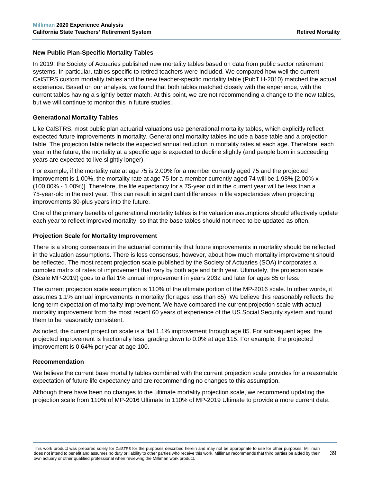# **New Public Plan-Specific Mortality Tables**

In 2019, the Society of Actuaries published new mortality tables based on data from public sector retirement systems. In particular, tables specific to retired teachers were included. We compared how well the current CalSTRS custom mortality tables and the new teacher-specific mortality table (PubT.H-2010) matched the actual experience. Based on our analysis, we found that both tables matched closely with the experience, with the current tables having a slightly better match. At this point, we are not recommending a change to the new tables, but we will continue to monitor this in future studies.

### **Generational Mortality Tables**

Like CalSTRS, most public plan actuarial valuations use generational mortality tables, which explicitly reflect expected future improvements in mortality. Generational mortality tables include a base table and a projection table. The projection table reflects the expected annual reduction in mortality rates at each age. Therefore, each year in the future, the mortality at a specific age is expected to decline slightly (and people born in succeeding years are expected to live slightly longer).

For example, if the mortality rate at age 75 is 2.00% for a member currently aged 75 and the projected improvement is 1.00%, the mortality rate at age 75 for a member currently aged 74 will be 1.98% [2.00% x (100.00% - 1.00%)]. Therefore, the life expectancy for a 75-year old in the current year will be less than a 75-year-old in the next year. This can result in significant differences in life expectancies when projecting improvements 30-plus years into the future.

One of the primary benefits of generational mortality tables is the valuation assumptions should effectively update each year to reflect improved mortality, so that the base tables should not need to be updated as often.

### **Projection Scale for Mortality Improvement**

There is a strong consensus in the actuarial community that future improvements in mortality should be reflected in the valuation assumptions. There is less consensus, however, about how much mortality improvement should be reflected. The most recent projection scale published by the Society of Actuaries (SOA) incorporates a complex matrix of rates of improvement that vary by both age and birth year. Ultimately, the projection scale (Scale MP-2019) goes to a flat 1% annual improvement in years 2032 and later for ages 85 or less.

The current projection scale assumption is 110% of the ultimate portion of the MP-2016 scale. In other words, it assumes 1.1% annual improvements in mortality (for ages less than 85). We believe this reasonably reflects the long-term expectation of mortality improvement. We have compared the current projection scale with actual mortality improvement from the most recent 60 years of experience of the US Social Security system and found them to be reasonably consistent.

As noted, the current projection scale is a flat 1.1% improvement through age 85. For subsequent ages, the projected improvement is fractionally less, grading down to 0.0% at age 115. For example, the projected improvement is 0.64% per year at age 100.

#### **Recommendation**

We believe the current base mortality tables combined with the current projection scale provides for a reasonable expectation of future life expectancy and are recommending no changes to this assumption.

Although there have been no changes to the ultimate mortality projection scale, we recommend updating the projection scale from 110% of MP-2016 Ultimate to 110% of MP-2019 Ultimate to provide a more current date.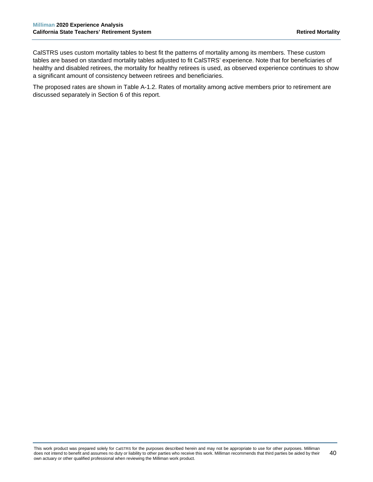CalSTRS uses custom mortality tables to best fit the patterns of mortality among its members. These custom tables are based on standard mortality tables adjusted to fit CalSTRS' experience. Note that for beneficiaries of healthy and disabled retirees, the mortality for healthy retirees is used, as observed experience continues to show a significant amount of consistency between retirees and beneficiaries.

The proposed rates are shown in Table A-1.2. Rates of mortality among active members prior to retirement are discussed separately in Section 6 of this report.

This work product was prepared solely for CalSTRS for the purposes described herein and may not be appropriate to use for other purposes. Milliman does not intend to benefit and assumes no duty or liability to other parties who receive this work. Milliman recommends that third parties be aided by their own actuary or other qualified professional when reviewing the Milliman work product. 40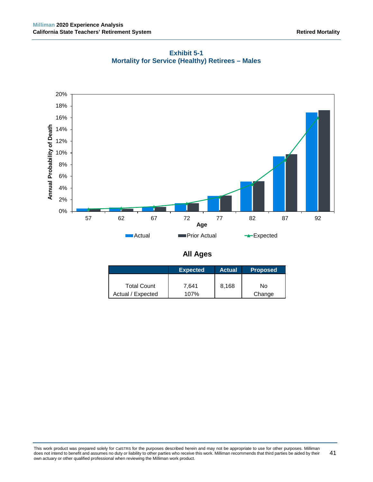

**Exhibit 5-1 Mortality for Service (Healthy) Retirees – Males**

**All Ages**

|                    | <b>Expected</b> | <b>Actual</b> | <b>Proposed</b> |
|--------------------|-----------------|---------------|-----------------|
|                    |                 |               |                 |
| <b>Total Count</b> | 7.641           | 8,168         | No              |
| Actual / Expected  | 107%            |               | Change          |

This work product was prepared solely for CalSTRS for the purposes described herein and may not be appropriate to use for other purposes. Milliman does not intend to benefit and assumes no duty or liability to other parties who receive this work. Milliman recommends that third parties be aided by their own actuary or other qualified professional when reviewing the Milliman work product. 41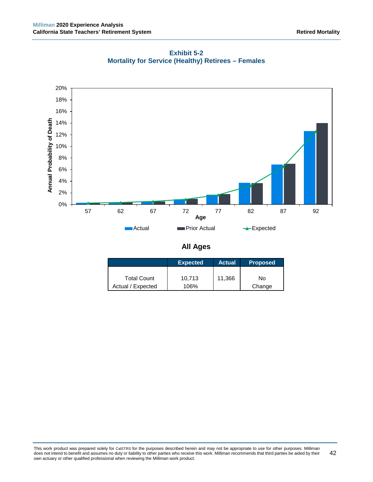

**Exhibit 5-2 Mortality for Service (Healthy) Retirees – Females**

**All Ages**

|                    | <b>Expected</b> | <b>Actual</b> | <b>Proposed</b> |
|--------------------|-----------------|---------------|-----------------|
| <b>Total Count</b> | 10,713          | 11,366        | No              |
| Actual / Expected  | 106%            |               | Change          |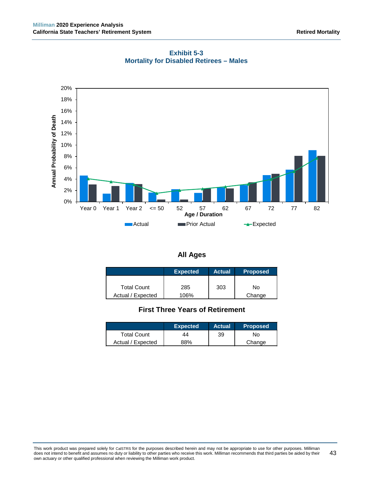

**Exhibit 5-3 Mortality for Disabled Retirees – Males**

| All Age | ١ |
|---------|---|
|---------|---|

|                    | Expected <b>b</b> | <b>Actual</b> | <b>Proposed</b> |
|--------------------|-------------------|---------------|-----------------|
|                    |                   |               |                 |
| <b>Total Count</b> | 285               | 303           | No              |
| Actual / Expected  | 106%              |               | Change          |

# **First Three Years of Retirement**

|                    | <b>Expected</b> | <b>Actual</b> | <b>Proposed</b> |
|--------------------|-----------------|---------------|-----------------|
| <b>Total Count</b> | 44              | 39            | No.             |
| Actual / Expected  | 88%             |               | Change          |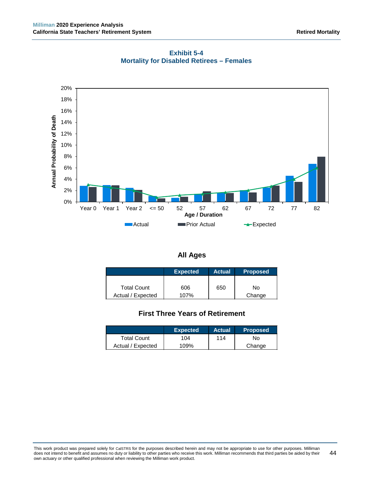

**Exhibit 5-4 Mortality for Disabled Retirees – Females**

|  | <b>All Ages</b> |
|--|-----------------|
|--|-----------------|

|                    | <b>Expected</b> | <b>Actual</b> | <b>Proposed</b> |
|--------------------|-----------------|---------------|-----------------|
|                    |                 |               |                 |
| <b>Total Count</b> | 606             | 650           | No              |
| Actual / Expected  | 107%            |               | Change          |

# **First Three Years of Retirement**

|                    | <b>Expected</b> | <b>Actual</b> | <b>Proposed</b> |
|--------------------|-----------------|---------------|-----------------|
| <b>Total Count</b> | 104             | 114           | No              |
| Actual / Expected  | 109%            |               | Change          |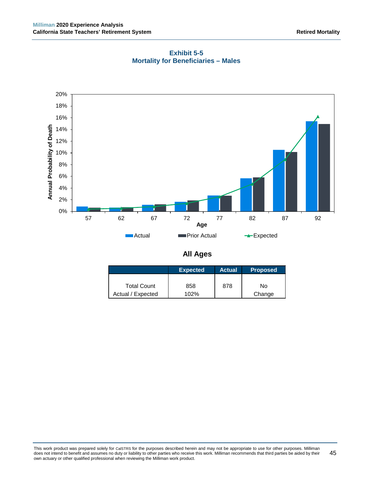

**Exhibit 5-5 Mortality for Beneficiaries – Males**

**All Ages**

|                    | Expected | <b>Actual</b> | <b>Proposed</b> |
|--------------------|----------|---------------|-----------------|
|                    |          |               |                 |
| <b>Total Count</b> | 858      | 878           | Nο              |
| Actual / Expected  | 102%     |               | Change          |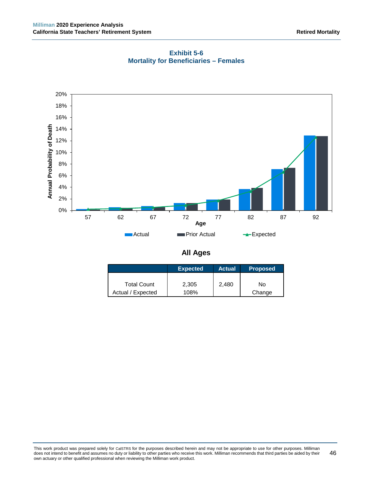

**Exhibit 5-6 Mortality for Beneficiaries – Females**

|  | <b>All Ages</b> |
|--|-----------------|
|--|-----------------|

|                    | <b>Expected</b> | <b>Actual</b> | <b>Proposed</b> |
|--------------------|-----------------|---------------|-----------------|
|                    |                 |               |                 |
| <b>Total Count</b> | 2.305           | 2,480         | No              |
| Actual / Expected  | 108%            |               | Change          |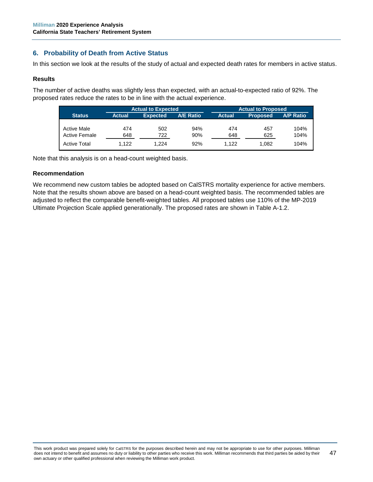# **6. Probability of Death from Active Status**

In this section we look at the results of the study of actual and expected death rates for members in active status.

#### **Results**

The number of active deaths was slightly less than expected, with an actual-to-expected ratio of 92%. The proposed rates reduce the rates to be in line with the actual experience.

|                      |               | <b>Actual to Expected</b> |                  |         | <b>Actual to Proposed</b> |                  |  |  |
|----------------------|---------------|---------------------------|------------------|---------|---------------------------|------------------|--|--|
| <b>Status</b>        | <b>Actual</b> | <b>Expected</b>           | <b>A/E Ratio</b> | Actual. | <b>Proposed</b>           | <b>A/P Ratio</b> |  |  |
|                      |               |                           |                  |         |                           |                  |  |  |
| <b>Active Male</b>   | 474           | 502                       | 94%              | 474     | 457                       | 104%             |  |  |
| <b>Active Female</b> | 648           | 722                       | 90%              | 648     | 625                       | 104%             |  |  |
| <b>Active Total</b>  | 1.122         | 1.224                     | 92%              | 1.122   | 1.082                     | 104%             |  |  |

Note that this analysis is on a head-count weighted basis.

#### **Recommendation**

We recommend new custom tables be adopted based on CalSTRS mortality experience for active members. Note that the results shown above are based on a head-count weighted basis. The recommended tables are adjusted to reflect the comparable benefit-weighted tables. All proposed tables use 110% of the MP-2019 Ultimate Projection Scale applied generationally. The proposed rates are shown in Table A-1.2.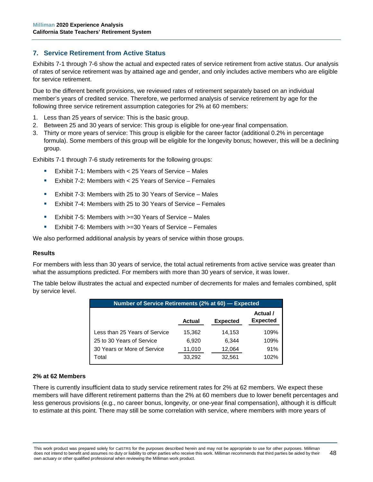# **7. Service Retirement from Active Status**

Exhibits 7-1 through 7-6 show the actual and expected rates of service retirement from active status. Our analysis of rates of service retirement was by attained age and gender, and only includes active members who are eligible for service retirement.

Due to the different benefit provisions, we reviewed rates of retirement separately based on an individual member's years of credited service. Therefore, we performed analysis of service retirement by age for the following three service retirement assumption categories for 2% at 60 members:

- 1. Less than 25 years of service: This is the basic group.
- 2. Between 25 and 30 years of service: This group is eligible for one-year final compensation.
- 3. Thirty or more years of service: This group is eligible for the career factor (additional 0.2% in percentage formula). Some members of this group will be eligible for the longevity bonus; however, this will be a declining group.

Exhibits 7-1 through 7-6 study retirements for the following groups:

- **Exhibit 7-1: Members with**  $<$  **25 Years of Service Males**
- Exhibit 7-2: Members with < 25 Years of Service Females
- Exhibit 7-3: Members with 25 to 30 Years of Service Males
- **EXhibit 7-4: Members with 25 to 30 Years of Service Females**
- Exhibit 7-5: Members with >=30 Years of Service Males
- Exhibit 7-6: Members with >=30 Years of Service Females

We also performed additional analysis by years of service within those groups.

#### **Results**

For members with less than 30 years of service, the total actual retirements from active service was greater than what the assumptions predicted. For members with more than 30 years of service, it was lower.

The table below illustrates the actual and expected number of decrements for males and females combined, split by service level.

| Number of Service Retirements (2% at 60) - Expected |               |                 |                             |  |
|-----------------------------------------------------|---------------|-----------------|-----------------------------|--|
|                                                     | <b>Actual</b> | <b>Expected</b> | Actual /<br><b>Expected</b> |  |
| Less than 25 Years of Service                       | 15,362        | 14,153          | 109%                        |  |
| 25 to 30 Years of Service                           | 6.920         | 6.344           | 109%                        |  |
| 30 Years or More of Service                         | 11,010        | 12,064          | 91%                         |  |
| Total                                               | 33,292        | 32,561          | 102%                        |  |

#### **2% at 62 Members**

There is currently insufficient data to study service retirement rates for 2% at 62 members. We expect these members will have different retirement patterns than the 2% at 60 members due to lower benefit percentages and less generous provisions (e.g., no career bonus, longevity, or one-year final compensation), although it is difficult to estimate at this point. There may still be some correlation with service, where members with more years of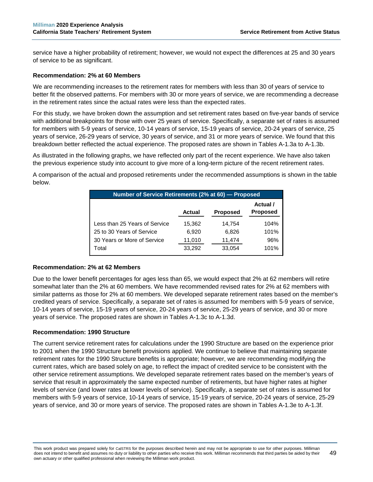service have a higher probability of retirement; however, we would not expect the differences at 25 and 30 years of service to be as significant.

#### **Recommendation: 2% at 60 Members**

We are recommending increases to the retirement rates for members with less than 30 of years of service to better fit the observed patterns. For members with 30 or more years of service, we are recommending a decrease in the retirement rates since the actual rates were less than the expected rates.

For this study, we have broken down the assumption and set retirement rates based on five-year bands of service with additional breakpoints for those with over 25 years of service. Specifically, a separate set of rates is assumed for members with 5-9 years of service, 10-14 years of service, 15-19 years of service, 20-24 years of service, 25 years of service, 26-29 years of service, 30 years of service, and 31 or more years of service. We found that this breakdown better reflected the actual experience. The proposed rates are shown in Tables A-1.3a to A-1.3b.

As illustrated in the following graphs, we have reflected only part of the recent experience. We have also taken the previous experience study into account to give more of a long-term picture of the recent retirement rates.

A comparison of the actual and proposed retirements under the recommended assumptions is shown in the table below.

| Number of Service Retirements (2% at 60) – Proposed |               |                 |                             |  |
|-----------------------------------------------------|---------------|-----------------|-----------------------------|--|
|                                                     | <b>Actual</b> | <b>Proposed</b> | Actual /<br><b>Proposed</b> |  |
| Less than 25 Years of Service                       | 15,362        | 14,754          | 104%                        |  |
| 25 to 30 Years of Service                           | 6,920         | 6,826           | 101%                        |  |
| 30 Years or More of Service                         | 11,010        | 11,474          | 96%                         |  |
| Total                                               | 33,292        | 33,054          | 101%                        |  |

#### **Recommendation: 2% at 62 Members**

Due to the lower benefit percentages for ages less than 65, we would expect that 2% at 62 members will retire somewhat later than the 2% at 60 members. We have recommended revised rates for 2% at 62 members with similar patterns as those for 2% at 60 members. We developed separate retirement rates based on the member's credited years of service. Specifically, a separate set of rates is assumed for members with 5-9 years of service, 10-14 years of service, 15-19 years of service, 20-24 years of service, 25-29 years of service, and 30 or more years of service. The proposed rates are shown in Tables A-1.3c to A-1.3d.

#### **Recommendation: 1990 Structure**

The current service retirement rates for calculations under the 1990 Structure are based on the experience prior to 2001 when the 1990 Structure benefit provisions applied. We continue to believe that maintaining separate retirement rates for the 1990 Structure benefits is appropriate; however, we are recommending modifying the current rates, which are based solely on age, to reflect the impact of credited service to be consistent with the other service retirement assumptions. We developed separate retirement rates based on the member's years of service that result in approximately the same expected number of retirements, but have higher rates at higher levels of service (and lower rates at lower levels of service). Specifically, a separate set of rates is assumed for members with 5-9 years of service, 10-14 years of service, 15-19 years of service, 20-24 years of service, 25-29 years of service, and 30 or more years of service. The proposed rates are shown in Tables A-1.3e to A-1.3f.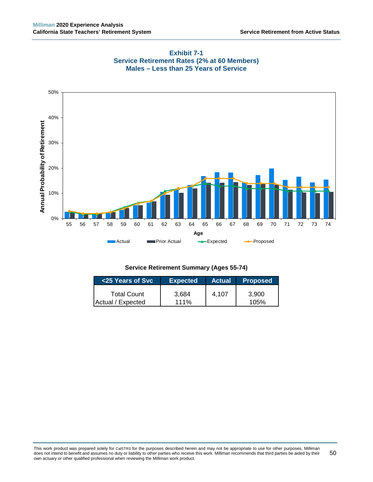



| <25 Years of Svc   | <b>Expected</b> | <b>Actual</b> | <b>Proposed</b> |
|--------------------|-----------------|---------------|-----------------|
| <b>Total Count</b> | 3.684           | 4.107         | 3.900           |
| Actual / Expected  | $111\%$         |               | 105%            |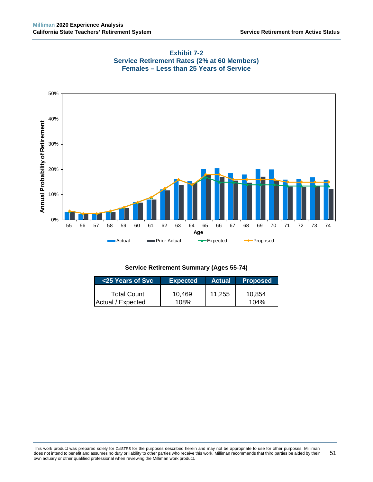

## **Exhibit 7-2 Service Retirement Rates (2% at 60 Members) Females – Less than 25 Years of Service**

| <25 Years of Svc   | <b>Expected</b> | <b>Actual</b> | <b>Proposed</b> |
|--------------------|-----------------|---------------|-----------------|
| <b>Total Count</b> | 10,469          | 11,255        | 10.854          |
| Actual / Expected  | 108%            |               | 104%            |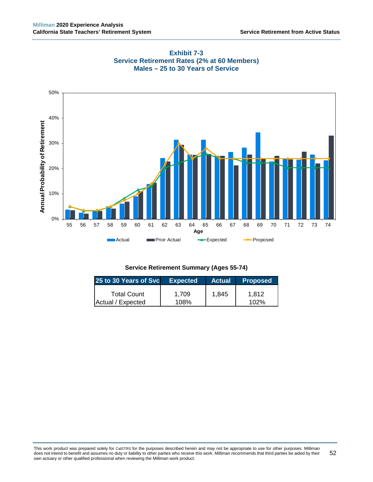



| 25 to 30 Years of Svc | <b>Expected</b> |       | Actual Proposed |
|-----------------------|-----------------|-------|-----------------|
| <b>Total Count</b>    | 1.709           | 1,845 | 1.812           |
| Actual / Expected     | 108%            |       | $102\%$         |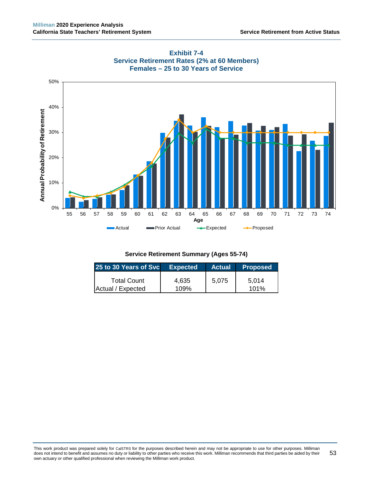



| <b>Expected</b> | <b>Actual</b> | <b>Proposed</b> |
|-----------------|---------------|-----------------|
| 4.635           | 5.075         | 5.014<br>101%   |
|                 | 109%          |                 |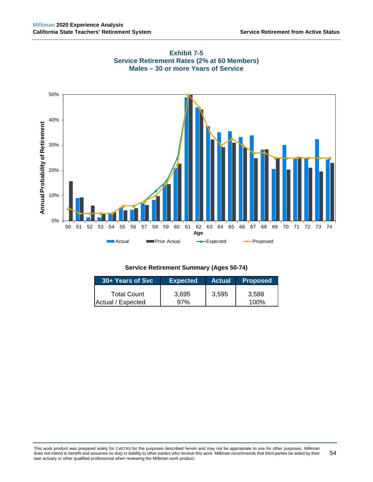



| 30+ Years of Svc   | <b>Expected</b> |       | Actual Proposed |
|--------------------|-----------------|-------|-----------------|
| <b>Total Count</b> | 3.695           | 3,595 | 3.588           |
| Actual / Expected  | 97%             |       | 100%            |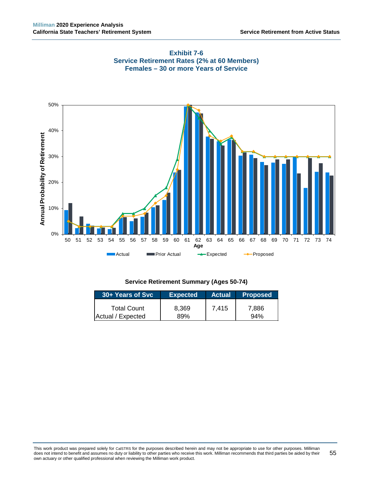

# **Exhibit 7-6 Service Retirement Rates (2% at 60 Members) Females – 30 or more Years of Service**

# **Service Retirement Summary (Ages 50-74)**

| 30+ Years of Svc   | <b>Expected</b> | <b>Actual</b> | <b>Proposed</b> |  |
|--------------------|-----------------|---------------|-----------------|--|
| <b>Total Count</b> | 8.369           | 7,415         | 7,886           |  |
| Actual / Expected  | 89%             |               | 94%             |  |

This work product was prepared solely for CalSTRS for the purposes described herein and may not be appropriate to use for other purposes. Milliman does not intend to benefit and assumes no duty or liability to other parties who receive this work. Milliman recommends that third parties be aided by their own actuary or other qualified professional when reviewing the Milliman work product. 55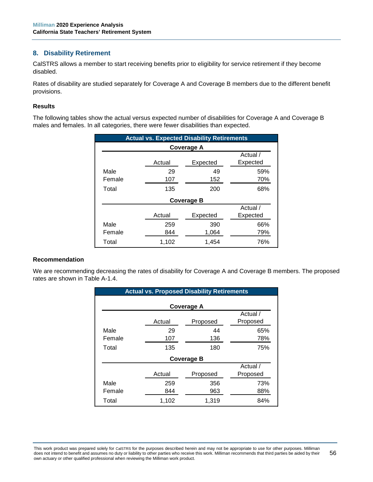# **8. Disability Retirement**

CalSTRS allows a member to start receiving benefits prior to eligibility for service retirement if they become disabled.

Rates of disability are studied separately for Coverage A and Coverage B members due to the different benefit provisions.

#### **Results**

The following tables show the actual versus expected number of disabilities for Coverage A and Coverage B males and females. In all categories, there were fewer disabilities than expected.

| <b>Actual vs. Expected Disability Retirements</b> |          |            |          |  |  |  |  |
|---------------------------------------------------|----------|------------|----------|--|--|--|--|
|                                                   |          | Coverage A |          |  |  |  |  |
|                                                   | Actual / |            |          |  |  |  |  |
|                                                   | Actual   | Expected   | Expected |  |  |  |  |
| Male                                              | 29       | 49         | 59%      |  |  |  |  |
| Female                                            | 107      | 152        | 70%      |  |  |  |  |
| Total                                             | 135      | 200        | 68%      |  |  |  |  |
| Coverage B                                        |          |            |          |  |  |  |  |
|                                                   |          |            | Actual / |  |  |  |  |
|                                                   | Actual   | Expected   | Expected |  |  |  |  |
| Male                                              | 259      | 390        | 66%      |  |  |  |  |
| Female                                            | 844      | 1,064      | 79%      |  |  |  |  |
| Total                                             | 1,102    | 1,454      | 76%      |  |  |  |  |

#### **Recommendation**

We are recommending decreasing the rates of disability for Coverage A and Coverage B members. The proposed rates are shown in Table A-1.4.

| <b>Actual vs. Proposed Disability Retirements</b> |                   |          |          |  |  |  |
|---------------------------------------------------|-------------------|----------|----------|--|--|--|
| <b>Coverage A</b>                                 |                   |          |          |  |  |  |
|                                                   |                   |          | Actual / |  |  |  |
|                                                   | Actual            | Proposed | Proposed |  |  |  |
| Male                                              | 29                | 44       | 65%      |  |  |  |
| Female                                            | 107               | 136      | 78%      |  |  |  |
| Total                                             | 135               | 180      | 75%      |  |  |  |
|                                                   | <b>Coverage B</b> |          |          |  |  |  |
|                                                   |                   |          | Actual / |  |  |  |
|                                                   | Actual            | Proposed | Proposed |  |  |  |
| Male                                              | 259               | 356      | 73%      |  |  |  |
| Female                                            | 844               | 963      | 88%      |  |  |  |
| Total                                             | 1,102             | 1,319    | 84%      |  |  |  |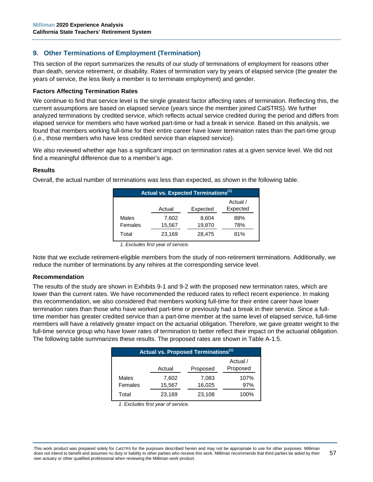# **9. Other Terminations of Employment (Termination)**

This section of the report summarizes the results of our study of terminations of employment for reasons other than death, service retirement, or disability. Rates of termination vary by years of elapsed service (the greater the years of service, the less likely a member is to terminate employment) and gender.

#### **Factors Affecting Termination Rates**

We continue to find that service level is the single greatest factor affecting rates of termination. Reflecting this, the current assumptions are based on elapsed service (years since the member joined CalSTRS). We further analyzed terminations by credited service, which reflects actual service credited during the period and differs from elapsed service for members who have worked part-time or had a break in service. Based on this analysis, we found that members working full-time for their entire career have lower termination rates than the part-time group (i.e., those members who have less credited service than elapsed service).

We also reviewed whether age has a significant impact on termination rates at a given service level. We did not find a meaningful difference due to a member's age.

### **Results**

Overall, the actual number of terminations was less than expected, as shown in the following table.

| Actual vs. Expected Terminations <sup>(1)</sup> |        |        |     |  |  |
|-------------------------------------------------|--------|--------|-----|--|--|
| Actual /<br>Expected<br>Actual<br>Expected      |        |        |     |  |  |
| Males                                           | 7,602  | 8,604  | 88% |  |  |
| Females                                         | 15,567 | 19,870 | 78% |  |  |
| Total                                           | 23,169 | 28,475 | 81% |  |  |

*<sup>1.</sup> Excludes first year of service.*

Note that we exclude retirement-eligible members from the study of non-retirement terminations. Additionally, we reduce the number of terminations by any rehires at the corresponding service level.

#### **Recommendation**

The results of the study are shown in Exhibits 9-1 and 9-2 with the proposed new termination rates, which are lower than the current rates. We have recommended the reduced rates to reflect recent experience. In making this recommendation, we also considered that members working full-time for their entire career have lower termination rates than those who have worked part-time or previously had a break in their service. Since a fulltime member has greater credited service than a part-time member at the same level of elapsed service, full-time members will have a relatively greater impact on the actuarial obligation. Therefore, we gave greater weight to the full-time service group who have lower rates of termination to better reflect their impact on the actuarial obligation. The following table summarizes these results. The proposed rates are shown in Table A-1.5.

| Actual vs. Proposed Terminations <sup>(1)</sup> |        |        |      |  |  |
|-------------------------------------------------|--------|--------|------|--|--|
| Actual /<br>Proposed<br>Actual<br>Proposed      |        |        |      |  |  |
| Males                                           | 7,602  | 7,083  | 107% |  |  |
| Females                                         | 15,567 | 16,025 | 97%  |  |  |
| Total                                           | 23,169 | 23,108 | 100% |  |  |

*1. Excludes first year of service.*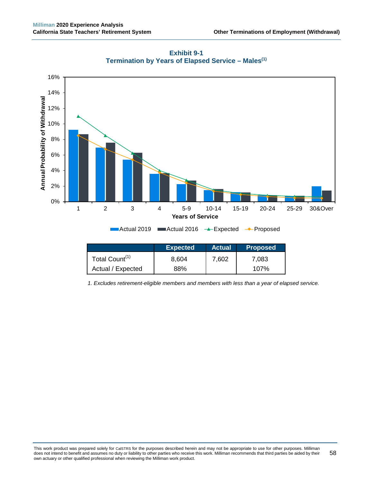

**Exhibit 9-1 Termination by Years of Elapsed Service – Males(1)**

|                            | <b>Expected</b><br><b>Actual</b> |       | <b>Proposed</b> |
|----------------------------|----------------------------------|-------|-----------------|
| Total Count <sup>(1)</sup> | 8.604                            | 7.602 | 7.083           |
| Actual / Expected          | 88%                              |       | $107\%$         |

*1. Excludes retirement-eligible members and members with less than a year of elapsed service.*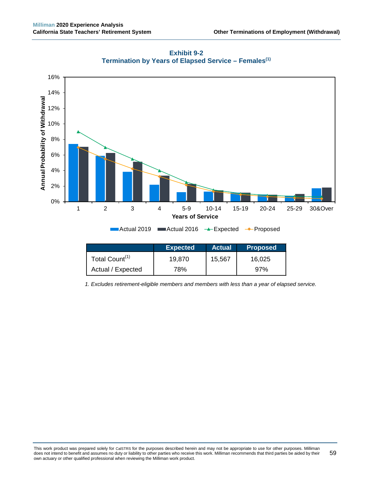

**Exhibit 9-2 Termination by Years of Elapsed Service – Females(1)**

|                            | <b>Expected</b> | <b>Actual</b> | <b>Proposed</b> |
|----------------------------|-----------------|---------------|-----------------|
| Total Count <sup>(1)</sup> | 19.870          | 15,567        | 16.025          |
| Actual / Expected          | 78%             |               | 97%             |

*1. Excludes retirement-eligible members and members with less than a year of elapsed service.*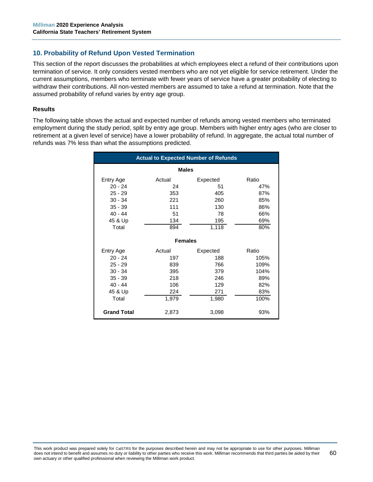# **10. Probability of Refund Upon Vested Termination**

This section of the report discusses the probabilities at which employees elect a refund of their contributions upon termination of service. It only considers vested members who are not yet eligible for service retirement. Under the current assumptions, members who terminate with fewer years of service have a greater probability of electing to withdraw their contributions. All non-vested members are assumed to take a refund at termination. Note that the assumed probability of refund varies by entry age group.

#### **Results**

The following table shows the actual and expected number of refunds among vested members who terminated employment during the study period, split by entry age group. Members with higher entry ages (who are closer to retirement at a given level of service) have a lower probability of refund. In aggregate, the actual total number of refunds was 7% less than what the assumptions predicted.

| <b>Actual to Expected Number of Refunds</b> |                |          |       |  |
|---------------------------------------------|----------------|----------|-------|--|
| <b>Males</b>                                |                |          |       |  |
| Entry Age                                   | Actual         | Expected | Ratio |  |
| $20 - 24$                                   | 24             | 51       | 47%   |  |
| $25 - 29$                                   | 353            | 405      | 87%   |  |
| $30 - 34$                                   | 221            | 260      | 85%   |  |
| $35 - 39$                                   | 111            | 130      | 86%   |  |
| $40 - 44$                                   | 51             | 78       | 66%   |  |
| 45 & Up                                     | 134            | 195      | 69%   |  |
| Total                                       | 894            | 1,118    | 80%   |  |
|                                             |                |          |       |  |
|                                             | <b>Females</b> |          |       |  |
| Entry Age                                   | Actual         | Expected | Ratio |  |
| $20 - 24$                                   | 197            | 188      | 105%  |  |
| $25 - 29$                                   | 839            | 766      | 109%  |  |
| $30 - 34$                                   | 395            | 379      | 104%  |  |
| $35 - 39$                                   | 218            | 246      | 89%   |  |
| $40 - 44$                                   | 106            | 129      | 82%   |  |
| 45 & Up                                     | 224            | 271      | 83%   |  |
| Total                                       | 1,979          | 1,980    | 100%  |  |
|                                             |                |          |       |  |
| <b>Grand Total</b>                          | 2,873          | 3,098    | 93%   |  |

This work product was prepared solely for CalSTRS for the purposes described herein and may not be appropriate to use for other purposes. Milliman does not intend to benefit and assumes no duty or liability to other parties who receive this work. Milliman recommends that third parties be aided by their own actuary or other qualified professional when reviewing the Milliman work product. 60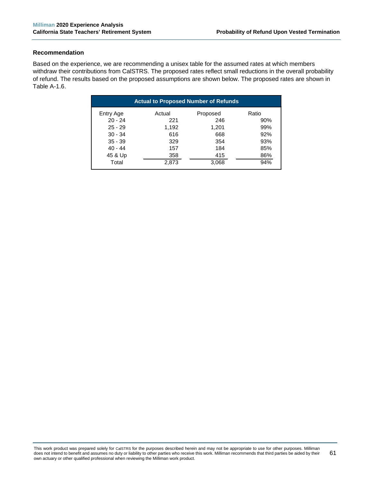#### **Recommendation**

Based on the experience, we are recommending a unisex table for the assumed rates at which members withdraw their contributions from CalSTRS. The proposed rates reflect small reductions in the overall probability of refund. The results based on the proposed assumptions are shown below. The proposed rates are shown in Table A-1.6.

| <b>Actual to Proposed Number of Refunds</b> |        |          |       |  |
|---------------------------------------------|--------|----------|-------|--|
| Entry Age                                   | Actual | Proposed | Ratio |  |
| $20 - 24$                                   | 221    | 246      | 90%   |  |
| $25 - 29$                                   | 1,192  | 1,201    | 99%   |  |
| $30 - 34$                                   | 616    | 668      | 92%   |  |
| $35 - 39$                                   | 329    | 354      | 93%   |  |
| $40 - 44$                                   | 157    | 184      | 85%   |  |
|                                             | 358    | 415      | 86%   |  |
| 45 & Up<br>Total                            | 2,873  | 3,068    | 94%   |  |

This work product was prepared solely for CalSTRS for the purposes described herein and may not be appropriate to use for other purposes. Milliman does not intend to benefit and assumes no duty or liability to other parties who receive this work. Milliman recommends that third parties be aided by their own actuary or other qualified professional when reviewing the Milliman work product. 61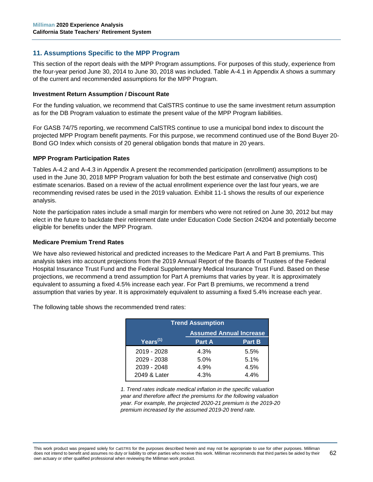# **11. Assumptions Specific to the MPP Program**

This section of the report deals with the MPP Program assumptions. For purposes of this study, experience from the four-year period June 30, 2014 to June 30, 2018 was included. Table A-4.1 in Appendix A shows a summary of the current and recommended assumptions for the MPP Program.

#### **Investment Return Assumption / Discount Rate**

For the funding valuation, we recommend that CalSTRS continue to use the same investment return assumption as for the DB Program valuation to estimate the present value of the MPP Program liabilities.

For GASB 74/75 reporting, we recommend CalSTRS continue to use a municipal bond index to discount the projected MPP Program benefit payments. For this purpose, we recommend continued use of the Bond Buyer 20- Bond GO Index which consists of 20 general obligation bonds that mature in 20 years.

### **MPP Program Participation Rates**

Tables A-4.2 and A-4.3 in Appendix A present the recommended participation (enrollment) assumptions to be used in the June 30, 2018 MPP Program valuation for both the best estimate and conservative (high cost) estimate scenarios. Based on a review of the actual enrollment experience over the last four years, we are recommending revised rates be used in the 2019 valuation. Exhibit 11-1 shows the results of our experience analysis.

Note the participation rates include a small margin for members who were not retired on June 30, 2012 but may elect in the future to backdate their retirement date under Education Code Section 24204 and potentially become eligible for benefits under the MPP Program.

#### **Medicare Premium Trend Rates**

We have also reviewed historical and predicted increases to the Medicare Part A and Part B premiums. This analysis takes into account projections from the 2019 Annual Report of the Boards of Trustees of the Federal Hospital Insurance Trust Fund and the Federal Supplementary Medical Insurance Trust Fund. Based on these projections, we recommend a trend assumption for Part A premiums that varies by year. It is approximately equivalent to assuming a fixed 4.5% increase each year. For Part B premiums, we recommend a trend assumption that varies by year. It is approximately equivalent to assuming a fixed 5.4% increase each year.

The following table shows the recommended trend rates:

| <b>Trend Assumption</b>        |               |               |  |  |
|--------------------------------|---------------|---------------|--|--|
| <b>Assumed Annual Increase</b> |               |               |  |  |
| Years $(1)$                    | <b>Part A</b> | <b>Part B</b> |  |  |
| 2019 - 2028                    | 4.3%          | 5.5%          |  |  |
| 2029 - 2038                    | 5.0%          | 5.1%          |  |  |
| 2039 - 2048                    | 4.9%          | 4.5%          |  |  |
| 2049 & Later                   | 4.3%          | 44%           |  |  |

*1. Trend rates indicate medical inflation in the specific valuation year and therefore affect the premiums for the following valuation year. For example, the projected 2020-21 premium is the 2019-20 premium increased by the assumed 2019-20 trend rate.*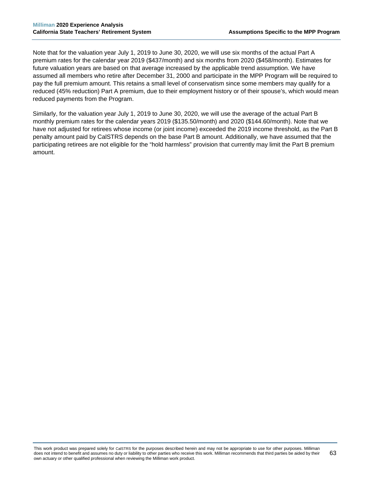Note that for the valuation year July 1, 2019 to June 30, 2020, we will use six months of the actual Part A premium rates for the calendar year 2019 (\$437/month) and six months from 2020 (\$458/month). Estimates for future valuation years are based on that average increased by the applicable trend assumption. We have assumed all members who retire after December 31, 2000 and participate in the MPP Program will be required to pay the full premium amount. This retains a small level of conservatism since some members may qualify for a reduced (45% reduction) Part A premium, due to their employment history or of their spouse's, which would mean reduced payments from the Program.

Similarly, for the valuation year July 1, 2019 to June 30, 2020, we will use the average of the actual Part B monthly premium rates for the calendar years 2019 (\$135.50/month) and 2020 (\$144.60/month). Note that we have not adjusted for retirees whose income (or joint income) exceeded the 2019 income threshold, as the Part B penalty amount paid by CalSTRS depends on the base Part B amount. Additionally, we have assumed that the participating retirees are not eligible for the "hold harmless" provision that currently may limit the Part B premium amount.

This work product was prepared solely for CalSTRS for the purposes described herein and may not be appropriate to use for other purposes. Milliman does not intend to benefit and assumes no duty or liability to other parties who receive this work. Milliman recommends that third parties be aided by their own actuary or other qualified professional when reviewing the Milliman work product. 63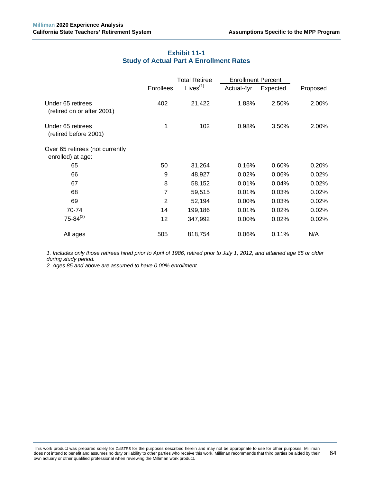# **Exhibit 11-1 Study of Actual Part A Enrollment Rates**

|                                                      |                | <b>Total Retiree</b> | <b>Enrollment Percent</b> |          |          |
|------------------------------------------------------|----------------|----------------------|---------------------------|----------|----------|
|                                                      | Enrollees      | Lives $(1)$          | Actual-4yr                | Expected | Proposed |
| Under 65 retirees<br>(retired on or after 2001)      | 402            | 21,422               | 1.88%                     | 2.50%    | 2.00%    |
| Under 65 retirees<br>(retired before 2001)           | 1              | 102                  | 0.98%                     | 3.50%    | 2.00%    |
| Over 65 retirees (not currently<br>enrolled) at age: |                |                      |                           |          |          |
| 65                                                   | 50             | 31,264               | 0.16%                     | 0.60%    | 0.20%    |
| 66                                                   | 9              | 48,927               | 0.02%                     | 0.06%    | 0.02%    |
| 67                                                   | 8              | 58,152               | 0.01%                     | 0.04%    | 0.02%    |
| 68                                                   | 7              | 59,515               | 0.01%                     | 0.03%    | 0.02%    |
| 69                                                   | $\overline{2}$ | 52,194               | $0.00\%$                  | 0.03%    | 0.02%    |
| 70-74                                                | 14             | 199,186              | 0.01%                     | 0.02%    | 0.02%    |
| $75 - 84^{(2)}$                                      | 12             | 347,992              | $0.00\%$                  | 0.02%    | 0.02%    |
| All ages                                             | 505            | 818,754              | 0.06%                     | 0.11%    | N/A      |

*1. Includes only those retirees hired prior to April of 1986, retired prior to July 1, 2012, and attained age 65 or older during study period.*

*2. Ages 85 and above are assumed to have 0.00% enrollment.*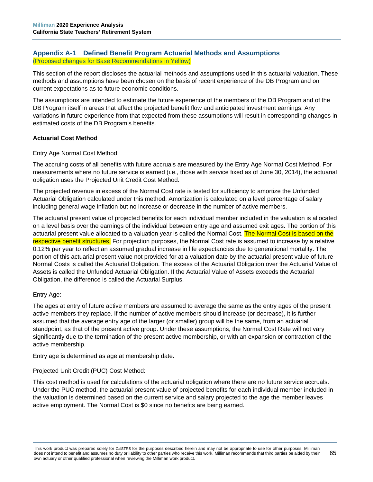# **Appendix A-1 Defined Benefit Program Actuarial Methods and Assumptions** (Proposed changes for Base Recommendations in Yellow)

This section of the report discloses the actuarial methods and assumptions used in this actuarial valuation. These methods and assumptions have been chosen on the basis of recent experience of the DB Program and on current expectations as to future economic conditions.

The assumptions are intended to estimate the future experience of the members of the DB Program and of the DB Program itself in areas that affect the projected benefit flow and anticipated investment earnings. Any variations in future experience from that expected from these assumptions will result in corresponding changes in estimated costs of the DB Program's benefits.

# **Actuarial Cost Method**

Entry Age Normal Cost Method:

The accruing costs of all benefits with future accruals are measured by the Entry Age Normal Cost Method. For measurements where no future service is earned (i.e., those with service fixed as of June 30, 2014), the actuarial obligation uses the Projected Unit Credit Cost Method.

The projected revenue in excess of the Normal Cost rate is tested for sufficiency to amortize the Unfunded Actuarial Obligation calculated under this method. Amortization is calculated on a level percentage of salary including general wage inflation but no increase or decrease in the number of active members.

The actuarial present value of projected benefits for each individual member included in the valuation is allocated on a level basis over the earnings of the individual between entry age and assumed exit ages. The portion of this actuarial present value allocated to a valuation year is called the Normal Cost. The Normal Cost is based on the respective benefit structures. For projection purposes, the Normal Cost rate is assumed to increase by a relative 0.12% per year to reflect an assumed gradual increase in life expectancies due to generational mortality. The portion of this actuarial present value not provided for at a valuation date by the actuarial present value of future Normal Costs is called the Actuarial Obligation. The excess of the Actuarial Obligation over the Actuarial Value of Assets is called the Unfunded Actuarial Obligation. If the Actuarial Value of Assets exceeds the Actuarial Obligation, the difference is called the Actuarial Surplus.

# Entry Age:

The ages at entry of future active members are assumed to average the same as the entry ages of the present active members they replace. If the number of active members should increase (or decrease), it is further assumed that the average entry age of the larger (or smaller) group will be the same, from an actuarial standpoint, as that of the present active group. Under these assumptions, the Normal Cost Rate will not vary significantly due to the termination of the present active membership, or with an expansion or contraction of the active membership.

Entry age is determined as age at membership date.

Projected Unit Credit (PUC) Cost Method:

This cost method is used for calculations of the actuarial obligation where there are no future service accruals. Under the PUC method, the actuarial present value of projected benefits for each individual member included in the valuation is determined based on the current service and salary projected to the age the member leaves active employment. The Normal Cost is \$0 since no benefits are being earned.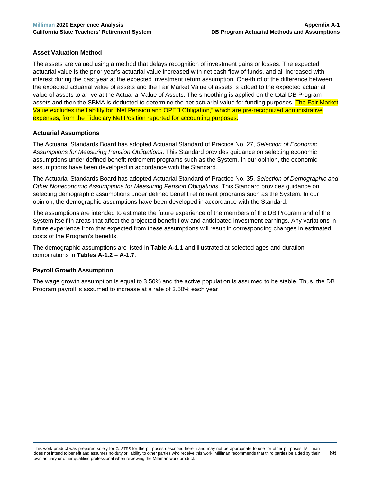# **Asset Valuation Method**

The assets are valued using a method that delays recognition of investment gains or losses. The expected actuarial value is the prior year's actuarial value increased with net cash flow of funds, and all increased with interest during the past year at the expected investment return assumption. One-third of the difference between the expected actuarial value of assets and the Fair Market Value of assets is added to the expected actuarial value of assets to arrive at the Actuarial Value of Assets. The smoothing is applied on the total DB Program assets and then the SBMA is deducted to determine the net actuarial value for funding purposes. The Fair Market Value excludes the liability for "Net Pension and OPEB Obligation," which are pre-recognized administrative expenses, from the Fiduciary Net Position reported for accounting purposes.

### **Actuarial Assumptions**

The Actuarial Standards Board has adopted Actuarial Standard of Practice No. 27, *Selection of Economic Assumptions for Measuring Pension Obligations*. This Standard provides guidance on selecting economic assumptions under defined benefit retirement programs such as the System. In our opinion, the economic assumptions have been developed in accordance with the Standard.

The Actuarial Standards Board has adopted Actuarial Standard of Practice No. 35, *Selection of Demographic and Other Noneconomic Assumptions for Measuring Pension Obligations*. This Standard provides guidance on selecting demographic assumptions under defined benefit retirement programs such as the System. In our opinion, the demographic assumptions have been developed in accordance with the Standard.

The assumptions are intended to estimate the future experience of the members of the DB Program and of the System itself in areas that affect the projected benefit flow and anticipated investment earnings. Any variations in future experience from that expected from these assumptions will result in corresponding changes in estimated costs of the Program's benefits.

The demographic assumptions are listed in **Table A-1.1** and illustrated at selected ages and duration combinations in **Tables A-1.2 – A-1.7**.

#### **Payroll Growth Assumption**

The wage growth assumption is equal to 3.50% and the active population is assumed to be stable. Thus, the DB Program payroll is assumed to increase at a rate of 3.50% each year.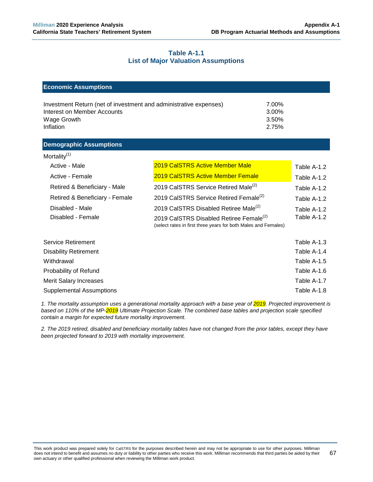### **Table A-1.1 List of Major Valuation Assumptions**

| <b>Economic Assumptions</b>                                                                                                                                      |                                                                                                                       |               |  |  |  |
|------------------------------------------------------------------------------------------------------------------------------------------------------------------|-----------------------------------------------------------------------------------------------------------------------|---------------|--|--|--|
| 7.00%<br>Investment Return (net of investment and administrative expenses)<br>Interest on Member Accounts<br>3.00%<br>3.50%<br>Wage Growth<br>Inflation<br>2.75% |                                                                                                                       |               |  |  |  |
| <b>Demographic Assumptions</b>                                                                                                                                   |                                                                                                                       |               |  |  |  |
| Mortality $(1)$                                                                                                                                                  |                                                                                                                       |               |  |  |  |
| Active - Male                                                                                                                                                    | <b>2019 CalSTRS Active Member Male</b>                                                                                | Table A-1.2   |  |  |  |
| Active - Female                                                                                                                                                  | <b>2019 CalSTRS Active Member Female</b>                                                                              | Table A-1.2   |  |  |  |
| Retired & Beneficiary - Male                                                                                                                                     | 2019 CalSTRS Service Retired Male <sup>(2)</sup>                                                                      | Table A-1.2   |  |  |  |
| Retired & Beneficiary - Female                                                                                                                                   | 2019 CalSTRS Service Retired Female <sup>(2)</sup>                                                                    | Table A-1.2   |  |  |  |
| Disabled - Male                                                                                                                                                  | 2019 CalSTRS Disabled Retiree Male <sup>(2)</sup>                                                                     | Table A-1.2   |  |  |  |
| Disabled - Female                                                                                                                                                | 2019 CalSTRS Disabled Retiree Female <sup>(2)</sup><br>(select rates in first three years for both Males and Females) | Table A-1.2   |  |  |  |
| Service Retirement                                                                                                                                               |                                                                                                                       | Table $A-1.3$ |  |  |  |
| <b>Disability Retirement</b>                                                                                                                                     |                                                                                                                       | Table A-1.4   |  |  |  |
| Withdrawal                                                                                                                                                       |                                                                                                                       | Table A-1.5   |  |  |  |
| Probability of Refund                                                                                                                                            |                                                                                                                       |               |  |  |  |
| Table A-1.7<br><b>Merit Salary Increases</b>                                                                                                                     |                                                                                                                       |               |  |  |  |
| <b>Supplemental Assumptions</b>                                                                                                                                  |                                                                                                                       | Table A-1.8   |  |  |  |

*1. The mortality assumption uses a generational mortality approach with a base year of 2019. Projected improvement is based on 110% of the MP-2019 Ultimate Projection Scale. The combined base tables and projection scale specified contain a margin for expected future mortality improvement.* 

*2. The 2019 retired, disabled and beneficiary mortality tables have not changed from the prior tables, except they have been projected forward to 2019 with mortality improvement.*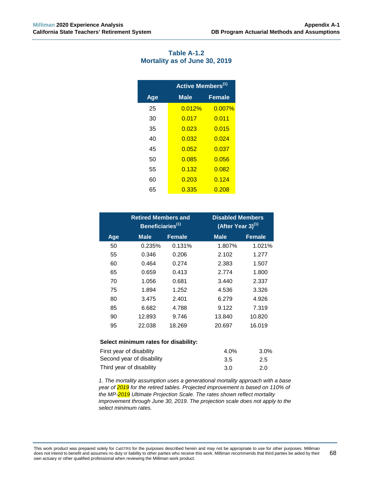| Table A-1.2                   |  |  |  |  |  |
|-------------------------------|--|--|--|--|--|
| Mortality as of June 30, 2019 |  |  |  |  |  |

|     | Active Members <sup>(1)</sup> |               |  |  |  |
|-----|-------------------------------|---------------|--|--|--|
| Age | <b>Male</b>                   | <b>Female</b> |  |  |  |
| 25  | 0.012%                        | 0.007%        |  |  |  |
| 30  | 0.017                         | 0.011         |  |  |  |
| 35  | 0.023                         | 0.015         |  |  |  |
| 40  | 0.032                         | 0.024         |  |  |  |
| 45  | 0.052                         | 0.037         |  |  |  |
| 50  | 0.085                         | 0.056         |  |  |  |
| 55  | 0.132                         | 0.082         |  |  |  |
| 60  | 0.203                         | 0.124         |  |  |  |
| 65  | 0.335                         | 0.208         |  |  |  |

|                                      | <b>Retired Members and</b><br>Beneficiaries <sup>(1)</sup> |               |             | <b>Disabled Members</b><br>$(After Year 3)$ <sup>(1)</sup> |  |  |
|--------------------------------------|------------------------------------------------------------|---------------|-------------|------------------------------------------------------------|--|--|
| Age                                  | <b>Male</b>                                                | <b>Female</b> | <b>Male</b> | <b>Female</b>                                              |  |  |
| 50                                   | 0.235%                                                     | 0.131%        | 1.807%      | 1.021%                                                     |  |  |
| 55                                   | 0.346                                                      | 0.206         | 2.102       | 1.277                                                      |  |  |
| 60                                   | 0.464                                                      | 0.274         | 2.383       | 1.507                                                      |  |  |
| 65                                   | 0.659                                                      | 0.413         | 2.774       | 1.800                                                      |  |  |
| 70                                   | 1.056                                                      | 0.681         | 3.440       | 2.337                                                      |  |  |
| 75                                   | 1.894                                                      | 1.252         | 4.536       | 3.326                                                      |  |  |
| 80                                   | 3.475                                                      | 2.401         | 6.279       | 4.926                                                      |  |  |
| 85                                   | 6.682                                                      | 4.788         | 9.122       | 7.319                                                      |  |  |
| 90                                   | 12.893                                                     | 9.746         | 13.840      | 10.820                                                     |  |  |
| 95                                   | 22.038                                                     | 18.269        | 20.697      | 16.019                                                     |  |  |
| Select minimum rates for disability: |                                                            |               |             |                                                            |  |  |
| First year of disability             |                                                            |               | 4.0%        | 3.0%                                                       |  |  |
|                                      | Second year of disability                                  | 3.5           | 2.5         |                                                            |  |  |
|                                      | Third year of disability                                   | 3.0           | 2.0         |                                                            |  |  |

*1. The mortality assumption uses a generational mortality approach with a base year of 2019 for the retired tables. Projected improvement is based on 110% of the MP-2019 Ultimate Projection Scale. The rates shown reflect mortality improvement through June 30, 2019. The projection scale does not apply to the select minimum rates.*

This work product was prepared solely for CalSTRS for the purposes described herein and may not be appropriate to use for other purposes. Milliman does not intend to benefit and assumes no duty or liability to other parties who receive this work. Milliman recommends that third parties be aided by their own actuary or other qualified professional when reviewing the Milliman work product. 68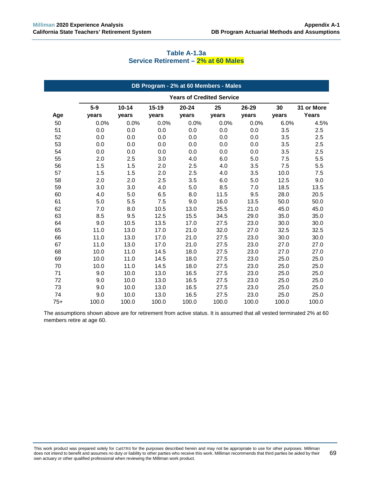### **Table A-1.3a Service Retirement – 2% at 60 Males**

|       |       |           |           | DB Program - 2% at 60 Members - Males |       |       |       |            |
|-------|-------|-----------|-----------|---------------------------------------|-------|-------|-------|------------|
|       |       |           |           | <b>Years of Credited Service</b>      |       |       |       |            |
|       | $5-9$ | $10 - 14$ | $15 - 19$ | $20 - 24$                             | 25    | 26-29 | 30    | 31 or More |
| Age   | years | years     | years     | years                                 | years | years | years | Years      |
| 50    | 0.0%  | 0.0%      | 0.0%      | 0.0%                                  | 0.0%  | 0.0%  | 6.0%  | 4.5%       |
| 51    | 0.0   | 0.0       | 0.0       | 0.0                                   | 0.0   | 0.0   | 3.5   | 2.5        |
| 52    | 0.0   | 0.0       | 0.0       | 0.0                                   | 0.0   | 0.0   | 3.5   | 2.5        |
| 53    | 0.0   | 0.0       | 0.0       | 0.0                                   | 0.0   | 0.0   | 3.5   | 2.5        |
| 54    | 0.0   | 0.0       | 0.0       | 0.0                                   | 0.0   | 0.0   | 3.5   | 2.5        |
| 55    | 2.0   | 2.5       | 3.0       | 4.0                                   | 6.0   | 5.0   | 7.5   | 5.5        |
| 56    | 1.5   | 1.5       | 2.0       | 2.5                                   | 4.0   | 3.5   | 7.5   | 5.5        |
| 57    | 1.5   | 1.5       | 2.0       | 2.5                                   | 4.0   | 3.5   | 10.0  | 7.5        |
| 58    | 2.0   | 2.0       | 2.5       | 3.5                                   | 6.0   | 5.0   | 12.5  | 9.0        |
| 59    | 3.0   | 3.0       | 4.0       | 5.0                                   | 8.5   | 7.0   | 18.5  | 13.5       |
| 60    | 4.0   | 5.0       | 6.5       | 8.0                                   | 11.5  | 9.5   | 28.0  | 20.5       |
| 61    | 5.0   | 5.5       | 7.5       | 9.0                                   | 16.0  | 13.5  | 50.0  | 50.0       |
| 62    | 7.0   | 8.0       | 10.5      | 13.0                                  | 25.5  | 21.0  | 45.0  | 45.0       |
| 63    | 8.5   | 9.5       | 12.5      | 15.5                                  | 34.5  | 29.0  | 35.0  | 35.0       |
| 64    | 9.0   | 10.5      | 13.5      | 17.0                                  | 27.5  | 23.0  | 30.0  | 30.0       |
| 65    | 11.0  | 13.0      | 17.0      | 21.0                                  | 32.0  | 27.0  | 32.5  | 32.5       |
| 66    | 11.0  | 13.0      | 17.0      | 21.0                                  | 27.5  | 23.0  | 30.0  | 30.0       |
| 67    | 11.0  | 13.0      | 17.0      | 21.0                                  | 27.5  | 23.0  | 27.0  | 27.0       |
| 68    | 10.0  | 11.0      | 14.5      | 18.0                                  | 27.5  | 23.0  | 27.0  | 27.0       |
| 69    | 10.0  | 11.0      | 14.5      | 18.0                                  | 27.5  | 23.0  | 25.0  | 25.0       |
| 70    | 10.0  | 11.0      | 14.5      | 18.0                                  | 27.5  | 23.0  | 25.0  | 25.0       |
| 71    | 9.0   | 10.0      | 13.0      | 16.5                                  | 27.5  | 23.0  | 25.0  | 25.0       |
| 72    | 9.0   | 10.0      | 13.0      | 16.5                                  | 27.5  | 23.0  | 25.0  | 25.0       |
| 73    | 9.0   | 10.0      | 13.0      | 16.5                                  | 27.5  | 23.0  | 25.0  | 25.0       |
| 74    | 9.0   | 10.0      | 13.0      | 16.5                                  | 27.5  | 23.0  | 25.0  | 25.0       |
| $75+$ | 100.0 | 100.0     | 100.0     | 100.0                                 | 100.0 | 100.0 | 100.0 | 100.0      |

The assumptions shown above are for retirement from active status. It is assumed that all vested terminated 2% at 60 members retire at age 60.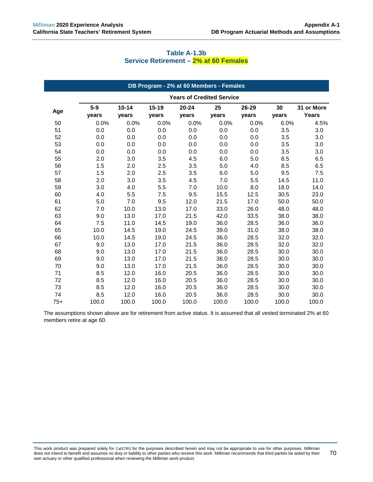| DB Program - 2% at 60 Members - Females |                |                    |                    |                                  |             |                |             |                            |
|-----------------------------------------|----------------|--------------------|--------------------|----------------------------------|-------------|----------------|-------------|----------------------------|
|                                         |                |                    |                    | <b>Years of Credited Service</b> |             |                |             |                            |
| Age                                     | $5-9$<br>years | $10 - 14$<br>years | $15 - 19$<br>years | $20 - 24$<br>years               | 25<br>years | 26-29<br>years | 30<br>years | 31 or More<br><b>Years</b> |
| 50                                      | 0.0%           | 0.0%               | 0.0%               | 0.0%                             | 0.0%        | 0.0%           | 6.0%        | 4.5%                       |
| 51                                      | 0.0            | 0.0                | 0.0                | 0.0                              | 0.0         | 0.0            | 3.5         | 3.0                        |
| 52                                      | 0.0            | 0.0                | 0.0                | 0.0                              | 0.0         | 0.0            | 3.5         | 3.0                        |
| 53                                      | 0.0            | 0.0                | 0.0                | 0.0                              | 0.0         | 0.0            | 3.5         | 3.0                        |
| 54                                      | 0.0            | $0.0\,$            | 0.0                | 0.0                              | 0.0         | 0.0            | 3.5         | 3.0                        |
| 55                                      | 2.0            | 3.0                | 3.5                | 4.5                              | 6.0         | 5.0            | 8.5         | 6.5                        |
| 56                                      | 1.5            | 2.0                | 2.5                | 3.5                              | 5.0         | 4.0            | 8.5         | 6.5                        |
| 57                                      | 1.5            | 2.0                | 2.5                | 3.5                              | 6.0         | 5.0            | 9.5         | 7.5                        |
| 58                                      | 2.0            | 3.0                | 3.5                | 4.5                              | 7.0         | 5.5            | 14.5        | 11.0                       |
| 59                                      | 3.0            | 4.0                | 5.5                | 7.0                              | 10.0        | 8.0            | 18.0        | 14.0                       |
| 60                                      | 4.0            | 5.5                | 7.5                | 9.5                              | 15.5        | 12.5           | 30.5        | 23.0                       |
| 61                                      | 5.0            | 7.0                | 9.5                | 12.0                             | 21.5        | 17.0           | 50.0        | 50.0                       |
| 62                                      | 7.0            | 10.0               | 13.0               | 17.0                             | 33.0        | 26.0           | 48.0        | 48.0                       |
| 63                                      | 9.0            | 13.0               | 17.0               | 21.5                             | 42.0        | 33.5           | 38.0        | 38.0                       |
| 64                                      | 7.5            | 11.0               | 14.5               | 19.0                             | 36.0        | 28.5           | 36.0        | 36.0                       |
| 65                                      | 10.0           | 14.5               | 19.0               | 24.5                             | 39.0        | 31.0           | 38.0        | 38.0                       |
| 66                                      | 10.0           | 14.5               | 19.0               | 24.5                             | 36.0        | 28.5           | 32.0        | 32.0                       |
| 67                                      | 9.0            | 13.0               | 17.0               | 21.5                             | 36.0        | 28.5           | 32.0        | 32.0                       |
| 68                                      | 9.0            | 13.0               | 17.0               | 21.5                             | 36.0        | 28.5           | 30.0        | 30.0                       |
| 69                                      | 9.0            | 13.0               | 17.0               | 21.5                             | 36.0        | 28.5           | 30.0        | 30.0                       |
| 70                                      | 9.0            | 13.0               | 17.0               | 21.5                             | 36.0        | 28.5           | 30.0        | 30.0                       |
| 71                                      | 8.5            | 12.0               | 16.0               | 20.5                             | 36.0        | 28.5           | 30.0        | 30.0                       |
| 72                                      | 8.5            | 12.0               | 16.0               | 20.5                             | 36.0        | 28.5           | 30.0        | 30.0                       |
| 73                                      | 8.5            | 12.0               | 16.0               | 20.5                             | 36.0        | 28.5           | 30.0        | 30.0                       |
| 74                                      | 8.5            | 12.0               | 16.0               | 20.5                             | 36.0        | 28.5           | 30.0        | 30.0                       |
| $75+$                                   | 100.0          | 100.0              | 100.0              | 100.0                            | 100.0       | 100.0          | 100.0       | 100.0                      |

## **Table A-1.3b Service Retirement – 2% at 60 Females**

The assumptions shown above are for retirement from active status. It is assumed that all vested terminated 2% at 60 members retire at age 60.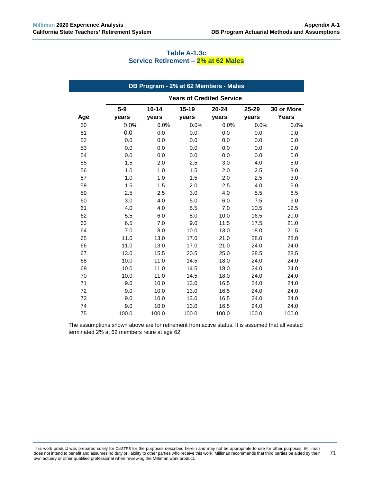| DB Program - 2% at 62 Members - Males |                                  |                    |                    |                |                |                            |
|---------------------------------------|----------------------------------|--------------------|--------------------|----------------|----------------|----------------------------|
|                                       | <b>Years of Credited Service</b> |                    |                    |                |                |                            |
| Age                                   | $5-9$<br>years                   | $10 - 14$<br>years | $15 - 19$<br>years | 20-24<br>years | 25-29<br>years | 30 or More<br><b>Years</b> |
| 50                                    | 0.0%                             | 0.0%               | 0.0%               | 0.0%           | 0.0%           | 0.0%                       |
| 51                                    | 0.0                              | 0.0                | 0.0                | 0.0            | 0.0            | 0.0                        |
| 52                                    | 0.0                              | 0.0                | 0.0                | 0.0            | 0.0            | 0.0                        |
| 53                                    | 0.0                              | 0.0                | 0.0                | 0.0            | 0.0            | 0.0                        |
| 54                                    | 0.0                              | 0.0                | 0.0                | 0.0            | 0.0            | 0.0                        |
| 55                                    | 1.5                              | 2.0                | 2.5                | 3.0            | 4.0            | 5.0                        |
| 56                                    | 1.0                              | 1.0                | 1.5                | 2.0            | 2.5            | 3.0                        |
| 57                                    | 1.0                              | 1.0                | 1.5                | 2.0            | 2.5            | 3.0                        |
| 58                                    | 1.5                              | 1.5                | 2.0                | 2.5            | 4.0            | 5.0                        |
| 59                                    | 2.5                              | 2.5                | 3.0                | 4.0            | 5.5            | 6.5                        |
| 60                                    | 3.0                              | 4.0                | 5.0                | 6.0            | 7.5            | 9.0                        |
| 61                                    | 4.0                              | 4.0                | 5.5                | 7.0            | 10.5           | 12.5                       |
| 62                                    | 5.5                              | 6.0                | 8.0                | 10.0           | 16.5           | 20.0                       |
| 63                                    | 6.5                              | 7.0                | 9.0                | 11.5           | 17.5           | 21.0                       |
| 64                                    | 7.0                              | 8.0                | 10.0               | 13.0           | 18.0           | 21.5                       |
| 65                                    | 11.0                             | 13.0               | 17.0               | 21.0           | 28.0           | 28.0                       |
| 66                                    | 11.0                             | 13.0               | 17.0               | 21.0           | 24.0           | 24.0                       |
| 67                                    | 13.0                             | 15.5               | 20.5               | 25.0           | 28.5           | 28.5                       |
| 68                                    | 10.0                             | 11.0               | 14.5               | 18.0           | 24.0           | 24.0                       |
| 69                                    | 10.0                             | 11.0               | 14.5               | 18.0           | 24.0           | 24.0                       |
| 70                                    | 10.0                             | 11.0               | 14.5               | 18.0           | 24.0           | 24.0                       |
| 71                                    | 9.0                              | 10.0               | 13.0               | 16.5           | 24.0           | 24.0                       |
| 72                                    | 9.0                              | 10.0               | 13.0               | 16.5           | 24.0           | 24.0                       |
| 73                                    | 9.0                              | 10.0               | 13.0               | 16.5           | 24.0           | 24.0                       |
| 74                                    | 9.0                              | 10.0               | 13.0               | 16.5           | 24.0           | 24.0                       |
| 75                                    | 100.0                            | 100.0              | 100.0              | 100.0          | 100.0          | 100.0                      |

### **Table A-1.3c Service Retirement – 2% at 62 Males**

The assumptions shown above are for retirement from active status. It is assumed that all vested terminated 2% at 62 members retire at age 62.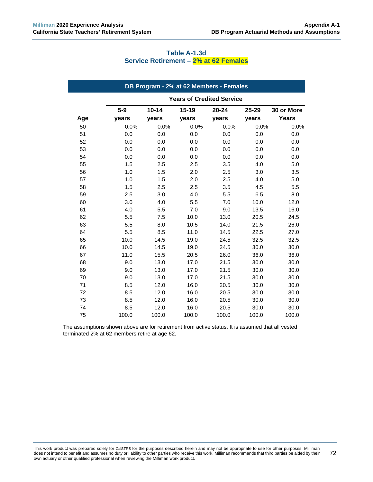| DB Program - 2% at 62 Members - Females |                                  |                    |                    |                |                    |                     |
|-----------------------------------------|----------------------------------|--------------------|--------------------|----------------|--------------------|---------------------|
|                                         | <b>Years of Credited Service</b> |                    |                    |                |                    |                     |
| Age                                     | $5-9$<br>years                   | $10 - 14$<br>years | $15 - 19$<br>years | 20-24<br>years | $25 - 29$<br>years | 30 or More<br>Years |
| 50                                      | 0.0%                             | 0.0%               | 0.0%               | 0.0%           | 0.0%               | 0.0%                |
| 51                                      | 0.0                              | 0.0                | 0.0                | 0.0            | 0.0                | 0.0                 |
| 52                                      | 0.0                              | 0.0                | 0.0                | 0.0            | 0.0                | 0.0                 |
| 53                                      | 0.0                              | 0.0                | 0.0                | 0.0            | 0.0                | 0.0                 |
| 54                                      | 0.0                              | 0.0                | 0.0                | 0.0            | 0.0                | 0.0                 |
| 55                                      | 1.5                              | 2.5                | 2.5                | 3.5            | 4.0                | 5.0                 |
| 56                                      | 1.0                              | 1.5                | 2.0                | 2.5            | 3.0                | 3.5                 |
| 57                                      | 1.0                              | 1.5                | 2.0                | 2.5            | 4.0                | 5.0                 |
| 58                                      | 1.5                              | 2.5                | 2.5                | 3.5            | 4.5                | 5.5                 |
| 59                                      | 2.5                              | 3.0                | 4.0                | 5.5            | 6.5                | 8.0                 |
| 60                                      | 3.0                              | 4.0                | 5.5                | 7.0            | 10.0               | 12.0                |
| 61                                      | 4.0                              | 5.5                | 7.0                | 9.0            | 13.5               | 16.0                |
| 62                                      | 5.5                              | 7.5                | 10.0               | 13.0           | 20.5               | 24.5                |
| 63                                      | 5.5                              | 8.0                | 10.5               | 14.0           | 21.5               | 26.0                |
| 64                                      | 5.5                              | 8.5                | 11.0               | 14.5           | 22.5               | 27.0                |
| 65                                      | 10.0                             | 14.5               | 19.0               | 24.5           | 32.5               | 32.5                |
| 66                                      | 10.0                             | 14.5               | 19.0               | 24.5           | 30.0               | 30.0                |
| 67                                      | 11.0                             | 15.5               | 20.5               | 26.0           | 36.0               | 36.0                |
| 68                                      | 9.0                              | 13.0               | 17.0               | 21.5           | 30.0               | 30.0                |
| 69                                      | 9.0                              | 13.0               | 17.0               | 21.5           | 30.0               | 30.0                |
| 70                                      | 9.0                              | 13.0               | 17.0               | 21.5           | 30.0               | 30.0                |
| 71                                      | 8.5                              | 12.0               | 16.0               | 20.5           | 30.0               | 30.0                |
| 72                                      | 8.5                              | 12.0               | 16.0               | 20.5           | 30.0               | 30.0                |
| 73                                      | 8.5                              | 12.0               | 16.0               | 20.5           | 30.0               | 30.0                |
| 74                                      | 8.5                              | 12.0               | 16.0               | 20.5           | 30.0               | 30.0                |
| 75                                      | 100.0                            | 100.0              | 100.0              | 100.0          | 100.0              | 100.0               |

### **Table A-1.3d Service Retirement – 2% at 62 Females**

The assumptions shown above are for retirement from active status. It is assumed that all vested terminated 2% at 62 members retire at age 62.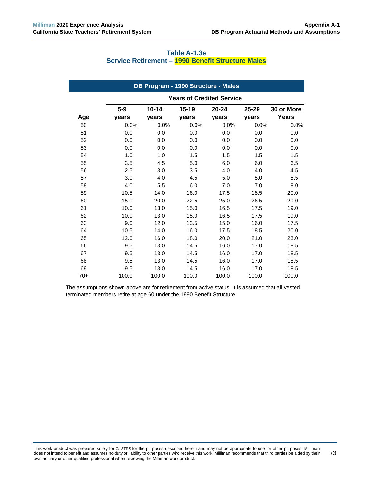| DB Program - 1990 Structure - Males |                                  |           |       |           |           |              |
|-------------------------------------|----------------------------------|-----------|-------|-----------|-----------|--------------|
|                                     | <b>Years of Credited Service</b> |           |       |           |           |              |
|                                     | $5-9$                            | $10 - 14$ | 15-19 | $20 - 24$ | $25 - 29$ | 30 or More   |
| Age                                 | years                            | years     | years | years     | years     | <b>Years</b> |
| 50                                  | 0.0%                             | 0.0%      | 0.0%  | 0.0%      | 0.0%      | 0.0%         |
| 51                                  | 0.0                              | 0.0       | 0.0   | 0.0       | 0.0       | 0.0          |
| 52                                  | 0.0                              | 0.0       | 0.0   | 0.0       | 0.0       | 0.0          |
| 53                                  | 0.0                              | 0.0       | 0.0   | 0.0       | 0.0       | 0.0          |
| 54                                  | 1.0                              | 1.0       | 1.5   | 1.5       | 1.5       | 1.5          |
| 55                                  | 3.5                              | 4.5       | 5.0   | 6.0       | 6.0       | 6.5          |
| 56                                  | 2.5                              | 3.0       | 3.5   | 4.0       | 4.0       | 4.5          |
| 57                                  | 3.0                              | 4.0       | 4.5   | 5.0       | 5.0       | 5.5          |
| 58                                  | 4.0                              | 5.5       | 6.0   | 7.0       | 7.0       | 8.0          |
| 59                                  | 10.5                             | 14.0      | 16.0  | 17.5      | 18.5      | 20.0         |
| 60                                  | 15.0                             | 20.0      | 22.5  | 25.0      | 26.5      | 29.0         |
| 61                                  | 10.0                             | 13.0      | 15.0  | 16.5      | 17.5      | 19.0         |
| 62                                  | 10.0                             | 13.0      | 15.0  | 16.5      | 17.5      | 19.0         |
| 63                                  | 9.0                              | 12.0      | 13.5  | 15.0      | 16.0      | 17.5         |
| 64                                  | 10.5                             | 14.0      | 16.0  | 17.5      | 18.5      | 20.0         |
| 65                                  | 12.0                             | 16.0      | 18.0  | 20.0      | 21.0      | 23.0         |
| 66                                  | 9.5                              | 13.0      | 14.5  | 16.0      | 17.0      | 18.5         |
| 67                                  | 9.5                              | 13.0      | 14.5  | 16.0      | 17.0      | 18.5         |
| 68                                  | 9.5                              | 13.0      | 14.5  | 16.0      | 17.0      | 18.5         |
| 69                                  | 9.5                              | 13.0      | 14.5  | 16.0      | 17.0      | 18.5         |
| $70+$                               | 100.0                            | 100.0     | 100.0 | 100.0     | 100.0     | 100.0        |

## **Table A-1.3e Service Retirement – 1990 Benefit Structure Males**

The assumptions shown above are for retirement from active status. It is assumed that all vested terminated members retire at age 60 under the 1990 Benefit Structure.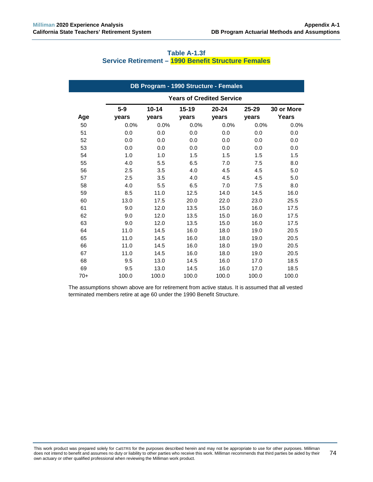| DB Program - 1990 Structure - Females |         |           |                                  |           |           |              |
|---------------------------------------|---------|-----------|----------------------------------|-----------|-----------|--------------|
|                                       |         |           | <b>Years of Credited Service</b> |           |           |              |
|                                       | $5 - 9$ | $10 - 14$ | $15 - 19$                        | $20 - 24$ | $25 - 29$ | 30 or More   |
| Age                                   | vears   | vears     | vears                            | vears     | years     | <b>Years</b> |
| 50                                    | 0.0%    | 0.0%      | 0.0%                             | 0.0%      | 0.0%      | 0.0%         |
| 51                                    | 0.0     | 0.0       | 0.0                              | 0.0       | 0.0       | 0.0          |
| 52                                    | 0.0     | 0.0       | 0.0                              | 0.0       | 0.0       | 0.0          |
| 53                                    | 0.0     | 0.0       | 0.0                              | 0.0       | 0.0       | 0.0          |
| 54                                    | 1.0     | 1.0       | 1.5                              | 1.5       | 1.5       | 1.5          |
| 55                                    | 4.0     | 5.5       | 6.5                              | 7.0       | 7.5       | 8.0          |
| 56                                    | 2.5     | 3.5       | 4.0                              | 4.5       | 4.5       | 5.0          |
| 57                                    | 2.5     | 3.5       | 4.0                              | 4.5       | 4.5       | 5.0          |
| 58                                    | 4.0     | 5.5       | 6.5                              | 7.0       | 7.5       | 8.0          |
| 59                                    | 8.5     | 11.0      | 12.5                             | 14.0      | 14.5      | 16.0         |
| 60                                    | 13.0    | 17.5      | 20.0                             | 22.0      | 23.0      | 25.5         |
| 61                                    | 9.0     | 12.0      | 13.5                             | 15.0      | 16.0      | 17.5         |
| 62                                    | 9.0     | 12.0      | 13.5                             | 15.0      | 16.0      | 17.5         |
| 63                                    | 9.0     | 12.0      | 13.5                             | 15.0      | 16.0      | 17.5         |
| 64                                    | 11.0    | 14.5      | 16.0                             | 18.0      | 19.0      | 20.5         |
| 65                                    | 11.0    | 14.5      | 16.0                             | 18.0      | 19.0      | 20.5         |
| 66                                    | 11.0    | 14.5      | 16.0                             | 18.0      | 19.0      | 20.5         |
| 67                                    | 11.0    | 14.5      | 16.0                             | 18.0      | 19.0      | 20.5         |
| 68                                    | 9.5     | 13.0      | 14.5                             | 16.0      | 17.0      | 18.5         |
| 69                                    | 9.5     | 13.0      | 14.5                             | 16.0      | 17.0      | 18.5         |
| $70+$                                 | 100.0   | 100.0     | 100.0                            | 100.0     | 100.0     | 100.0        |

### **Table A-1.3f Service Retirement – 1990 Benefit Structure Females**

The assumptions shown above are for retirement from active status. It is assumed that all vested terminated members retire at age 60 under the 1990 Benefit Structure.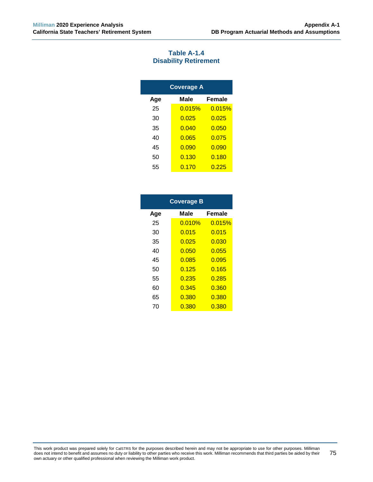### **Table A-1.4 Disability Retirement**

| <b>Coverage A</b> |        |        |  |  |  |  |
|-------------------|--------|--------|--|--|--|--|
| Age               | Male   | Female |  |  |  |  |
| 25                | 0.015% | 0.015% |  |  |  |  |
| 30                | 0.025  | 0.025  |  |  |  |  |
| 35                | 0.040  | 0.050  |  |  |  |  |
| 40                | 0.065  | 0.075  |  |  |  |  |
| 45                | 0.090  | 0.090  |  |  |  |  |
| 50                | 0.130  | 0.180  |  |  |  |  |
| 55                | 0.170  | 0.225  |  |  |  |  |

| <b>Coverage B</b> |        |        |  |  |  |  |  |
|-------------------|--------|--------|--|--|--|--|--|
| Age               | Male   | Female |  |  |  |  |  |
| 25                | 0.010% | 0.015% |  |  |  |  |  |
| 30                | 0.015  | 0.015  |  |  |  |  |  |
| 35                | 0.025  | 0.030  |  |  |  |  |  |
| 40                | 0.050  | 0.055  |  |  |  |  |  |
| 45                | 0.085  | 0.095  |  |  |  |  |  |
| 50                | 0.125  | 0.165  |  |  |  |  |  |
| 55                | 0.235  | 0.285  |  |  |  |  |  |
| 60                | 0.345  | 0.360  |  |  |  |  |  |
| 65                | 0.380  | 0.380  |  |  |  |  |  |
| 70                | 0.380  | 0.380  |  |  |  |  |  |

This work product was prepared solely for CalSTRS for the purposes described herein and may not be appropriate to use for other purposes. Milliman does not intend to benefit and assumes no duty or liability to other parties who receive this work. Milliman recommends that third parties be aided by their own actuary or other qualified professional when reviewing the Milliman work product. 75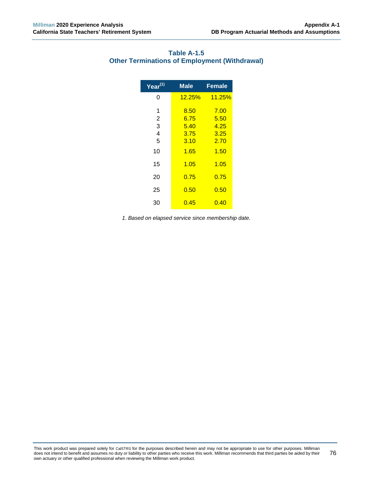| Year <sup>(1)</sup> | <b>Male</b> | <b>Female</b> |
|---------------------|-------------|---------------|
| 0                   | 12.25%      | <b>11.25%</b> |
| 1                   | 8.50        | 7.00          |
| $\overline{2}$      | 6.75        | 5.50          |
| 3                   | 5.40        | 4.25          |
| $\overline{4}$      | 3.75        | 3.25          |
| 5                   | 3.10        | 2.70          |
| 10                  | 1.65        | 1.50          |
| 15                  | 1.05        | 1.05          |
| 20                  | 0.75        | 0.75          |
| 25                  | 0.50        | 0.50          |
| 30                  | 0.45        | 0.40          |

# **Table A-1.5 Other Terminations of Employment (Withdrawal)**

*1. Based on elapsed service since membership date.*

This work product was prepared solely for CalSTRS for the purposes described herein and may not be appropriate to use for other purposes. Milliman does not intend to benefit and assumes no duty or liability to other parties who receive this work. Milliman recommends that third parties be aided by their own actuary or other qualified professional when reviewing the Milliman work product. 76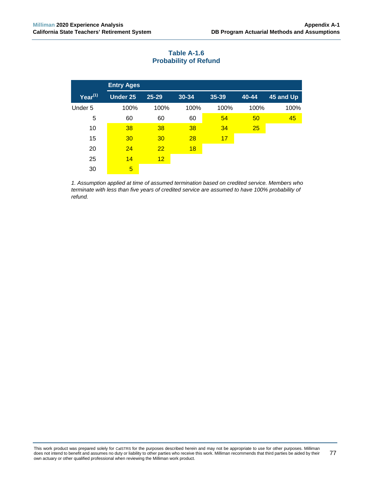|            | <b>Entry Ages</b> |           |       |       |       |           |
|------------|-------------------|-----------|-------|-------|-------|-----------|
| Year $(1)$ | <b>Under 25</b>   | $25 - 29$ | 30-34 | 35-39 | 40-44 | 45 and Up |
| Under 5    | 100%              | 100%      | 100%  | 100%  | 100%  | 100%      |
| 5          | 60                | 60        | 60    | 54    | 50    | 45        |
| 10         | 38                | 38        | 38    | 34    | 25    |           |
| 15         | 30                | 30        | 28    | 17    |       |           |
| 20         | 24                | 22        | 18    |       |       |           |
| 25         | 14                | 12        |       |       |       |           |
| 30         | 5                 |           |       |       |       |           |

# **Table A-1.6 Probability of Refund**

*1. Assumption applied at time of assumed termination based on credited service. Members who terminate with less than five years of credited service are assumed to have 100% probability of refund.*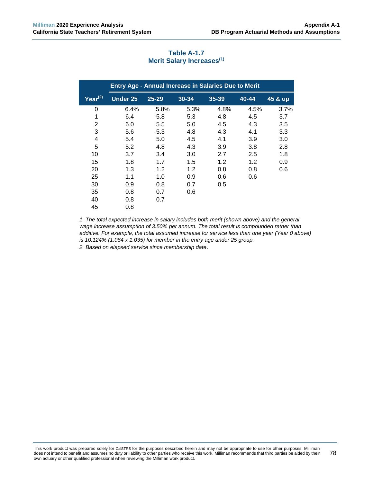| <b>Entry Age - Annual Increase in Salaries Due to Merit</b> |                 |           |       |           |       |         |
|-------------------------------------------------------------|-----------------|-----------|-------|-----------|-------|---------|
| $Year^{(2)}$                                                | <b>Under 25</b> | $25 - 29$ | 30-34 | $35 - 39$ | 40-44 | 45 & up |
| 0                                                           | 6.4%            | 5.8%      | 5.3%  | 4.8%      | 4.5%  | 3.7%    |
| 1                                                           | 6.4             | 5.8       | 5.3   | 4.8       | 4.5   | 3.7     |
| 2                                                           | 6.0             | 5.5       | 5.0   | 4.5       | 4.3   | 3.5     |
| 3                                                           | 5.6             | 5.3       | 4.8   | 4.3       | 4.1   | 3.3     |
| 4                                                           | 5.4             | 5.0       | 4.5   | 4.1       | 3.9   | 3.0     |
| 5                                                           | 5.2             | 4.8       | 4.3   | 3.9       | 3.8   | 2.8     |
| 10                                                          | 3.7             | 3.4       | 3.0   | 2.7       | 2.5   | 1.8     |
| 15                                                          | 1.8             | 1.7       | 1.5   | 1.2       | 1.2   | 0.9     |
| 20                                                          | 1.3             | 1.2       | 1.2   | 0.8       | 0.8   | 0.6     |
| 25                                                          | 1.1             | 1.0       | 0.9   | 0.6       | 0.6   |         |
| 30                                                          | 0.9             | 0.8       | 0.7   | 0.5       |       |         |
| 35                                                          | 0.8             | 0.7       | 0.6   |           |       |         |
| 40                                                          | 0.8             | 0.7       |       |           |       |         |
| 45                                                          | 0.8             |           |       |           |       |         |

## **Table A-1.7 Merit Salary Increases(1)**

*1. The total expected increase in salary includes both merit (shown above) and the general wage increase assumption of 3.50% per annum. The total result is compounded rather than additive. For example, the total assumed increase for service less than one year (Year 0 above) is 10.124% (1.064 x 1.035) for member in the entry age under 25 group. 2. Based on elapsed service since membership date*.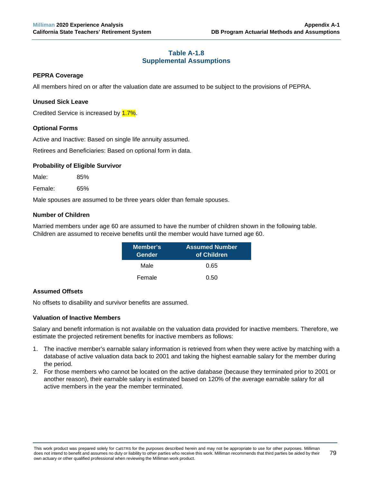## **Table A-1.8 Supplemental Assumptions**

### **PEPRA Coverage**

All members hired on or after the valuation date are assumed to be subject to the provisions of PEPRA.

### **Unused Sick Leave**

Credited Service is increased by 1.7%.

### **Optional Forms**

Active and Inactive: Based on single life annuity assumed.

Retirees and Beneficiaries: Based on optional form in data.

### **Probability of Eligible Survivor**

Male: 85%

Female: 65%

Male spouses are assumed to be three years older than female spouses.

### **Number of Children**

Married members under age 60 are assumed to have the number of children shown in the following table. Children are assumed to receive benefits until the member would have turned age 60.

| Member's<br>Gender | <b>Assumed Number</b><br>of Children |
|--------------------|--------------------------------------|
| Male               | 0.65                                 |
| Female             | 0.50                                 |

## **Assumed Offsets**

No offsets to disability and survivor benefits are assumed.

#### **Valuation of Inactive Members**

Salary and benefit information is not available on the valuation data provided for inactive members. Therefore, we estimate the projected retirement benefits for inactive members as follows:

- 1. The inactive member's earnable salary information is retrieved from when they were active by matching with a database of active valuation data back to 2001 and taking the highest earnable salary for the member during the period.
- 2. For those members who cannot be located on the active database (because they terminated prior to 2001 or another reason), their earnable salary is estimated based on 120% of the average earnable salary for all active members in the year the member terminated.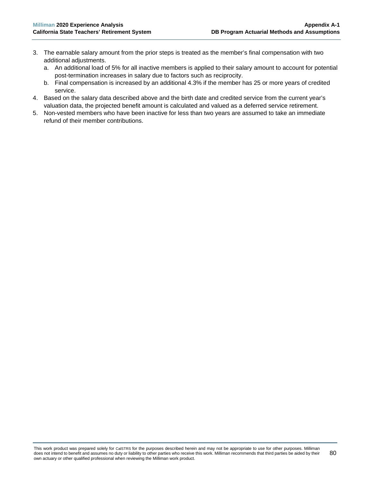- 3. The earnable salary amount from the prior steps is treated as the member's final compensation with two additional adjustments.
	- a. An additional load of 5% for all inactive members is applied to their salary amount to account for potential post-termination increases in salary due to factors such as reciprocity.
	- b. Final compensation is increased by an additional 4.3% if the member has 25 or more years of credited service.
- 4. Based on the salary data described above and the birth date and credited service from the current year's valuation data, the projected benefit amount is calculated and valued as a deferred service retirement.
- 5. Non-vested members who have been inactive for less than two years are assumed to take an immediate refund of their member contributions.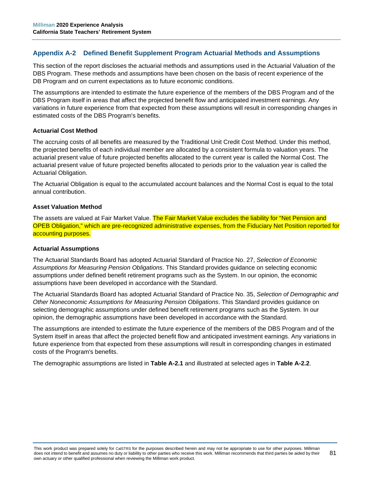# **Appendix A-2 Defined Benefit Supplement Program Actuarial Methods and Assumptions**

This section of the report discloses the actuarial methods and assumptions used in the Actuarial Valuation of the DBS Program. These methods and assumptions have been chosen on the basis of recent experience of the DB Program and on current expectations as to future economic conditions.

The assumptions are intended to estimate the future experience of the members of the DBS Program and of the DBS Program itself in areas that affect the projected benefit flow and anticipated investment earnings. Any variations in future experience from that expected from these assumptions will result in corresponding changes in estimated costs of the DBS Program's benefits.

#### **Actuarial Cost Method**

The accruing costs of all benefits are measured by the Traditional Unit Credit Cost Method. Under this method, the projected benefits of each individual member are allocated by a consistent formula to valuation years. The actuarial present value of future projected benefits allocated to the current year is called the Normal Cost. The actuarial present value of future projected benefits allocated to periods prior to the valuation year is called the Actuarial Obligation.

The Actuarial Obligation is equal to the accumulated account balances and the Normal Cost is equal to the total annual contribution.

#### **Asset Valuation Method**

The assets are valued at Fair Market Value. The Fair Market Value excludes the liability for "Net Pension and OPEB Obligation," which are pre-recognized administrative expenses, from the Fiduciary Net Position reported for accounting purposes.

#### **Actuarial Assumptions**

The Actuarial Standards Board has adopted Actuarial Standard of Practice No. 27, *Selection of Economic Assumptions for Measuring Pension Obligations*. This Standard provides guidance on selecting economic assumptions under defined benefit retirement programs such as the System. In our opinion, the economic assumptions have been developed in accordance with the Standard.

The Actuarial Standards Board has adopted Actuarial Standard of Practice No. 35, *Selection of Demographic and Other Noneconomic Assumptions for Measuring Pension Obligations*. This Standard provides guidance on selecting demographic assumptions under defined benefit retirement programs such as the System. In our opinion, the demographic assumptions have been developed in accordance with the Standard.

The assumptions are intended to estimate the future experience of the members of the DBS Program and of the System itself in areas that affect the projected benefit flow and anticipated investment earnings. Any variations in future experience from that expected from these assumptions will result in corresponding changes in estimated costs of the Program's benefits.

The demographic assumptions are listed in **Table A-2.1** and illustrated at selected ages in **Table A-2.2**.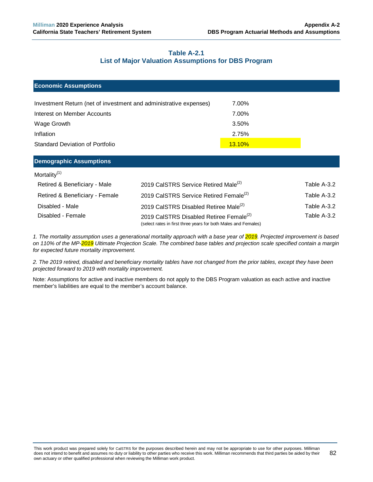## **Table A-2.1 List of Major Valuation Assumptions for DBS Program**

| <b>Economic Assumptions</b>                                       |                                                  |               |             |  |
|-------------------------------------------------------------------|--------------------------------------------------|---------------|-------------|--|
| Investment Return (net of investment and administrative expenses) |                                                  | 7.00%         |             |  |
| Interest on Member Accounts                                       |                                                  | 7.00%         |             |  |
| Wage Growth                                                       |                                                  | 3.50%         |             |  |
| Inflation                                                         |                                                  | 2.75%         |             |  |
| <b>Standard Deviation of Portfolio</b>                            |                                                  | <b>13.10%</b> |             |  |
| <b>Demographic Assumptions</b>                                    |                                                  |               |             |  |
| Mortality <sup>(1)</sup>                                          |                                                  |               |             |  |
| Retired & Beneficiary - Male                                      | 2019 CalSTRS Service Retired Male <sup>(2)</sup> |               | Table A-3.2 |  |

| Retired & Beneficiary - Female | 2019 CalSTRS Service Retired Female <sup>(2)</sup>                                                                    | Table A-3.2 |
|--------------------------------|-----------------------------------------------------------------------------------------------------------------------|-------------|
| Disabled - Male                | 2019 CalSTRS Disabled Retiree Male <sup>(2)</sup>                                                                     | Table A-3.2 |
| Disabled - Female              | 2019 CalSTRS Disabled Retiree Female <sup>(2)</sup><br>(select rates in first three years for both Males and Females) | Table A-3.2 |

*1. The mortality assumption uses a generational mortality approach with a base year of 2019. Projected improvement is based on 110% of the MP-2019 Ultimate Projection Scale. The combined base tables and projection scale specified contain a margin for expected future mortality improvement.* 

*2. The 2019 retired, disabled and beneficiary mortality tables have not changed from the prior tables, except they have been projected forward to 2019 with mortality improvement.*

Note: Assumptions for active and inactive members do not apply to the DBS Program valuation as each active and inactive member's liabilities are equal to the member's account balance.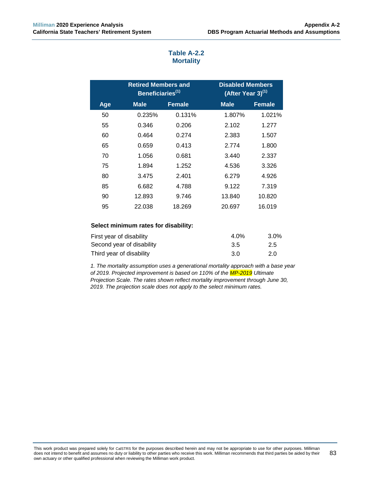|     | <b>Retired Members and</b><br>Beneficiaries <sup>(1)</sup> |               | <b>Disabled Members</b><br>$(A$ fter Year 3) <sup>(1)</sup> |               |
|-----|------------------------------------------------------------|---------------|-------------------------------------------------------------|---------------|
| Age | <b>Male</b>                                                | <b>Female</b> | <b>Male</b>                                                 | <b>Female</b> |
| 50  | 0.235%                                                     | 0.131%        | 1.807%                                                      | 1.021%        |
| 55  | 0.346                                                      | 0.206         | 2.102                                                       | 1.277         |
| 60  | 0.464                                                      | 0.274         | 2.383                                                       | 1.507         |
| 65  | 0.659                                                      | 0.413         | 2.774                                                       | 1.800         |
| 70  | 1.056                                                      | 0.681         | 3.440                                                       | 2.337         |
| 75  | 1.894                                                      | 1.252         | 4.536                                                       | 3.326         |
| 80  | 3.475                                                      | 2.401         | 6.279                                                       | 4.926         |
| 85  | 6.682                                                      | 4.788         | 9.122                                                       | 7.319         |
| 90  | 12.893                                                     | 9.746         | 13.840                                                      | 10.820        |
| 95  | 22.038                                                     | 18.269        | 20.697                                                      | 16.019        |

# **Table A-2.2 Mortality**

#### **Select minimum rates for disability:**

| First year of disability  | $4.0\%$ | 3.0% |
|---------------------------|---------|------|
| Second year of disability | -3.5    | 2.5  |
| Third year of disability  | 3.O     | 2.0  |

*1. The mortality assumption uses a generational mortality approach with a base year of 2019. Projected improvement is based on 110% of the MP-2019 Ultimate Projection Scale. The rates shown reflect mortality improvement through June 30, 2019. The projection scale does not apply to the select minimum rates.*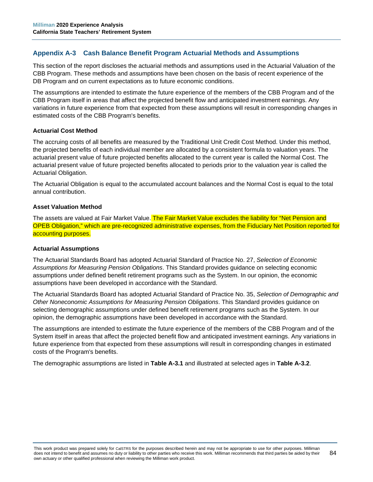# **Appendix A-3 Cash Balance Benefit Program Actuarial Methods and Assumptions**

This section of the report discloses the actuarial methods and assumptions used in the Actuarial Valuation of the CBB Program. These methods and assumptions have been chosen on the basis of recent experience of the DB Program and on current expectations as to future economic conditions.

The assumptions are intended to estimate the future experience of the members of the CBB Program and of the CBB Program itself in areas that affect the projected benefit flow and anticipated investment earnings. Any variations in future experience from that expected from these assumptions will result in corresponding changes in estimated costs of the CBB Program's benefits.

#### **Actuarial Cost Method**

The accruing costs of all benefits are measured by the Traditional Unit Credit Cost Method. Under this method, the projected benefits of each individual member are allocated by a consistent formula to valuation years. The actuarial present value of future projected benefits allocated to the current year is called the Normal Cost. The actuarial present value of future projected benefits allocated to periods prior to the valuation year is called the Actuarial Obligation.

The Actuarial Obligation is equal to the accumulated account balances and the Normal Cost is equal to the total annual contribution.

#### **Asset Valuation Method**

The assets are valued at Fair Market Value. The Fair Market Value excludes the liability for "Net Pension and OPEB Obligation," which are pre-recognized administrative expenses, from the Fiduciary Net Position reported for accounting purposes.

#### **Actuarial Assumptions**

The Actuarial Standards Board has adopted Actuarial Standard of Practice No. 27, *Selection of Economic Assumptions for Measuring Pension Obligations*. This Standard provides guidance on selecting economic assumptions under defined benefit retirement programs such as the System. In our opinion, the economic assumptions have been developed in accordance with the Standard.

The Actuarial Standards Board has adopted Actuarial Standard of Practice No. 35, *Selection of Demographic and Other Noneconomic Assumptions for Measuring Pension Obligations*. This Standard provides guidance on selecting demographic assumptions under defined benefit retirement programs such as the System. In our opinion, the demographic assumptions have been developed in accordance with the Standard.

The assumptions are intended to estimate the future experience of the members of the CBB Program and of the System itself in areas that affect the projected benefit flow and anticipated investment earnings. Any variations in future experience from that expected from these assumptions will result in corresponding changes in estimated costs of the Program's benefits.

The demographic assumptions are listed in **Table A-3.1** and illustrated at selected ages in **Table A-3.2**.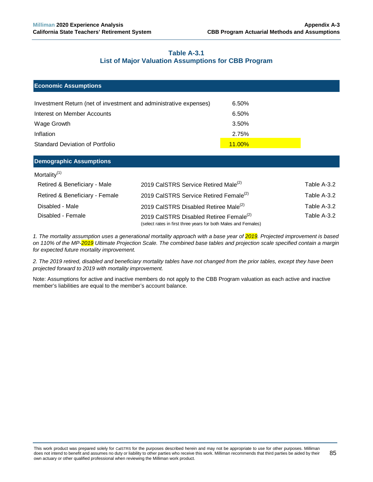## **Table A-3.1 List of Major Valuation Assumptions for CBB Program**

| <b>Economic Assumptions</b>                                       |                                                    |               |             |
|-------------------------------------------------------------------|----------------------------------------------------|---------------|-------------|
| Investment Return (net of investment and administrative expenses) |                                                    | 6.50%         |             |
| Interest on Member Accounts                                       |                                                    | 6.50%         |             |
| Wage Growth                                                       |                                                    | 3.50%         |             |
| Inflation                                                         |                                                    | 2.75%         |             |
| <b>Standard Deviation of Portfolio</b>                            |                                                    | <b>11.00%</b> |             |
| <b>Demographic Assumptions</b>                                    |                                                    |               |             |
| Mortality $(1)$                                                   |                                                    |               |             |
| Retired & Beneficiary - Male                                      | 2019 CalSTRS Service Retired Male <sup>(2)</sup>   |               | Table A-3.2 |
| Retired & Beneficiary - Female                                    | 2019 CalSTRS Service Retired Female <sup>(2)</sup> |               | Table A-3.2 |

Disabled - Male **Table A-3.2** 2019 CalSTRS Disabled Retiree Male<sup>(2)</sup> Table A-3.2 Disabled - Female **Table A-3.2** 2019 CalSTRS Disabled Retiree Female<sup>(2)</sup> Table A-3.2

(select rates in first three years for both Males and Females)

*1. The mortality assumption uses a generational mortality approach with a base year of 2019. Projected improvement is based on 110% of the MP-2019 Ultimate Projection Scale. The combined base tables and projection scale specified contain a margin for expected future mortality improvement.* 

*2. The 2019 retired, disabled and beneficiary mortality tables have not changed from the prior tables, except they have been projected forward to 2019 with mortality improvement.*

Note: Assumptions for active and inactive members do not apply to the CBB Program valuation as each active and inactive member's liabilities are equal to the member's account balance.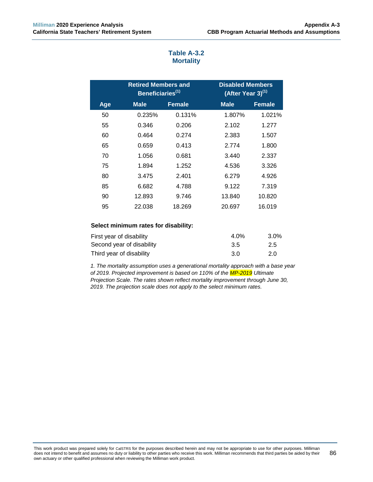|     | <b>Retired Members and</b><br>Beneficiaries <sup>(1)</sup> |               | <b>Disabled Members</b><br>$\sqrt{(After Year 3)}^{(1)}$ |               |
|-----|------------------------------------------------------------|---------------|----------------------------------------------------------|---------------|
| Age | <b>Male</b>                                                | <b>Female</b> | Male                                                     | <b>Female</b> |
| 50  | 0.235%                                                     | 0.131%        | 1.807%                                                   | 1.021%        |
| 55  | 0.346                                                      | 0.206         | 2.102                                                    | 1.277         |
| 60  | 0.464                                                      | 0.274         | 2.383                                                    | 1.507         |
| 65  | 0.659                                                      | 0.413         | 2.774                                                    | 1.800         |
| 70  | 1.056                                                      | 0.681         | 3.440                                                    | 2.337         |
| 75  | 1.894                                                      | 1.252         | 4.536                                                    | 3.326         |
| 80  | 3.475                                                      | 2.401         | 6.279                                                    | 4.926         |
| 85  | 6.682                                                      | 4.788         | 9.122                                                    | 7.319         |
| 90  | 12.893                                                     | 9.746         | 13.840                                                   | 10.820        |
| 95  | 22.038                                                     | 18.269        | 20.697                                                   | 16.019        |

# **Table A-3.2 Mortality**

### **Select minimum rates for disability:**

| First year of disability  | $4.0\%$ | 3.0% |
|---------------------------|---------|------|
| Second year of disability | -3.5    | 2.5  |
| Third year of disability  | 3.O     | 2.0  |

*1. The mortality assumption uses a generational mortality approach with a base year of 2019. Projected improvement is based on 110% of the MP-2019 Ultimate Projection Scale. The rates shown reflect mortality improvement through June 30, 2019. The projection scale does not apply to the select minimum rates.*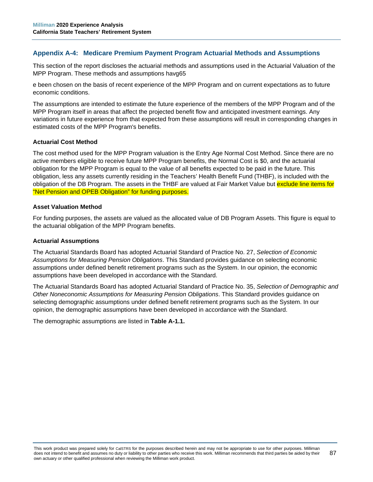## **Appendix A-4: Medicare Premium Payment Program Actuarial Methods and Assumptions**

This section of the report discloses the actuarial methods and assumptions used in the Actuarial Valuation of the MPP Program. These methods and assumptions havg65

e been chosen on the basis of recent experience of the MPP Program and on current expectations as to future economic conditions.

The assumptions are intended to estimate the future experience of the members of the MPP Program and of the MPP Program itself in areas that affect the projected benefit flow and anticipated investment earnings. Any variations in future experience from that expected from these assumptions will result in corresponding changes in estimated costs of the MPP Program's benefits.

### **Actuarial Cost Method**

The cost method used for the MPP Program valuation is the Entry Age Normal Cost Method. Since there are no active members eligible to receive future MPP Program benefits, the Normal Cost is \$0, and the actuarial obligation for the MPP Program is equal to the value of all benefits expected to be paid in the future. This obligation, less any assets currently residing in the Teachers' Health Benefit Fund (THBF), is included with the obligation of the DB Program. The assets in the THBF are valued at Fair Market Value but exclude line items for "Net Pension and OPEB Obligation" for funding purposes.

#### **Asset Valuation Method**

For funding purposes, the assets are valued as the allocated value of DB Program Assets. This figure is equal to the actuarial obligation of the MPP Program benefits.

#### **Actuarial Assumptions**

The Actuarial Standards Board has adopted Actuarial Standard of Practice No. 27, *Selection of Economic Assumptions for Measuring Pension Obligations*. This Standard provides guidance on selecting economic assumptions under defined benefit retirement programs such as the System. In our opinion, the economic assumptions have been developed in accordance with the Standard.

The Actuarial Standards Board has adopted Actuarial Standard of Practice No. 35, *Selection of Demographic and Other Noneconomic Assumptions for Measuring Pension Obligations*. This Standard provides guidance on selecting demographic assumptions under defined benefit retirement programs such as the System. In our opinion, the demographic assumptions have been developed in accordance with the Standard.

The demographic assumptions are listed in **Table A-1.1.**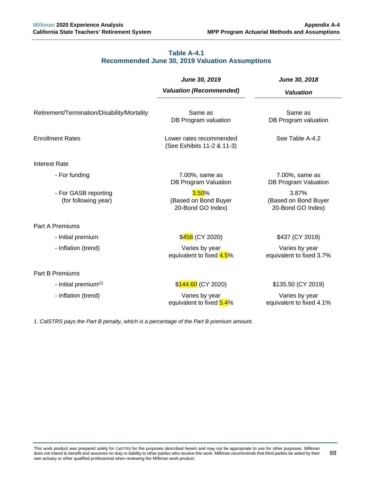## **Table A-4.1 Recommended June 30, 2019 Valuation Assumptions**

|                                              | June 30, 2019                                         | June 30, 2018                                      |
|----------------------------------------------|-------------------------------------------------------|----------------------------------------------------|
|                                              | <b>Valuation (Recommended)</b>                        | <b>Valuation</b>                                   |
| Retirement/Termination/Disability/Mortality  | Same as<br>DB Program valuation                       | Same as<br>DB Program valuation                    |
| <b>Enrollment Rates</b>                      | Lower rates recommended<br>(See Exhibits 11-2 & 11-3) | See Table A-4.2                                    |
| <b>Interest Rate</b>                         |                                                       |                                                    |
| - For funding                                | 7.00%, same as<br><b>DB Program Valuation</b>         | 7.00%, same as<br>DB Program Valuation             |
| - For GASB reporting<br>(for following year) | 3.50%<br>(Based on Bond Buyer<br>20-Bond GO Index)    | 3.87%<br>(Based on Bond Buyer<br>20-Bond GO Index) |
| <b>Part A Premiums</b>                       |                                                       |                                                    |
| - Initial premium                            | \$458 (CY 2020)                                       | \$437 (CY 2019)                                    |
| - Inflation (trend)                          | Varies by year<br>equivalent to fixed 4.5%            | Varies by year<br>equivalent to fixed 3.7%         |
| <b>Part B Premiums</b>                       |                                                       |                                                    |
| - Initial premium <sup>(1)</sup>             | \$144.60 (CY 2020)                                    | \$135.50 (CY 2019)                                 |
| - Inflation (trend)                          | Varies by year<br>equivalent to fixed 5.4%            | Varies by year<br>equivalent to fixed 4.1%         |

*1. CalSTRS pays the Part B penalty, which is a percentage of the Part B premium amount.*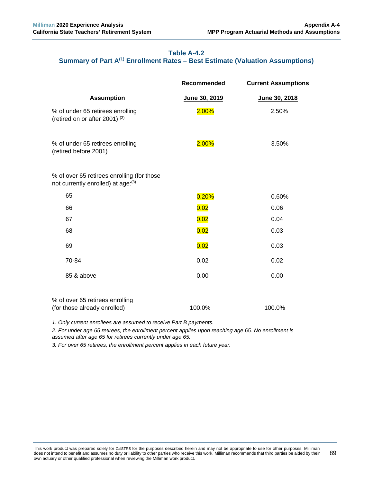# **Table A-4.2 Summary of Part A(1) Enrollment Rates – Best Estimate (Valuation Assumptions)**

|                                                                                  | Recommended   | <b>Current Assumptions</b> |
|----------------------------------------------------------------------------------|---------------|----------------------------|
| <b>Assumption</b>                                                                | June 30, 2019 | June 30, 2018              |
| % of under 65 retirees enrolling<br>(retired on or after 2001) $(2)$             | 2.00%         | 2.50%                      |
| % of under 65 retirees enrolling<br>(retired before 2001)                        | 2.00%         | 3.50%                      |
| % of over 65 retirees enrolling (for those<br>not currently enrolled) at age:(3) |               |                            |
| 65                                                                               | 0.20%         | 0.60%                      |
| 66                                                                               | 0.02          | 0.06                       |
| 67                                                                               | 0.02          | 0.04                       |
| 68                                                                               | 0.02          | 0.03                       |
| 69                                                                               | 0.02          | 0.03                       |
| 70-84                                                                            | 0.02          | 0.02                       |
| 85 & above                                                                       | 0.00          | 0.00                       |
| % of over 65 retirees enrolling<br>(for those already enrolled)                  | 100.0%        | 100.0%                     |

*1. Only current enrollees are assumed to receive Part B payments.*

*2. For under age 65 retirees, the enrollment percent applies upon reaching age 65. No enrollment is assumed after age 65 for retirees currently under age 65.*

*3. For over 65 retirees, the enrollment percent applies in each future year.*